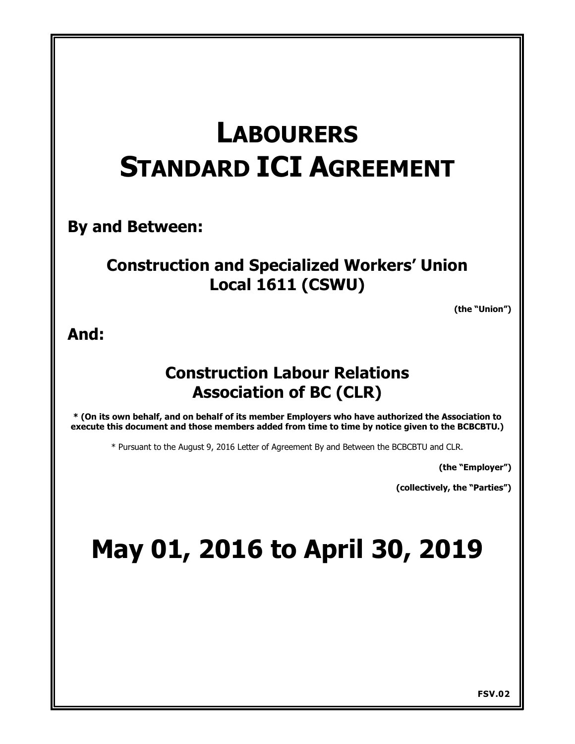# **LABOURERS STANDARD ICI AGREEMENT**

**By and Between:**

# **Construction and Specialized Workers' Union Local 1611 (CSWU)**

**(the "Union")** 

**And:**

# **Construction Labour Relations Association of BC (CLR)**

**\* (On its own behalf, and on behalf of its member Employers who have authorized the Association to execute this document and those members added from time to time by notice given to the BCBCBTU.)**

\* Pursuant to the August 9, 2016 Letter of Agreement By and Between the BCBCBTU and CLR.

**(the "Employer")** 

**(collectively, the "Parties")** 

# **May 01, 2016 to April 30, 2019**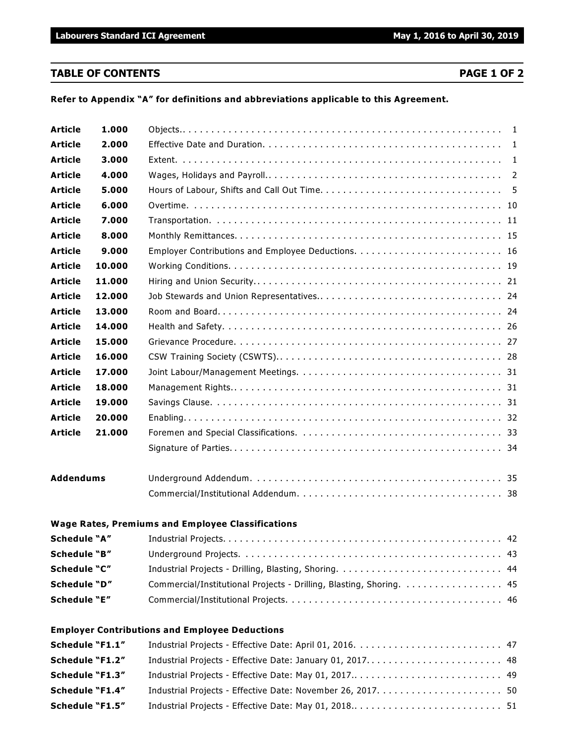# **TABLE OF CONTENTS PAGE 1 OF 2**

**Refer to Appendix "A" for definitions and abbreviations applicable to this Agreement.**

| <b>Article</b>   | 1.000  |                                                                                                                                                                                                                                                 |  |
|------------------|--------|-------------------------------------------------------------------------------------------------------------------------------------------------------------------------------------------------------------------------------------------------|--|
| <b>Article</b>   | 2.000  |                                                                                                                                                                                                                                                 |  |
| <b>Article</b>   | 3.000  |                                                                                                                                                                                                                                                 |  |
| <b>Article</b>   | 4.000  |                                                                                                                                                                                                                                                 |  |
| <b>Article</b>   | 5.000  |                                                                                                                                                                                                                                                 |  |
| <b>Article</b>   | 6.000  |                                                                                                                                                                                                                                                 |  |
| <b>Article</b>   | 7.000  |                                                                                                                                                                                                                                                 |  |
| <b>Article</b>   | 8.000  |                                                                                                                                                                                                                                                 |  |
| <b>Article</b>   | 9.000  |                                                                                                                                                                                                                                                 |  |
| <b>Article</b>   | 10.000 |                                                                                                                                                                                                                                                 |  |
| <b>Article</b>   | 11.000 |                                                                                                                                                                                                                                                 |  |
| <b>Article</b>   | 12.000 |                                                                                                                                                                                                                                                 |  |
| <b>Article</b>   | 13.000 |                                                                                                                                                                                                                                                 |  |
| <b>Article</b>   | 14.000 |                                                                                                                                                                                                                                                 |  |
| <b>Article</b>   | 15.000 |                                                                                                                                                                                                                                                 |  |
| <b>Article</b>   | 16.000 |                                                                                                                                                                                                                                                 |  |
| <b>Article</b>   | 17.000 |                                                                                                                                                                                                                                                 |  |
| <b>Article</b>   | 18.000 |                                                                                                                                                                                                                                                 |  |
| <b>Article</b>   | 19.000 |                                                                                                                                                                                                                                                 |  |
| <b>Article</b>   | 20,000 |                                                                                                                                                                                                                                                 |  |
| <b>Article</b>   | 21.000 |                                                                                                                                                                                                                                                 |  |
|                  |        |                                                                                                                                                                                                                                                 |  |
| <b>Addendums</b> |        |                                                                                                                                                                                                                                                 |  |
|                  |        |                                                                                                                                                                                                                                                 |  |
|                  |        | <b>Wage Rates, Premiums and Employee Classifications</b>                                                                                                                                                                                        |  |
| Schedule "A"     |        |                                                                                                                                                                                                                                                 |  |
|                  |        | $\mathbf{r} = \mathbf{r} \cdot \mathbf{r}$ , and the set of the set of the set of the set of the set of the set of the set of the set of the set of the set of the set of the set of the set of the set of the set of the set of the set of the |  |

| Schedule "B" |                                                                      |  |
|--------------|----------------------------------------------------------------------|--|
| Schedule "C" |                                                                      |  |
| Schedule "D" | Commercial/Institutional Projects - Drilling, Blasting, Shoring.  45 |  |
| Schedule "E" |                                                                      |  |

# **Employer Contributions and Employee Deductions**

| <b>Schedule "F1.1"</b> |  |
|------------------------|--|
| <b>Schedule "F1.2"</b> |  |
| Schedule "F1.3"        |  |
| Schedule "F1.4"        |  |
| <b>Schedule "F1.5"</b> |  |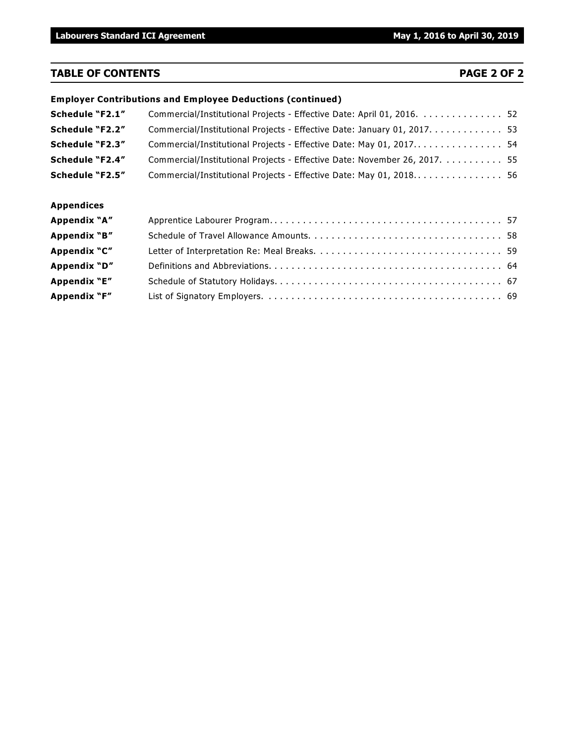# **TABLE OF CONTENTS PAGE 2 OF 2**

|                   | <b>Employer Contributions and Employee Deductions (continued)</b>          |  |
|-------------------|----------------------------------------------------------------------------|--|
| Schedule "F2.1"   | Commercial/Institutional Projects - Effective Date: April 01, 2016.  52    |  |
| Schedule "F2.2"   | Commercial/Institutional Projects - Effective Date: January 01, 2017. 53   |  |
| Schedule "F2.3"   |                                                                            |  |
| Schedule "F2.4"   | Commercial/Institutional Projects - Effective Date: November 26, 2017.  55 |  |
| Schedule "F2.5"   | Commercial/Institutional Projects - Effective Date: May 01, 2018 56        |  |
| <b>Appendices</b> |                                                                            |  |
| Appendix "A"      |                                                                            |  |
| Appendix "B"      |                                                                            |  |
| Appendix "C"      |                                                                            |  |
| Appendix "D"      |                                                                            |  |
| Appendix "E"      |                                                                            |  |
| Appendix "F"      |                                                                            |  |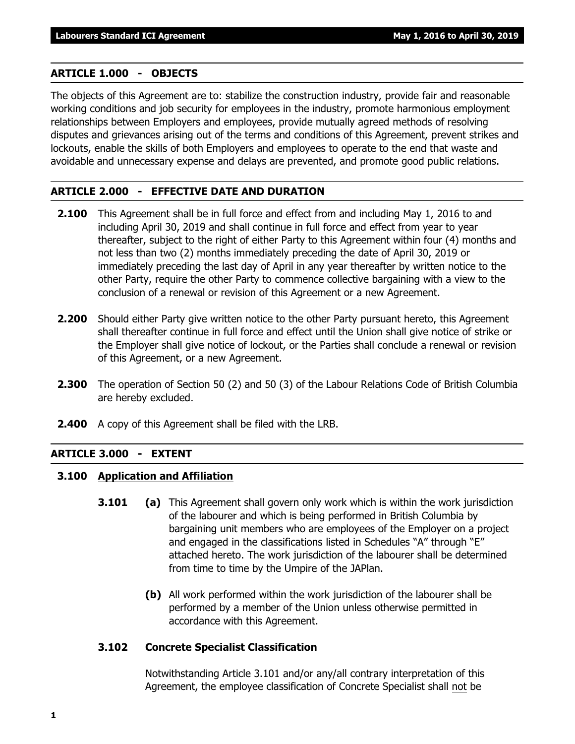# **ARTICLE 1.000 - OBJECTS**

The objects of this Agreement are to: stabilize the construction industry, provide fair and reasonable working conditions and job security for employees in the industry, promote harmonious employment relationships between Employers and employees, provide mutually agreed methods of resolving disputes and grievances arising out of the terms and conditions of this Agreement, prevent strikes and lockouts, enable the skills of both Employers and employees to operate to the end that waste and avoidable and unnecessary expense and delays are prevented, and promote good public relations.

# **ARTICLE 2.000 - EFFECTIVE DATE AND DURATION**

- **2.100** This Agreement shall be in full force and effect from and including May 1, 2016 to and including April 30, 2019 and shall continue in full force and effect from year to year thereafter, subject to the right of either Party to this Agreement within four (4) months and not less than two (2) months immediately preceding the date of April 30, 2019 or immediately preceding the last day of April in any year thereafter by written notice to the other Party, require the other Party to commence collective bargaining with a view to the conclusion of a renewal or revision of this Agreement or a new Agreement.
- **2.200** Should either Party give written notice to the other Party pursuant hereto, this Agreement shall thereafter continue in full force and effect until the Union shall give notice of strike or the Employer shall give notice of lockout, or the Parties shall conclude a renewal or revision of this Agreement, or a new Agreement.
- **2.300** The operation of Section 50 (2) and 50 (3) of the *Labour Relations Code* of British Columbia are hereby excluded.
- **2.400** A copy of this Agreement shall be filed with the LRB.

# **ARTICLE 3.000 - EXTENT**

# **3.100 Application and Affiliation**

- **3.101 (a)** This Agreement shall govern only work which is within the work jurisdiction of the labourer and which is being performed in British Columbia by bargaining unit members who are employees of the Employer on a project and engaged in the classifications listed in Schedules "A" through "E" attached hereto. The work jurisdiction of the labourer shall be determined from time to time by the Umpire of the JAPlan.
	- **(b)** All work performed within the work jurisdiction of the labourer shall be performed by a member of the Union unless otherwise permitted in accordance with this Agreement.

# **3.102 Concrete Specialist Classification**

Notwithstanding Article 3.101 and/or any/all contrary interpretation of this Agreement, the employee classification of Concrete Specialist shall not be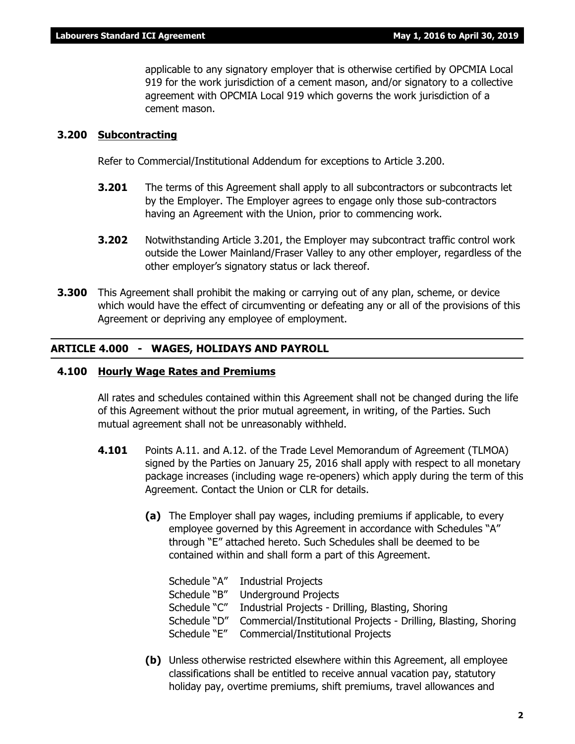applicable to any signatory employer that is otherwise certified by OPCMIA Local 919 for the work jurisdiction of a cement mason, and/or signatory to a collective agreement with OPCMIA Local 919 which governs the work jurisdiction of a cement mason.

# **3.200 Subcontracting**

Refer to Commercial/Institutional Addendum for exceptions to Article 3.200.

- **3.201** The terms of this Agreement shall apply to all subcontractors or subcontracts let by the Employer. The Employer agrees to engage only those sub-contractors having an Agreement with the Union, prior to commencing work.
- **3.202** Notwithstanding Article 3.201, the Employer may subcontract traffic control work outside the Lower Mainland/Fraser Valley to any other employer, regardless of the other employer's signatory status or lack thereof.
- **3.300** This Agreement shall prohibit the making or carrying out of any plan, scheme, or device which would have the effect of circumventing or defeating any or all of the provisions of this Agreement or depriving any employee of employment.

# **ARTICLE 4.000 - WAGES, HOLIDAYS AND PAYROLL**

# **4.100 Hourly Wage Rates and Premiums**

All rates and schedules contained within this Agreement shall not be changed during the life of this Agreement without the prior mutual agreement, in writing, of the Parties. Such mutual agreement shall not be unreasonably withheld.

- **4.101** Points A.11. and A.12. of the Trade Level Memorandum of Agreement (TLMOA) signed by the Parties on January 25, 2016 shall apply with respect to all monetary package increases (including wage re-openers) which apply during the term of this Agreement. Contact the Union or CLR for details.
	- **(a)** The Employer shall pay wages, including premiums if applicable, to every employee governed by this Agreement in accordance with Schedules "A" through "E" attached hereto. Such Schedules shall be deemed to be contained within and shall form a part of this Agreement.

| Schedule "A" Industrial Projects                                |
|-----------------------------------------------------------------|
| Underground Projects                                            |
| Industrial Projects - Drilling, Blasting, Shoring               |
| Commercial/Institutional Projects - Drilling, Blasting, Shoring |
| Schedule "E"<br><b>Commercial/Institutional Projects</b>        |
|                                                                 |

**(b)** Unless otherwise restricted elsewhere within this Agreement, all employee classifications shall be entitled to receive annual vacation pay, statutory holiday pay, overtime premiums, shift premiums, travel allowances and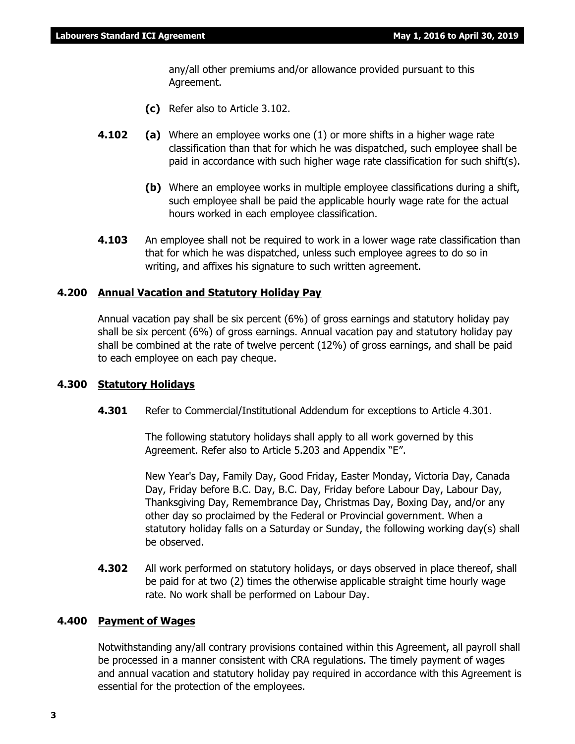any/all other premiums and/or allowance provided pursuant to this Agreement.

- **(c)** Refer also to Article 3.102.
- **4.102 (a)** Where an employee works one (1) or more shifts in a higher wage rate classification than that for which he was dispatched, such employee shall be paid in accordance with such higher wage rate classification for such shift(s).
	- **(b)** Where an employee works in multiple employee classifications during a shift, such employee shall be paid the applicable hourly wage rate for the actual hours worked in each employee classification.
- **4.103** An employee shall not be required to work in a lower wage rate classification than that for which he was dispatched, unless such employee agrees to do so in writing, and affixes his signature to such written agreement.

# **4.200 Annual Vacation and Statutory Holiday Pay**

Annual vacation pay shall be six percent (6%) of gross earnings and statutory holiday pay shall be six percent (6%) of gross earnings. Annual vacation pay and statutory holiday pay shall be combined at the rate of twelve percent (12%) of gross earnings, and shall be paid to each employee on each pay cheque.

# **4.300 Statutory Holidays**

**4.301** Refer to Commercial/Institutional Addendum for exceptions to Article 4.301.

The following statutory holidays shall apply to all work governed by this Agreement. Refer also to Article 5.203 and Appendix "E".

New Year's Day, Family Day, Good Friday, Easter Monday, Victoria Day, Canada Day, Friday before B.C. Day, B.C. Day, Friday before Labour Day, Labour Day, Thanksgiving Day, Remembrance Day, Christmas Day, Boxing Day, and/or any other day so proclaimed by the Federal or Provincial government. When a statutory holiday falls on a Saturday or Sunday, the following working day(s) shall be observed.

**4.302** All work performed on statutory holidays, or days observed in place thereof, shall be paid for at two (2) times the otherwise applicable straight time hourly wage rate. No work shall be performed on Labour Day.

# **4.400 Payment of Wages**

Notwithstanding any/all contrary provisions contained within this Agreement, all payroll shall be processed in a manner consistent with CRA regulations. The timely payment of wages and annual vacation and statutory holiday pay required in accordance with this Agreement is essential for the protection of the employees.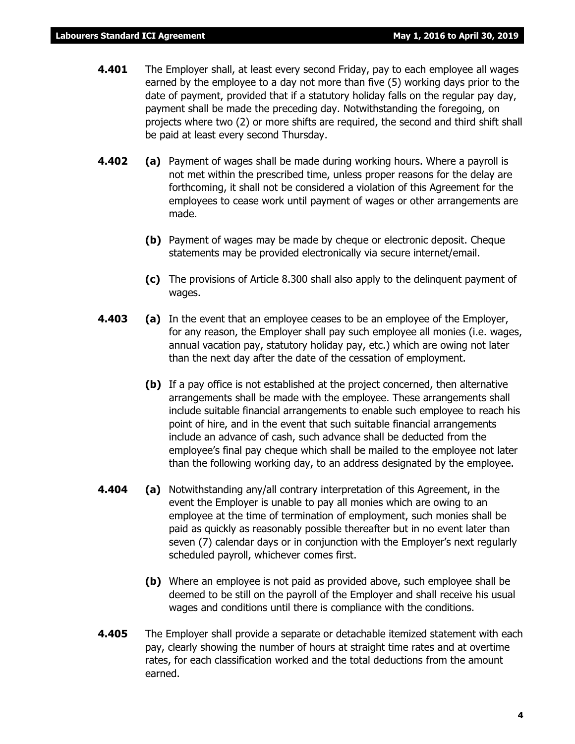- **4.401** The Employer shall, at least every second Friday, pay to each employee all wages earned by the employee to a day not more than five (5) working days prior to the date of payment, provided that if a statutory holiday falls on the regular pay day, payment shall be made the preceding day. Notwithstanding the foregoing, on projects where two (2) or more shifts are required, the second and third shift shall be paid at least every second Thursday.
- **4.402 (a)** Payment of wages shall be made during working hours. Where a payroll is not met within the prescribed time, unless proper reasons for the delay are forthcoming, it shall not be considered a violation of this Agreement for the employees to cease work until payment of wages or other arrangements are made.
	- **(b)** Payment of wages may be made by cheque or electronic deposit. Cheque statements may be provided electronically via secure internet/email.
	- **(c)** The provisions of Article 8.300 shall also apply to the delinquent payment of wages.
- **4.403 (a)** In the event that an employee ceases to be an employee of the Employer, for any reason, the Employer shall pay such employee all monies (i.e. wages, annual vacation pay, statutory holiday pay, etc.) which are owing not later than the next day after the date of the cessation of employment.
	- **(b)** If a pay office is not established at the project concerned, then alternative arrangements shall be made with the employee. These arrangements shall include suitable financial arrangements to enable such employee to reach his point of hire, and in the event that such suitable financial arrangements include an advance of cash, such advance shall be deducted from the employee's final pay cheque which shall be mailed to the employee not later than the following working day, to an address designated by the employee.
- **4.404 (a)** Notwithstanding any/all contrary interpretation of this Agreement, in the event the Employer is unable to pay all monies which are owing to an employee at the time of termination of employment, such monies shall be paid as quickly as reasonably possible thereafter but in no event later than seven (7) calendar days or in conjunction with the Employer's next regularly scheduled payroll, whichever comes first.
	- **(b)** Where an employee is not paid as provided above, such employee shall be deemed to be still on the payroll of the Employer and shall receive his usual wages and conditions until there is compliance with the conditions.
- **4.405** The Employer shall provide a separate or detachable itemized statement with each pay, clearly showing the number of hours at straight time rates and at overtime rates, for each classification worked and the total deductions from the amount earned.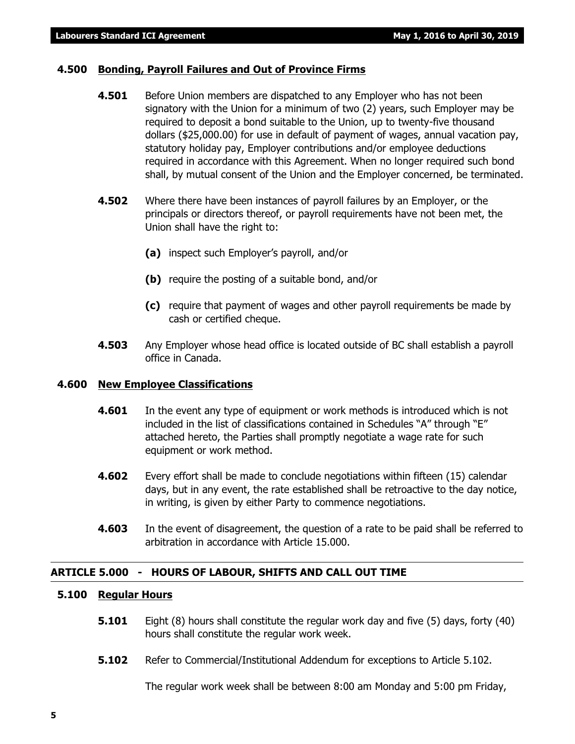# **4.500 Bonding, Payroll Failures and Out of Province Firms**

- **4.501** Before Union members are dispatched to any Employer who has not been signatory with the Union for a minimum of two (2) years, such Employer may be required to deposit a bond suitable to the Union, up to twenty-five thousand dollars (\$25,000.00) for use in default of payment of wages, annual vacation pay, statutory holiday pay, Employer contributions and/or employee deductions required in accordance with this Agreement. When no longer required such bond shall, by mutual consent of the Union and the Employer concerned, be terminated.
- **4.502** Where there have been instances of payroll failures by an Employer, or the principals or directors thereof, or payroll requirements have not been met, the Union shall have the right to:
	- **(a)** inspect such Employer's payroll, and/or
	- **(b)** require the posting of a suitable bond, and/or
	- **(c)** require that payment of wages and other payroll requirements be made by cash or certified cheque.
- **4.503** Any Employer whose head office is located outside of BC shall establish a payroll office in Canada.

# **4.600 New Employee Classifications**

- **4.601** In the event any type of equipment or work methods is introduced which is not included in the list of classifications contained in Schedules "A" through "E" attached hereto, the Parties shall promptly negotiate a wage rate for such equipment or work method.
- **4.602** Every effort shall be made to conclude negotiations within fifteen (15) calendar days, but in any event, the rate established shall be retroactive to the day notice, in writing, is given by either Party to commence negotiations.
- **4.603** In the event of disagreement, the question of a rate to be paid shall be referred to arbitration in accordance with Article 15.000.

# **ARTICLE 5.000 - HOURS OF LABOUR, SHIFTS AND CALL OUT TIME**

# **5.100 Regular Hours**

- **5.101** Eight (8) hours shall constitute the regular work day and five (5) days, forty (40) hours shall constitute the regular work week.
- **5.102** Refer to Commercial/Institutional Addendum for exceptions to Article 5.102.

The regular work week shall be between 8:00 am Monday and 5:00 pm Friday,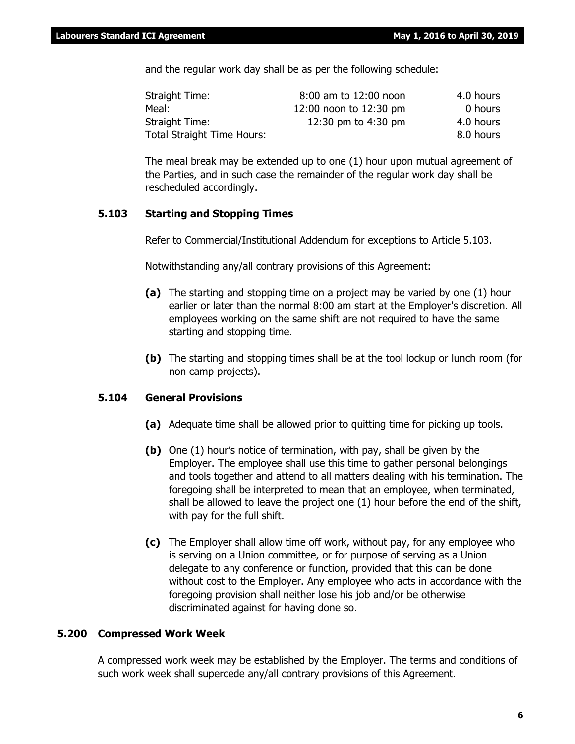and the regular work day shall be as per the following schedule:

| Straight Time:                    | 8:00 am to 12:00 noon  | 4.0 hours |
|-----------------------------------|------------------------|-----------|
| Meal:                             | 12:00 noon to 12:30 pm | 0 hours   |
| Straight Time:                    | 12:30 pm to 4:30 pm    | 4.0 hours |
| <b>Total Straight Time Hours:</b> |                        | 8.0 hours |

The meal break may be extended up to one (1) hour upon mutual agreement of the Parties, and in such case the remainder of the regular work day shall be rescheduled accordingly.

# **5.103 Starting and Stopping Times**

Refer to Commercial/Institutional Addendum for exceptions to Article 5.103.

Notwithstanding any/all contrary provisions of this Agreement:

- **(a)** The starting and stopping time on a project may be varied by one (1) hour earlier or later than the normal 8:00 am start at the Employer's discretion. All employees working on the same shift are not required to have the same starting and stopping time.
- **(b)** The starting and stopping times shall be at the tool lockup or lunch room (for non camp projects).

# **5.104 General Provisions**

- **(a)** Adequate time shall be allowed prior to quitting time for picking up tools.
- **(b)** One (1) hour's notice of termination, with pay, shall be given by the Employer. The employee shall use this time to gather personal belongings and tools together and attend to all matters dealing with his termination. The foregoing shall be interpreted to mean that an employee, when terminated, shall be allowed to leave the project one (1) hour before the end of the shift, with pay for the full shift.
- **(c)** The Employer shall allow time off work, without pay, for any employee who is serving on a Union committee, or for purpose of serving as a Union delegate to any conference or function, provided that this can be done without cost to the Employer. Any employee who acts in accordance with the foregoing provision shall neither lose his job and/or be otherwise discriminated against for having done so.

# **5.200 Compressed Work Week**

A compressed work week may be established by the Employer. The terms and conditions of such work week shall supercede any/all contrary provisions of this Agreement.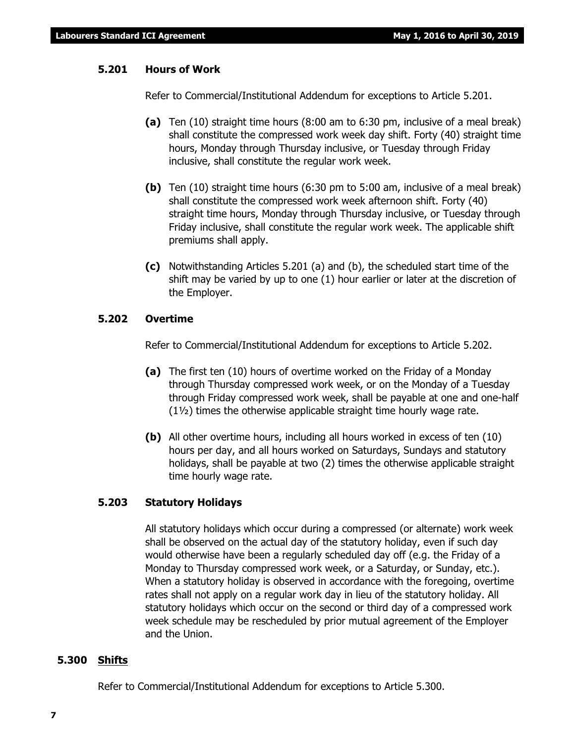# **5.201 Hours of Work**

Refer to Commercial/Institutional Addendum for exceptions to Article 5.201.

- **(a)** Ten (10) straight time hours (8:00 am to 6:30 pm, inclusive of a meal break) shall constitute the compressed work week day shift. Forty (40) straight time hours, Monday through Thursday inclusive, or Tuesday through Friday inclusive, shall constitute the regular work week.
- **(b)** Ten (10) straight time hours (6:30 pm to 5:00 am, inclusive of a meal break) shall constitute the compressed work week afternoon shift. Forty (40) straight time hours, Monday through Thursday inclusive, or Tuesday through Friday inclusive, shall constitute the regular work week. The applicable shift premiums shall apply.
- **(c)** Notwithstanding Articles 5.201 (a) and (b), the scheduled start time of the shift may be varied by up to one (1) hour earlier or later at the discretion of the Employer.

# **5.202 Overtime**

Refer to Commercial/Institutional Addendum for exceptions to Article 5.202.

- **(a)** The first ten (10) hours of overtime worked on the Friday of a Monday through Thursday compressed work week, or on the Monday of a Tuesday through Friday compressed work week, shall be payable at one and one-half (1½) times the otherwise applicable straight time hourly wage rate.
- **(b)** All other overtime hours, including all hours worked in excess of ten (10) hours per day, and all hours worked on Saturdays, Sundays and statutory holidays, shall be payable at two (2) times the otherwise applicable straight time hourly wage rate.

# **5.203 Statutory Holidays**

All statutory holidays which occur during a compressed (or alternate) work week shall be observed on the actual day of the statutory holiday, even if such day would otherwise have been a regularly scheduled day off (e.g. the Friday of a Monday to Thursday compressed work week, or a Saturday, or Sunday, etc.). When a statutory holiday is observed in accordance with the foregoing, overtime rates shall not apply on a regular work day in lieu of the statutory holiday. All statutory holidays which occur on the second or third day of a compressed work week schedule may be rescheduled by prior mutual agreement of the Employer and the Union.

# **5.300 Shifts**

Refer to Commercial/Institutional Addendum for exceptions to Article 5.300.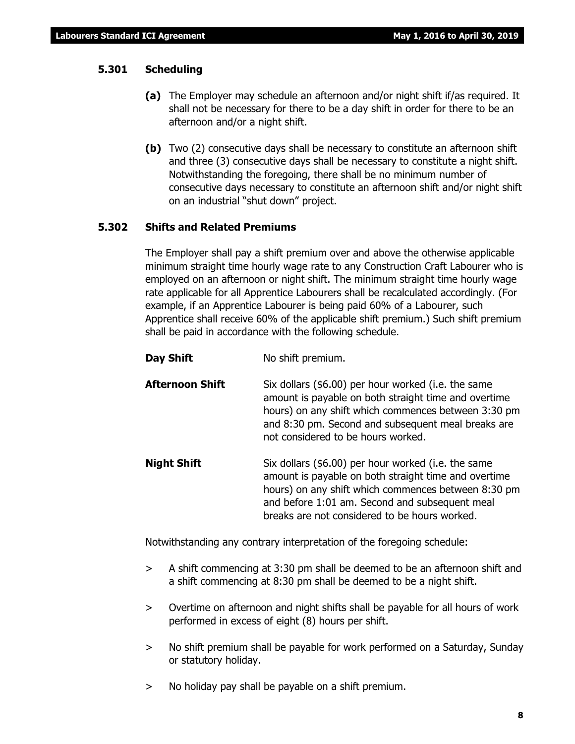# **5.301 Scheduling**

- **(a)** The Employer may schedule an afternoon and/or night shift if/as required. It shall not be necessary for there to be a day shift in order for there to be an afternoon and/or a night shift.
- **(b)** Two (2) consecutive days shall be necessary to constitute an afternoon shift and three (3) consecutive days shall be necessary to constitute a night shift. Notwithstanding the foregoing, there shall be no minimum number of consecutive days necessary to constitute an afternoon shift and/or night shift on an industrial "shut down" project.

# **5.302 Shifts and Related Premiums**

The Employer shall pay a shift premium over and above the otherwise applicable minimum straight time hourly wage rate to any Construction Craft Labourer who is employed on an afternoon or night shift. The minimum straight time hourly wage rate applicable for all Apprentice Labourers shall be recalculated accordingly. (For example, if an Apprentice Labourer is being paid 60% of a Labourer, such Apprentice shall receive 60% of the applicable shift premium.) Such shift premium shall be paid in accordance with the following schedule.

- **Day Shift** No shift premium.
- **Afternoon Shift** Six dollars (\$6.00) per hour worked (i.e. the same amount is payable on both straight time and overtime hours) on any shift which commences between 3:30 pm and 8:30 pm. Second and subsequent meal breaks are not considered to be hours worked.
- **Night Shift** Six dollars (\$6.00) per hour worked (i.e. the same amount is payable on both straight time and overtime hours) on any shift which commences between 8:30 pm and before 1:01 am. Second and subsequent meal breaks are not considered to be hours worked.

Notwithstanding any contrary interpretation of the foregoing schedule:

- > A shift commencing at 3:30 pm shall be deemed to be an afternoon shift and a shift commencing at 8:30 pm shall be deemed to be a night shift.
- > Overtime on afternoon and night shifts shall be payable for all hours of work performed in excess of eight (8) hours per shift.
- > No shift premium shall be payable for work performed on a Saturday, Sunday or statutory holiday.
- > No holiday pay shall be payable on a shift premium.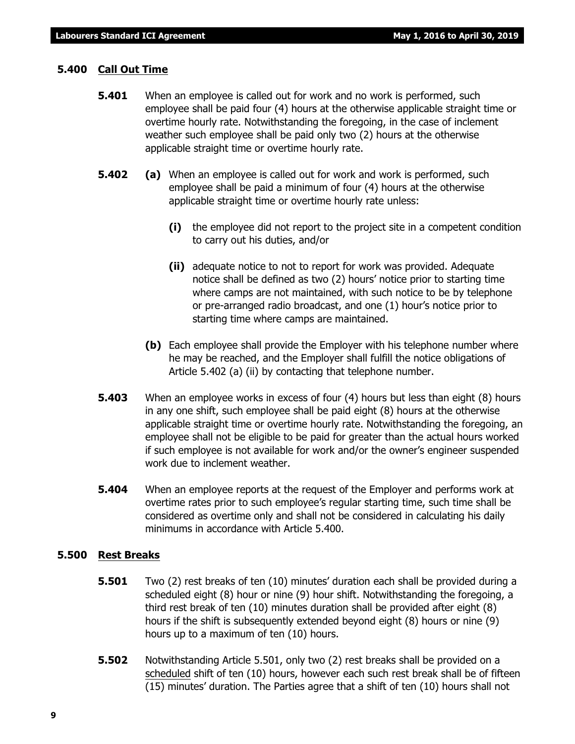# **5.400 Call Out Time**

- **5.401** When an employee is called out for work and no work is performed, such employee shall be paid four (4) hours at the otherwise applicable straight time or overtime hourly rate. Notwithstanding the foregoing, in the case of inclement weather such employee shall be paid only two (2) hours at the otherwise applicable straight time or overtime hourly rate.
- **5.402 (a)** When an employee is called out for work and work is performed, such employee shall be paid a minimum of four (4) hours at the otherwise applicable straight time or overtime hourly rate unless:
	- **(i)** the employee did not report to the project site in a competent condition to carry out his duties, and/or
	- **(ii)** adequate notice to not to report for work was provided. Adequate notice shall be defined as two (2) hours' notice prior to starting time where camps are not maintained, with such notice to be by telephone or pre-arranged radio broadcast, and one (1) hour's notice prior to starting time where camps are maintained.
	- **(b)** Each employee shall provide the Employer with his telephone number where he may be reached, and the Employer shall fulfill the notice obligations of Article 5.402 (a) (ii) by contacting that telephone number.
- **5.403** When an employee works in excess of four (4) hours but less than eight (8) hours in any one shift, such employee shall be paid eight (8) hours at the otherwise applicable straight time or overtime hourly rate. Notwithstanding the foregoing, an employee shall not be eligible to be paid for greater than the actual hours worked if such employee is not available for work and/or the owner's engineer suspended work due to inclement weather.
- **5.404** When an employee reports at the request of the Employer and performs work at overtime rates prior to such employee's regular starting time, such time shall be considered as overtime only and shall not be considered in calculating his daily minimums in accordance with Article 5.400.

# **5.500 Rest Breaks**

- **5.501** Two (2) rest breaks of ten (10) minutes' duration each shall be provided during a scheduled eight (8) hour or nine (9) hour shift. Notwithstanding the foregoing, a third rest break of ten (10) minutes duration shall be provided after eight (8) hours if the shift is subsequently extended beyond eight (8) hours or nine (9) hours up to a maximum of ten (10) hours.
- **5.502** Notwithstanding Article 5.501, only two (2) rest breaks shall be provided on a scheduled shift of ten (10) hours, however each such rest break shall be of fifteen (15) minutes' duration. The Parties agree that a shift of ten (10) hours shall not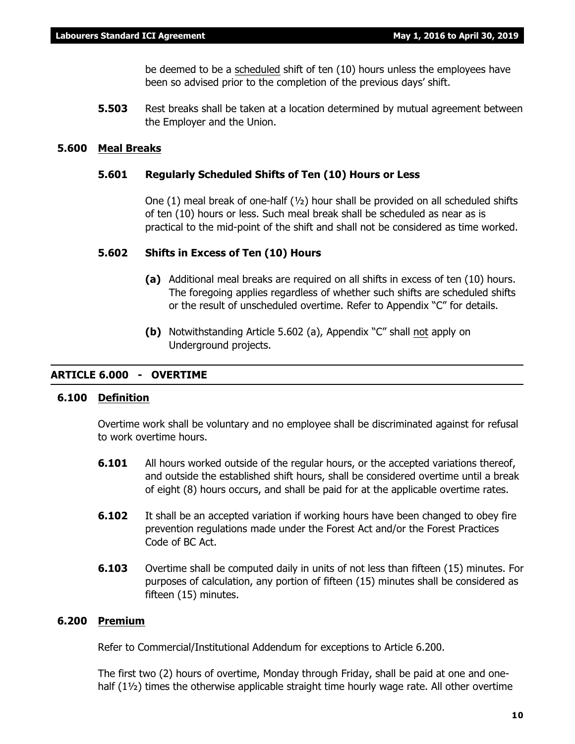be deemed to be a scheduled shift of ten (10) hours unless the employees have been so advised prior to the completion of the previous days' shift.

**5.503** Rest breaks shall be taken at a location determined by mutual agreement between the Employer and the Union.

# **5.600 Meal Breaks**

# **5.601 Regularly Scheduled Shifts of Ten (10) Hours or Less**

One (1) meal break of one-half  $(y_2)$  hour shall be provided on all scheduled shifts of ten (10) hours or less. Such meal break shall be scheduled as near as is practical to the mid-point of the shift and shall not be considered as time worked.

# **5.602 Shifts in Excess of Ten (10) Hours**

- **(a)** Additional meal breaks are required on all shifts in excess of ten (10) hours. The foregoing applies regardless of whether such shifts are scheduled shifts or the result of unscheduled overtime. Refer to Appendix "C" for details.
- **(b)** Notwithstanding Article 5.602 (a), Appendix "C" shall not apply on Underground projects.

# **ARTICLE 6.000 - OVERTIME**

# **6.100 Definition**

Overtime work shall be voluntary and no employee shall be discriminated against for refusal to work overtime hours.

- **6.101** All hours worked outside of the regular hours, or the accepted variations thereof, and outside the established shift hours, shall be considered overtime until a break of eight (8) hours occurs, and shall be paid for at the applicable overtime rates.
- **6.102** It shall be an accepted variation if working hours have been changed to obey fire prevention regulations made under the *Forest Act* and/or the *Forest Practices Code of BC Act*.
- **6.103** Overtime shall be computed daily in units of not less than fifteen (15) minutes. For purposes of calculation, any portion of fifteen (15) minutes shall be considered as fifteen (15) minutes.

# **6.200 Premium**

Refer to Commercial/Institutional Addendum for exceptions to Article 6.200.

The first two (2) hours of overtime, Monday through Friday, shall be paid at one and onehalf (1<sup>1/2</sup>) times the otherwise applicable straight time hourly wage rate. All other overtime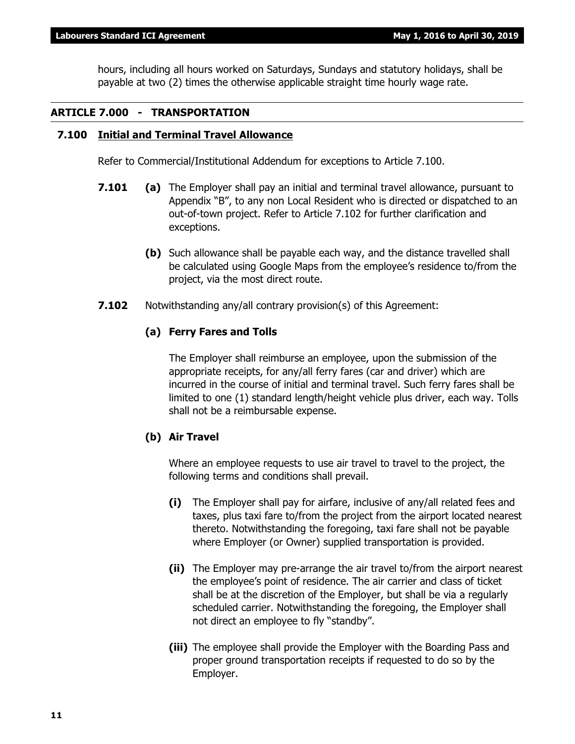hours, including all hours worked on Saturdays, Sundays and statutory holidays, shall be payable at two (2) times the otherwise applicable straight time hourly wage rate.

# **ARTICLE 7.000 - TRANSPORTATION**

# **7.100 Initial and Terminal Travel Allowance**

Refer to Commercial/Institutional Addendum for exceptions to Article 7.100.

- **7.101 (a)** The Employer shall pay an initial and terminal travel allowance, pursuant to Appendix "B", to any non Local Resident who is directed or dispatched to an out-of-town project. Refer to Article 7.102 for further clarification and exceptions.
	- **(b)** Such allowance shall be payable each way, and the distance travelled shall be calculated using Google Maps from the employee's residence to/from the project, via the most direct route.
- **7.102** Notwithstanding any/all contrary provision(s) of this Agreement:

# **(a) Ferry Fares and Tolls**

The Employer shall reimburse an employee, upon the submission of the appropriate receipts, for any/all ferry fares (car and driver) which are incurred in the course of initial and terminal travel. Such ferry fares shall be limited to one (1) standard length/height vehicle plus driver, each way. Tolls shall not be a reimbursable expense.

# **(b) Air Travel**

Where an employee requests to use air travel to travel to the project, the following terms and conditions shall prevail.

- **(i)** The Employer shall pay for airfare, inclusive of any/all related fees and taxes, plus taxi fare to/from the project from the airport located nearest thereto. Notwithstanding the foregoing, taxi fare shall not be payable where Employer (or Owner) supplied transportation is provided.
- **(ii)** The Employer may pre-arrange the air travel to/from the airport nearest the employee's point of residence. The air carrier and class of ticket shall be at the discretion of the Employer, but shall be via a regularly scheduled carrier. Notwithstanding the foregoing, the Employer shall not direct an employee to fly "standby".
- **(iii)** The employee shall provide the Employer with the Boarding Pass and proper ground transportation receipts if requested to do so by the Employer.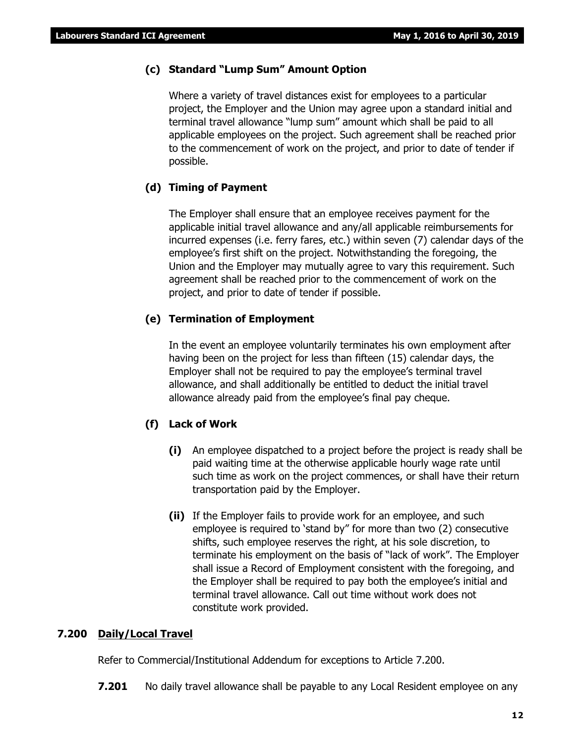# **(c) Standard "Lump Sum" Amount Option**

Where a variety of travel distances exist for employees to a particular project, the Employer and the Union may agree upon a standard initial and terminal travel allowance "lump sum" amount which shall be paid to all applicable employees on the project. Such agreement shall be reached prior to the commencement of work on the project, and prior to date of tender if possible.

# **(d) Timing of Payment**

The Employer shall ensure that an employee receives payment for the applicable initial travel allowance and any/all applicable reimbursements for incurred expenses (i.e. ferry fares, etc.) within seven (7) calendar days of the employee's first shift on the project. Notwithstanding the foregoing, the Union and the Employer may mutually agree to vary this requirement. Such agreement shall be reached prior to the commencement of work on the project, and prior to date of tender if possible.

# **(e) Termination of Employment**

In the event an employee voluntarily terminates his own employment after having been on the project for less than fifteen (15) calendar days, the Employer shall not be required to pay the employee's terminal travel allowance, and shall additionally be entitled to deduct the initial travel allowance already paid from the employee's final pay cheque.

# **(f) Lack of Work**

- **(i)** An employee dispatched to a project before the project is ready shall be paid waiting time at the otherwise applicable hourly wage rate until such time as work on the project commences, or shall have their return transportation paid by the Employer.
- **(ii)** If the Employer fails to provide work for an employee, and such employee is required to 'stand by" for more than two (2) consecutive shifts, such employee reserves the right, at his sole discretion, to terminate his employment on the basis of "lack of work". The Employer shall issue a Record of Employment consistent with the foregoing, and the Employer shall be required to pay both the employee's initial and terminal travel allowance. Call out time without work does not constitute work provided.

# **7.200 Daily/Local Travel**

Refer to Commercial/Institutional Addendum for exceptions to Article 7.200.

**7.201** No daily travel allowance shall be payable to any Local Resident employee on any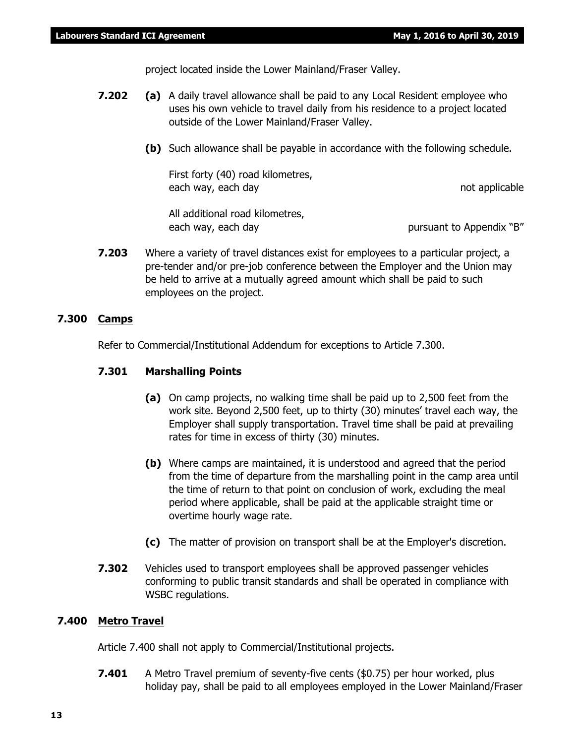project located inside the Lower Mainland/Fraser Valley.

- **7.202 (a)** A daily travel allowance shall be paid to any Local Resident employee who uses his own vehicle to travel daily from his residence to a project located outside of the Lower Mainland/Fraser Valley.
	- **(b)** Such allowance shall be payable in accordance with the following schedule.

First forty (40) road kilometres, each way, each day not applicable

All additional road kilometres, each way, each day bursuant to Appendix "B"

**7.203** Where a variety of travel distances exist for employees to a particular project, a pre-tender and/or pre-job conference between the Employer and the Union may be held to arrive at a mutually agreed amount which shall be paid to such employees on the project.

# **7.300 Camps**

Refer to Commercial/Institutional Addendum for exceptions to Article 7.300.

# **7.301 Marshalling Points**

- **(a)** On camp projects, no walking time shall be paid up to 2,500 feet from the work site. Beyond 2,500 feet, up to thirty (30) minutes' travel each way, the Employer shall supply transportation. Travel time shall be paid at prevailing rates for time in excess of thirty (30) minutes.
- **(b)** Where camps are maintained, it is understood and agreed that the period from the time of departure from the marshalling point in the camp area until the time of return to that point on conclusion of work, excluding the meal period where applicable, shall be paid at the applicable straight time or overtime hourly wage rate.
- **(c)** The matter of provision on transport shall be at the Employer's discretion.
- **7.302** Vehicles used to transport employees shall be approved passenger vehicles conforming to public transit standards and shall be operated in compliance with WSBC regulations.

# **7.400 Metro Travel**

Article 7.400 shall not apply to Commercial/Institutional projects.

**7.401** A Metro Travel premium of seventy-five cents (\$0.75) per hour worked, plus holiday pay, shall be paid to all employees employed in the Lower Mainland/Fraser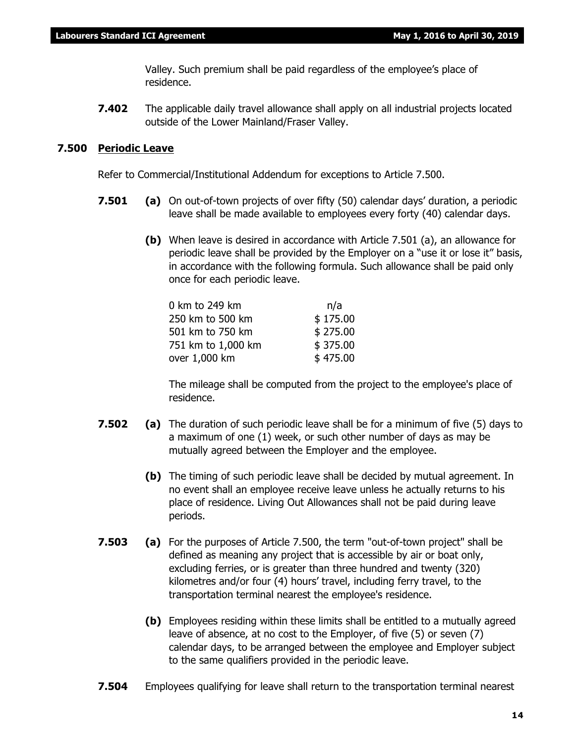Valley. Such premium shall be paid regardless of the employee's place of residence.

**7.402** The applicable daily travel allowance shall apply on all industrial projects located outside of the Lower Mainland/Fraser Valley.

# **7.500 Periodic Leave**

Refer to Commercial/Institutional Addendum for exceptions to Article 7.500.

- **7.501 (a)** On out-of-town projects of over fifty (50) calendar days' duration, a periodic leave shall be made available to employees every forty (40) calendar days.
	- **(b)** When leave is desired in accordance with Article 7.501 (a), an allowance for periodic leave shall be provided by the Employer on a "use it or lose it" basis, in accordance with the following formula. Such allowance shall be paid only once for each periodic leave.

| 0 km to 249 km     | n/a      |
|--------------------|----------|
| 250 km to 500 km   | \$175.00 |
| 501 km to 750 km   | \$275.00 |
| 751 km to 1,000 km | \$375.00 |
| over 1,000 km      | \$475.00 |

The mileage shall be computed from the project to the employee's place of residence.

- **7.502 (a)** The duration of such periodic leave shall be for a minimum of five (5) days to a maximum of one (1) week, or such other number of days as may be mutually agreed between the Employer and the employee.
	- **(b)** The timing of such periodic leave shall be decided by mutual agreement. In no event shall an employee receive leave unless he actually returns to his place of residence. Living Out Allowances shall not be paid during leave periods.
- **7.503 (a)** For the purposes of Article 7.500, the term "out-of-town project" shall be defined as meaning any project that is accessible by air or boat only, excluding ferries, or is greater than three hundred and twenty (320) kilometres and/or four (4) hours' travel, including ferry travel, to the transportation terminal nearest the employee's residence.
	- **(b)** Employees residing within these limits shall be entitled to a mutually agreed leave of absence, at no cost to the Employer, of five (5) or seven (7) calendar days, to be arranged between the employee and Employer subject to the same qualifiers provided in the periodic leave.
- **7.504** Employees qualifying for leave shall return to the transportation terminal nearest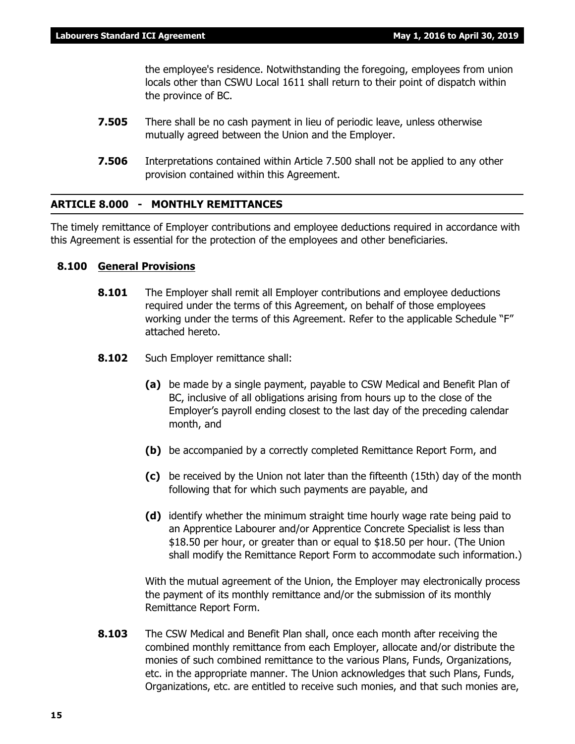the employee's residence. Notwithstanding the foregoing, employees from union locals other than CSWU Local 1611 shall return to their point of dispatch within the province of BC.

- **7.505** There shall be no cash payment in lieu of periodic leave, unless otherwise mutually agreed between the Union and the Employer.
- **7.506** Interpretations contained within Article 7.500 shall not be applied to any other provision contained within this Agreement.

# **ARTICLE 8.000 - MONTHLY REMITTANCES**

The timely remittance of Employer contributions and employee deductions required in accordance with this Agreement is essential for the protection of the employees and other beneficiaries.

# **8.100 General Provisions**

- **8.101** The Employer shall remit all Employer contributions and employee deductions required under the terms of this Agreement, on behalf of those employees working under the terms of this Agreement. Refer to the applicable Schedule "F" attached hereto.
- **8.102** Such Employer remittance shall:
	- **(a)** be made by a single payment, payable to CSW Medical and Benefit Plan of BC, inclusive of all obligations arising from hours up to the close of the Employer's payroll ending closest to the last day of the preceding calendar month, and
	- **(b)** be accompanied by a correctly completed Remittance Report Form, and
	- **(c)** be received by the Union not later than the fifteenth (15th) day of the month following that for which such payments are payable, and
	- **(d)** identify whether the minimum straight time hourly wage rate being paid to an Apprentice Labourer and/or Apprentice Concrete Specialist is less than \$18.50 per hour, or greater than or equal to \$18.50 per hour. (The Union shall modify the Remittance Report Form to accommodate such information.)

With the mutual agreement of the Union, the Employer may electronically process the payment of its monthly remittance and/or the submission of its monthly Remittance Report Form.

**8.103** The CSW Medical and Benefit Plan shall, once each month after receiving the combined monthly remittance from each Employer, allocate and/or distribute the monies of such combined remittance to the various Plans, Funds, Organizations, etc. in the appropriate manner. The Union acknowledges that such Plans, Funds, Organizations, etc. are entitled to receive such monies, and that such monies are,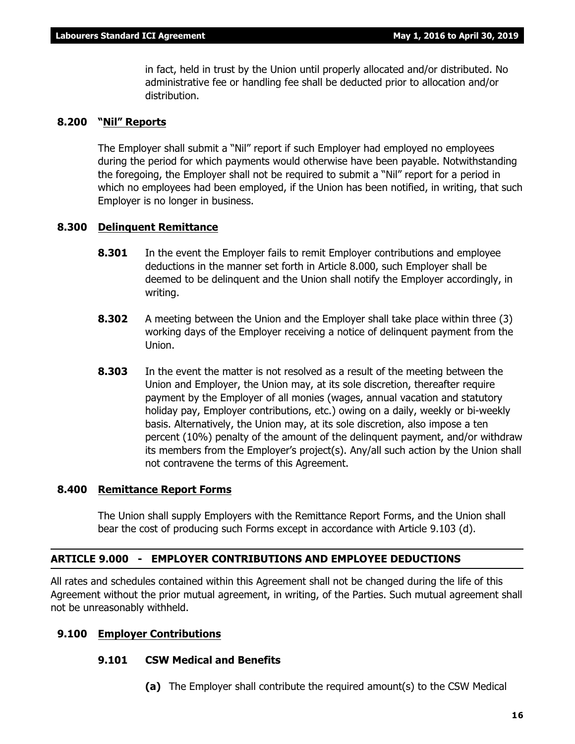in fact, held in trust by the Union until properly allocated and/or distributed. No administrative fee or handling fee shall be deducted prior to allocation and/or distribution.

# **8.200 "Nil" Reports**

The Employer shall submit a "Nil" report if such Employer had employed no employees during the period for which payments would otherwise have been payable. Notwithstanding the foregoing, the Employer shall not be required to submit a "Nil" report for a period in which no employees had been employed, if the Union has been notified, in writing, that such Employer is no longer in business.

# **8.300 Delinquent Remittance**

- **8.301** In the event the Employer fails to remit Employer contributions and employee deductions in the manner set forth in Article 8.000, such Employer shall be deemed to be delinquent and the Union shall notify the Employer accordingly, in writing.
- **8.302** A meeting between the Union and the Employer shall take place within three (3) working days of the Employer receiving a notice of delinquent payment from the Union.
- **8.303** In the event the matter is not resolved as a result of the meeting between the Union and Employer, the Union may, at its sole discretion, thereafter require payment by the Employer of all monies (wages, annual vacation and statutory holiday pay, Employer contributions, etc.) owing on a daily, weekly or bi-weekly basis. Alternatively, the Union may, at its sole discretion, also impose a ten percent (10%) penalty of the amount of the delinquent payment, and/or withdraw its members from the Employer's project(s). Any/all such action by the Union shall not contravene the terms of this Agreement.

# **8.400 Remittance Report Forms**

The Union shall supply Employers with the Remittance Report Forms, and the Union shall bear the cost of producing such Forms except in accordance with Article 9.103 (d).

# **ARTICLE 9.000 - EMPLOYER CONTRIBUTIONS AND EMPLOYEE DEDUCTIONS**

All rates and schedules contained within this Agreement shall not be changed during the life of this Agreement without the prior mutual agreement, in writing, of the Parties. Such mutual agreement shall not be unreasonably withheld.

# **9.100 Employer Contributions**

# **9.101 CSW Medical and Benefits**

**(a)** The Employer shall contribute the required amount(s) to the CSW Medical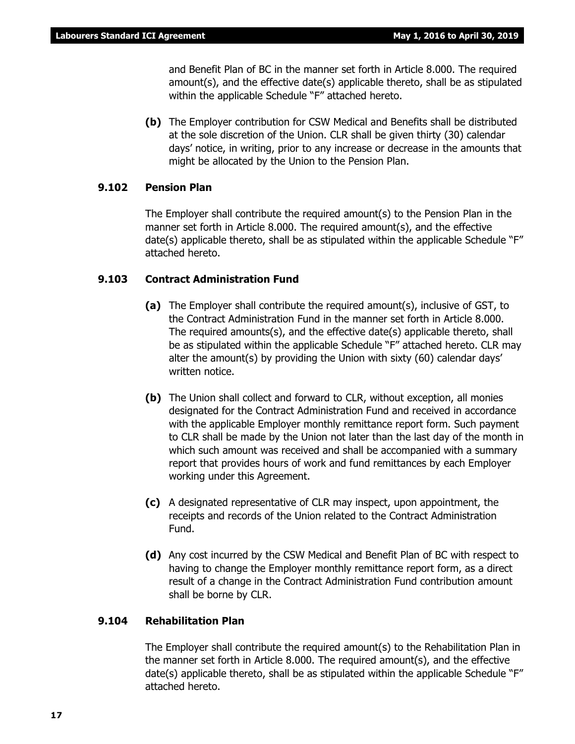and Benefit Plan of BC in the manner set forth in Article 8.000. The required amount(s), and the effective date(s) applicable thereto, shall be as stipulated within the applicable Schedule "F" attached hereto.

**(b)** The Employer contribution for CSW Medical and Benefits shall be distributed at the sole discretion of the Union. CLR shall be given thirty (30) calendar days' notice, in writing, prior to any increase or decrease in the amounts that might be allocated by the Union to the Pension Plan.

# **9.102 Pension Plan**

The Employer shall contribute the required amount(s) to the Pension Plan in the manner set forth in Article 8.000. The required amount(s), and the effective date(s) applicable thereto, shall be as stipulated within the applicable Schedule "F" attached hereto.

# **9.103 Contract Administration Fund**

- **(a)** The Employer shall contribute the required amount(s), inclusive of GST, to the Contract Administration Fund in the manner set forth in Article 8.000. The required amounts(s), and the effective date(s) applicable thereto, shall be as stipulated within the applicable Schedule "F" attached hereto. CLR may alter the amount(s) by providing the Union with sixty (60) calendar days' written notice.
- **(b)** The Union shall collect and forward to CLR, without exception, all monies designated for the Contract Administration Fund and received in accordance with the applicable Employer monthly remittance report form. Such payment to CLR shall be made by the Union not later than the last day of the month in which such amount was received and shall be accompanied with a summary report that provides hours of work and fund remittances by each Employer working under this Agreement.
- **(c)** A designated representative of CLR may inspect, upon appointment, the receipts and records of the Union related to the Contract Administration Fund.
- **(d)** Any cost incurred by the CSW Medical and Benefit Plan of BC with respect to having to change the Employer monthly remittance report form, as a direct result of a change in the Contract Administration Fund contribution amount shall be borne by CLR.

# **9.104 Rehabilitation Plan**

The Employer shall contribute the required amount(s) to the Rehabilitation Plan in the manner set forth in Article 8.000. The required amount(s), and the effective date(s) applicable thereto, shall be as stipulated within the applicable Schedule "F" attached hereto.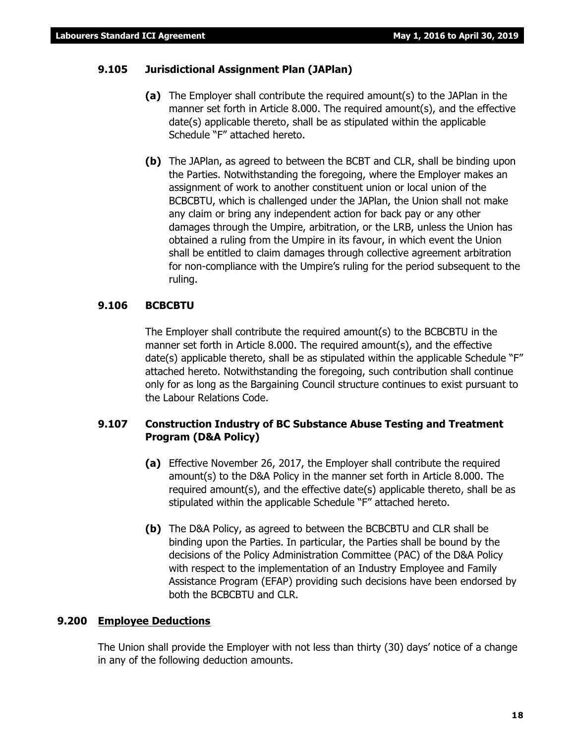# **9.105 Jurisdictional Assignment Plan (JAPlan)**

- **(a)** The Employer shall contribute the required amount(s) to the JAPlan in the manner set forth in Article 8.000. The required amount(s), and the effective date(s) applicable thereto, shall be as stipulated within the applicable Schedule "F" attached hereto.
- **(b)** The JAPlan, as agreed to between the BCBT and CLR, shall be binding upon the Parties. Notwithstanding the foregoing, where the Employer makes an assignment of work to another constituent union or local union of the BCBCBTU, which is challenged under the JAPlan, the Union shall not make any claim or bring any independent action for back pay or any other damages through the Umpire, arbitration, or the LRB, unless the Union has obtained a ruling from the Umpire in its favour, in which event the Union shall be entitled to claim damages through collective agreement arbitration for non-compliance with the Umpire's ruling for the period subsequent to the ruling.

# **9.106 BCBCBTU**

The Employer shall contribute the required amount(s) to the BCBCBTU in the manner set forth in Article 8.000. The required amount(s), and the effective date(s) applicable thereto, shall be as stipulated within the applicable Schedule "F" attached hereto. Notwithstanding the foregoing, such contribution shall continue only for as long as the Bargaining Council structure continues to exist pursuant to the *Labour Relations Code*.

# **9.107 Construction Industry of BC Substance Abuse Testing and Treatment Program (D&A Policy)**

- **(a)** Effective November 26, 2017, the Employer shall contribute the required amount(s) to the D&A Policy in the manner set forth in Article 8.000. The required amount(s), and the effective date(s) applicable thereto, shall be as stipulated within the applicable Schedule "F" attached hereto.
- **(b)** The D&A Policy, as agreed to between the BCBCBTU and CLR shall be binding upon the Parties. In particular, the Parties shall be bound by the decisions of the Policy Administration Committee (PAC) of the D&A Policy with respect to the implementation of an Industry Employee and Family Assistance Program (EFAP) providing such decisions have been endorsed by both the BCBCBTU and CLR.

# **9.200 Employee Deductions**

The Union shall provide the Employer with not less than thirty (30) days' notice of a change in any of the following deduction amounts.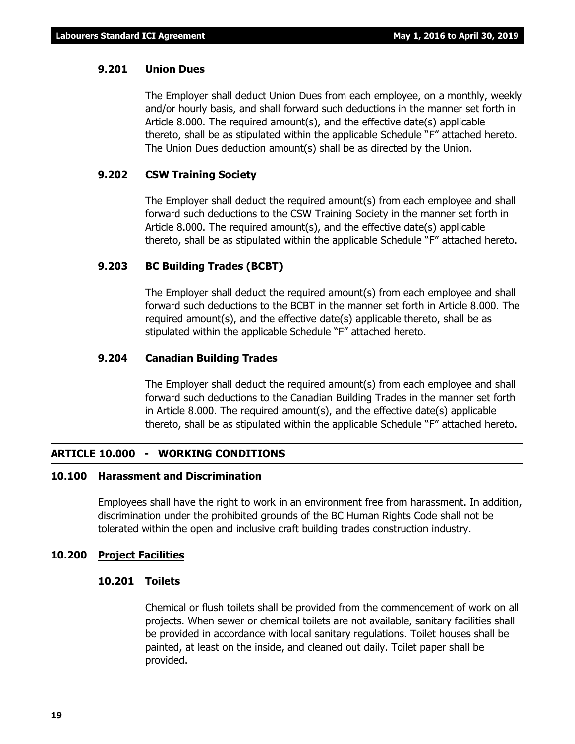# **9.201 Union Dues**

The Employer shall deduct Union Dues from each employee, on a monthly, weekly and/or hourly basis, and shall forward such deductions in the manner set forth in Article 8.000. The required amount(s), and the effective date(s) applicable thereto, shall be as stipulated within the applicable Schedule "F" attached hereto. The Union Dues deduction amount(s) shall be as directed by the Union.

# **9.202 CSW Training Society**

The Employer shall deduct the required amount(s) from each employee and shall forward such deductions to the CSW Training Society in the manner set forth in Article 8.000. The required amount(s), and the effective date(s) applicable thereto, shall be as stipulated within the applicable Schedule "F" attached hereto.

# **9.203 BC Building Trades (BCBT)**

The Employer shall deduct the required amount(s) from each employee and shall forward such deductions to the BCBT in the manner set forth in Article 8.000. The required amount(s), and the effective date(s) applicable thereto, shall be as stipulated within the applicable Schedule "F" attached hereto.

# **9.204 Canadian Building Trades**

The Employer shall deduct the required amount(s) from each employee and shall forward such deductions to the Canadian Building Trades in the manner set forth in Article 8.000. The required amount(s), and the effective date(s) applicable thereto, shall be as stipulated within the applicable Schedule "F" attached hereto.

# **ARTICLE 10.000 - WORKING CONDITIONS**

# **10.100 Harassment and Discrimination**

Employees shall have the right to work in an environment free from harassment. In addition, discrimination under the prohibited grounds of the *BC Human Rights Code* shall not be tolerated within the open and inclusive craft building trades construction industry.

# **10.200 Project Facilities**

# **10.201 Toilets**

Chemical or flush toilets shall be provided from the commencement of work on all projects. When sewer or chemical toilets are not available, sanitary facilities shall be provided in accordance with local sanitary regulations. Toilet houses shall be painted, at least on the inside, and cleaned out daily. Toilet paper shall be provided.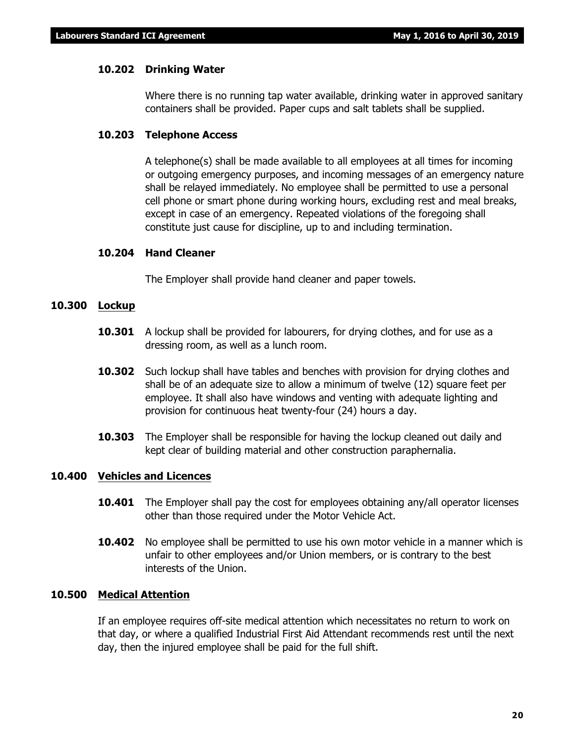# **10.202 Drinking Water**

Where there is no running tap water available, drinking water in approved sanitary containers shall be provided. Paper cups and salt tablets shall be supplied.

# **10.203 Telephone Access**

A telephone(s) shall be made available to all employees at all times for incoming or outgoing emergency purposes, and incoming messages of an emergency nature shall be relayed immediately. No employee shall be permitted to use a personal cell phone or smart phone during working hours, excluding rest and meal breaks, except in case of an emergency. Repeated violations of the foregoing shall constitute just cause for discipline, up to and including termination.

# **10.204 Hand Cleaner**

The Employer shall provide hand cleaner and paper towels.

# **10.300 Lockup**

- **10.301** A lockup shall be provided for labourers, for drying clothes, and for use as a dressing room, as well as a lunch room.
- **10.302** Such lockup shall have tables and benches with provision for drying clothes and shall be of an adequate size to allow a minimum of twelve (12) square feet per employee. It shall also have windows and venting with adequate lighting and provision for continuous heat twenty-four (24) hours a day.
- **10.303** The Employer shall be responsible for having the lockup cleaned out daily and kept clear of building material and other construction paraphernalia.

# **10.400 Vehicles and Licences**

- **10.401** The Employer shall pay the cost for employees obtaining any/all operator licenses other than those required under the *Motor Vehicle Act*.
- **10.402** No employee shall be permitted to use his own motor vehicle in a manner which is unfair to other employees and/or Union members, or is contrary to the best interests of the Union.

# **10.500 Medical Attention**

If an employee requires off-site medical attention which necessitates no return to work on that day, or where a qualified Industrial First Aid Attendant recommends rest until the next day, then the injured employee shall be paid for the full shift.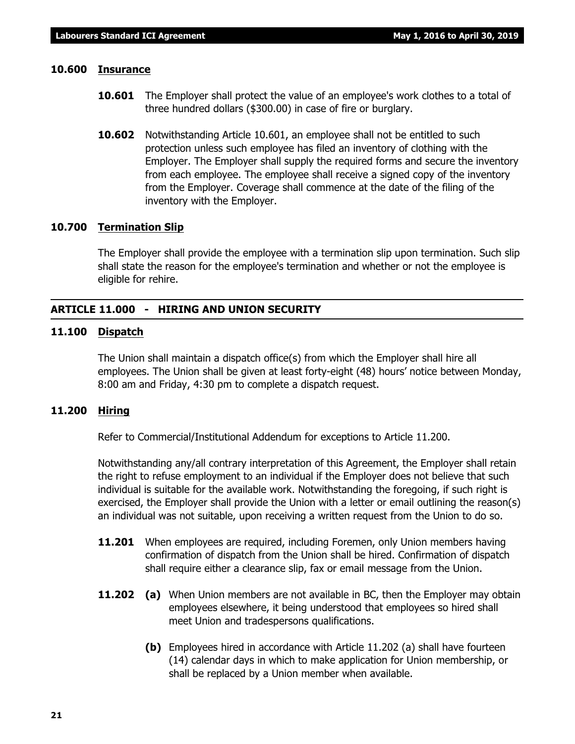# **10.600 Insurance**

- **10.601** The Employer shall protect the value of an employee's work clothes to a total of three hundred dollars (\$300.00) in case of fire or burglary.
- **10.602** Notwithstanding Article 10.601, an employee shall not be entitled to such protection unless such employee has filed an inventory of clothing with the Employer. The Employer shall supply the required forms and secure the inventory from each employee. The employee shall receive a signed copy of the inventory from the Employer. Coverage shall commence at the date of the filing of the inventory with the Employer.

# **10.700 Termination Slip**

The Employer shall provide the employee with a termination slip upon termination. Such slip shall state the reason for the employee's termination and whether or not the employee is eligible for rehire.

# **ARTICLE 11.000 - HIRING AND UNION SECURITY**

# **11.100 Dispatch**

The Union shall maintain a dispatch office(s) from which the Employer shall hire all employees. The Union shall be given at least forty-eight (48) hours' notice between Monday, 8:00 am and Friday, 4:30 pm to complete a dispatch request.

# **11.200 Hiring**

Refer to Commercial/Institutional Addendum for exceptions to Article 11.200.

Notwithstanding any/all contrary interpretation of this Agreement, the Employer shall retain the right to refuse employment to an individual if the Employer does not believe that such individual is suitable for the available work. Notwithstanding the foregoing, if such right is exercised, the Employer shall provide the Union with a letter or email outlining the reason(s) an individual was not suitable, upon receiving a written request from the Union to do so.

- **11.201** When employees are required, including Foremen, only Union members having confirmation of dispatch from the Union shall be hired. Confirmation of dispatch shall require either a clearance slip, fax or email message from the Union.
- **11.202 (a)** When Union members are not available in BC, then the Employer may obtain employees elsewhere, it being understood that employees so hired shall meet Union and tradespersons qualifications.
	- **(b)** Employees hired in accordance with Article 11.202 (a) shall have fourteen (14) calendar days in which to make application for Union membership, or shall be replaced by a Union member when available.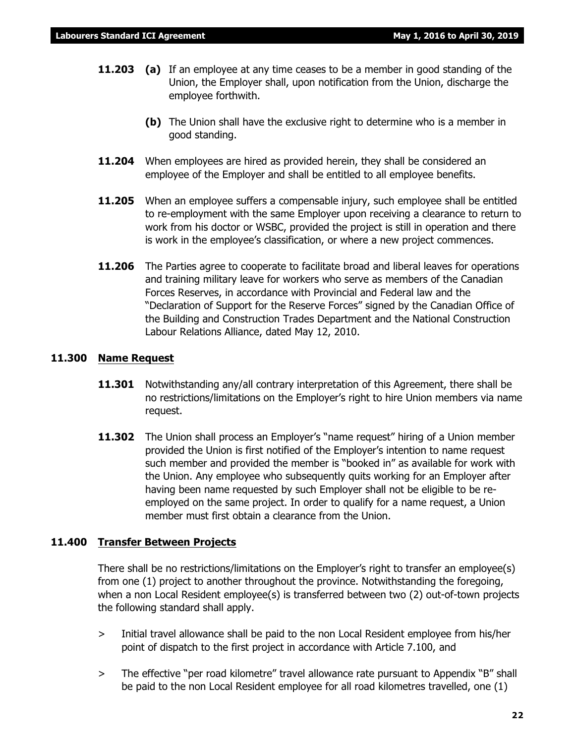- **11.203 (a)** If an employee at any time ceases to be a member in good standing of the Union, the Employer shall, upon notification from the Union, discharge the employee forthwith.
	- **(b)** The Union shall have the exclusive right to determine who is a member in good standing.
- **11.204** When employees are hired as provided herein, they shall be considered an employee of the Employer and shall be entitled to all employee benefits.
- **11.205** When an employee suffers a compensable injury, such employee shall be entitled to re-employment with the same Employer upon receiving a clearance to return to work from his doctor or WSBC, provided the project is still in operation and there is work in the employee's classification, or where a new project commences.
- **11.206** The Parties agree to cooperate to facilitate broad and liberal leaves for operations and training military leave for workers who serve as members of the Canadian Forces Reserves, in accordance with Provincial and Federal law and the "Declaration of Support for the Reserve Forces" signed by the Canadian Office of the Building and Construction Trades Department and the National Construction Labour Relations Alliance, dated May 12, 2010.

# **11.300 Name Request**

- **11.301** Notwithstanding any/all contrary interpretation of this Agreement, there shall be no restrictions/limitations on the Employer's right to hire Union members via name request.
- **11.302** The Union shall process an Employer's "name request" hiring of a Union member provided the Union is first notified of the Employer's intention to name request such member and provided the member is "booked in" as available for work with the Union. Any employee who subsequently quits working for an Employer after having been name requested by such Employer shall not be eligible to be reemployed on the same project. In order to qualify for a name request, a Union member must first obtain a clearance from the Union.

# **11.400 Transfer Between Projects**

There shall be no restrictions/limitations on the Employer's right to transfer an employee(s) from one (1) project to another throughout the province. Notwithstanding the foregoing, when a non Local Resident employee(s) is transferred between two (2) out-of-town projects the following standard shall apply.

- > Initial travel allowance shall be paid to the non Local Resident employee from his/her point of dispatch to the first project in accordance with Article 7.100, and
- > The effective "per road kilometre" travel allowance rate pursuant to Appendix "B" shall be paid to the non Local Resident employee for all road kilometres travelled, one (1)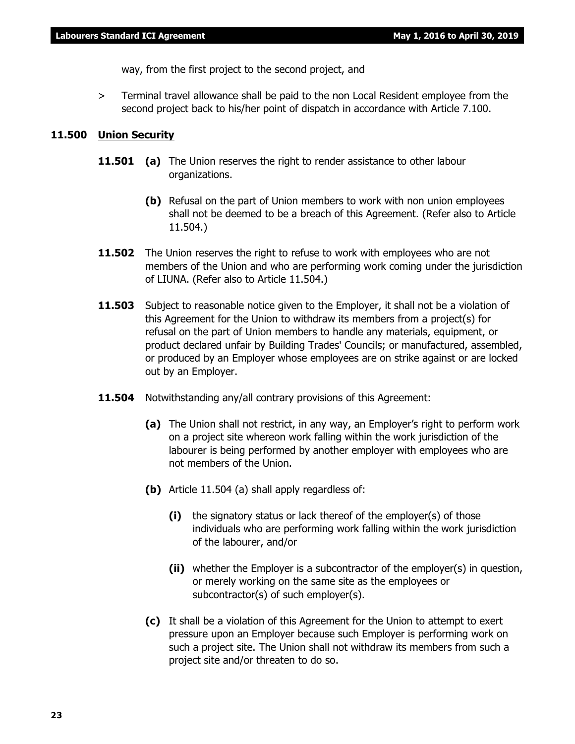way, from the first project to the second project, and

> Terminal travel allowance shall be paid to the non Local Resident employee from the second project back to his/her point of dispatch in accordance with Article 7.100.

# **11.500 Union Security**

- **11.501 (a)** The Union reserves the right to render assistance to other labour organizations.
	- **(b)** Refusal on the part of Union members to work with non union employees shall not be deemed to be a breach of this Agreement. (Refer also to Article 11.504.)
- **11.502** The Union reserves the right to refuse to work with employees who are not members of the Union and who are performing work coming under the jurisdiction of LIUNA. (Refer also to Article 11.504.)
- **11.503** Subject to reasonable notice given to the Employer, it shall not be a violation of this Agreement for the Union to withdraw its members from a project(s) for refusal on the part of Union members to handle any materials, equipment, or product declared unfair by Building Trades' Councils; or manufactured, assembled, or produced by an Employer whose employees are on strike against or are locked out by an Employer.
- **11.504** Notwithstanding any/all contrary provisions of this Agreement:
	- **(a)** The Union shall not restrict, in any way, an Employer's right to perform work on a project site whereon work falling within the work jurisdiction of the labourer is being performed by another employer with employees who are not members of the Union.
	- **(b)** Article 11.504 (a) shall apply regardless of:
		- **(i)** the signatory status or lack thereof of the employer(s) of those individuals who are performing work falling within the work jurisdiction of the labourer, and/or
		- **(ii)** whether the Employer is a subcontractor of the employer(s) in question, or merely working on the same site as the employees or subcontractor(s) of such employer(s).
	- **(c)** It shall be a violation of this Agreement for the Union to attempt to exert pressure upon an Employer because such Employer is performing work on such a project site. The Union shall not withdraw its members from such a project site and/or threaten to do so.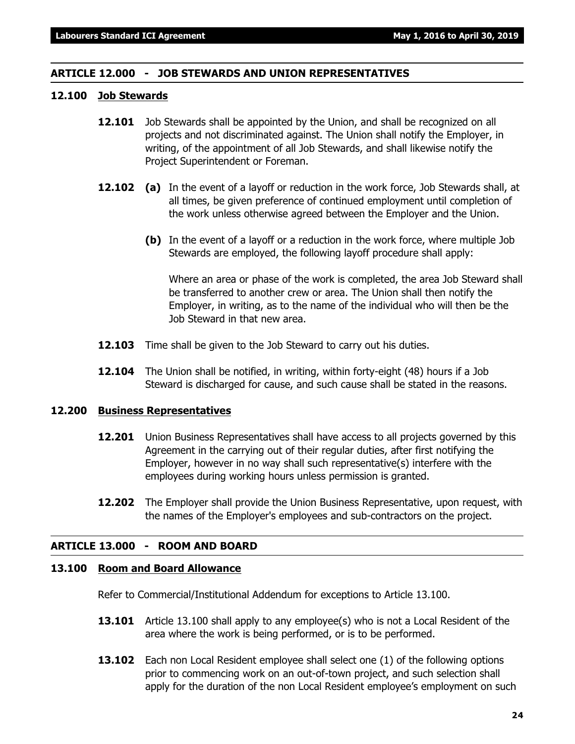# **ARTICLE 12.000 - JOB STEWARDS AND UNION REPRESENTATIVES**

# **12.100 Job Stewards**

- **12.101** Job Stewards shall be appointed by the Union, and shall be recognized on all projects and not discriminated against. The Union shall notify the Employer, in writing, of the appointment of all Job Stewards, and shall likewise notify the Project Superintendent or Foreman.
- **12.102 (a)** In the event of a layoff or reduction in the work force, Job Stewards shall, at all times, be given preference of continued employment until completion of the work unless otherwise agreed between the Employer and the Union.
	- **(b)** In the event of a layoff or a reduction in the work force, where multiple Job Stewards are employed, the following layoff procedure shall apply:

Where an area or phase of the work is completed, the area Job Steward shall be transferred to another crew or area. The Union shall then notify the Employer, in writing, as to the name of the individual who will then be the Job Steward in that new area.

- **12.103** Time shall be given to the Job Steward to carry out his duties.
- **12.104** The Union shall be notified, in writing, within forty-eight (48) hours if a Job Steward is discharged for cause, and such cause shall be stated in the reasons.

# **12.200 Business Representatives**

- **12.201** Union Business Representatives shall have access to all projects governed by this Agreement in the carrying out of their regular duties, after first notifying the Employer, however in no way shall such representative(s) interfere with the employees during working hours unless permission is granted.
- **12.202** The Employer shall provide the Union Business Representative, upon request, with the names of the Employer's employees and sub-contractors on the project.

# **ARTICLE 13.000 - ROOM AND BOARD**

# **13.100 Room and Board Allowance**

Refer to Commercial/Institutional Addendum for exceptions to Article 13.100.

- **13.101** Article 13.100 shall apply to any employee(s) who is not a Local Resident of the area where the work is being performed, or is to be performed.
- **13.102** Each non Local Resident employee shall select one (1) of the following options prior to commencing work on an out-of-town project, and such selection shall apply for the duration of the non Local Resident employee's employment on such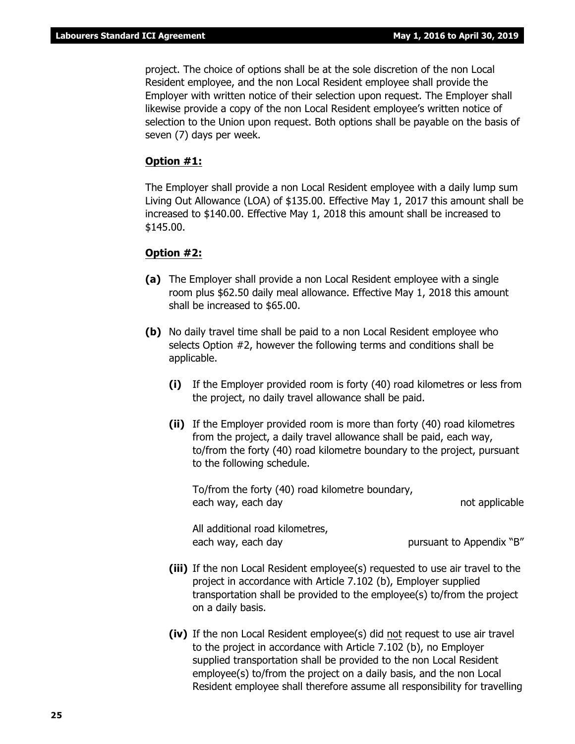project. The choice of options shall be at the sole discretion of the non Local Resident employee, and the non Local Resident employee shall provide the Employer with written notice of their selection upon request. The Employer shall likewise provide a copy of the non Local Resident employee's written notice of selection to the Union upon request. Both options shall be payable on the basis of seven (7) days per week.

# **Option #1:**

The Employer shall provide a non Local Resident employee with a daily lump sum Living Out Allowance (LOA) of \$135.00. Effective May 1, 2017 this amount shall be increased to \$140.00. Effective May 1, 2018 this amount shall be increased to \$145.00.

# **Option #2:**

- **(a)** The Employer shall provide a non Local Resident employee with a single room plus \$62.50 daily meal allowance. Effective May 1, 2018 this amount shall be increased to \$65.00.
- **(b)** No daily travel time shall be paid to a non Local Resident employee who selects Option #2, however the following terms and conditions shall be applicable.
	- **(i)** If the Employer provided room is forty (40) road kilometres or less from the project, no daily travel allowance shall be paid.
	- **(ii)** If the Employer provided room is more than forty (40) road kilometres from the project, a daily travel allowance shall be paid, each way, to/from the forty (40) road kilometre boundary to the project, pursuant to the following schedule.

To/from the forty (40) road kilometre boundary, each way, each day not applicable

All additional road kilometres, each way, each day each way, each day bursuant to Appendix "B"

- **(iii)** If the non Local Resident employee(s) requested to use air travel to the project in accordance with Article 7.102 (b), Employer supplied transportation shall be provided to the employee(s) to/from the project on a daily basis.
- **(iv)** If the non Local Resident employee(s) did not request to use air travel to the project in accordance with Article 7.102 (b), no Employer supplied transportation shall be provided to the non Local Resident employee(s) to/from the project on a daily basis, and the non Local Resident employee shall therefore assume all responsibility for travelling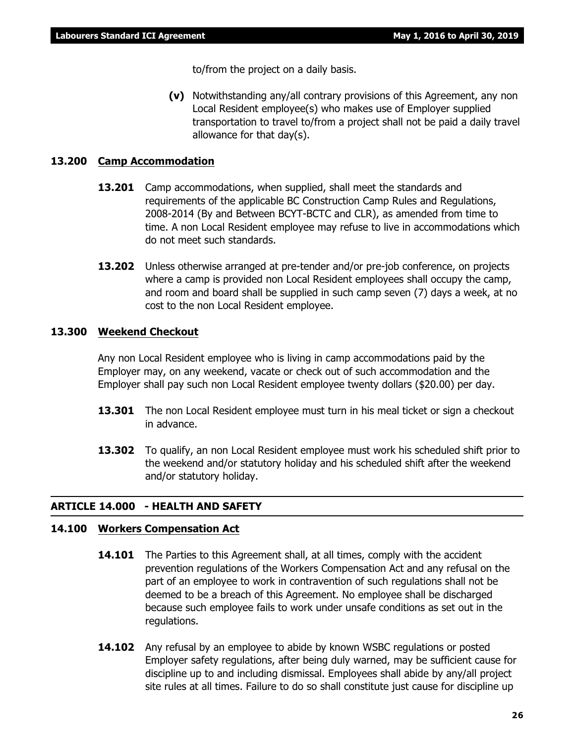to/from the project on a daily basis.

**(v)** Notwithstanding any/all contrary provisions of this Agreement, any non Local Resident employee(s) who makes use of Employer supplied transportation to travel to/from a project shall not be paid a daily travel allowance for that day(s).

# **13.200 Camp Accommodation**

- **13.201** Camp accommodations, when supplied, shall meet the standards and requirements of the applicable BC Construction Camp Rules and Regulations, 2008-2014 (By and Between BCYT-BCTC and CLR), as amended from time to time. A non Local Resident employee may refuse to live in accommodations which do not meet such standards.
- **13.202** Unless otherwise arranged at pre-tender and/or pre-job conference, on projects where a camp is provided non Local Resident employees shall occupy the camp, and room and board shall be supplied in such camp seven (7) days a week, at no cost to the non Local Resident employee.

# **13.300 Weekend Checkout**

Any non Local Resident employee who is living in camp accommodations paid by the Employer may, on any weekend, vacate or check out of such accommodation and the Employer shall pay such non Local Resident employee twenty dollars (\$20.00) per day.

- **13.301** The non Local Resident employee must turn in his meal ticket or sign a checkout in advance.
- **13.302** To qualify, an non Local Resident employee must work his scheduled shift prior to the weekend and/or statutory holiday and his scheduled shift after the weekend and/or statutory holiday.

# **ARTICLE 14.000 - HEALTH AND SAFETY**

# **14.100 Workers Compensation Act**

- **14.101** The Parties to this Agreement shall, at all times, comply with the accident prevention regulations of the *Workers Compensation Act* and any refusal on the part of an employee to work in contravention of such regulations shall not be deemed to be a breach of this Agreement. No employee shall be discharged because such employee fails to work under unsafe conditions as set out in the regulations.
- **14.102** Any refusal by an employee to abide by known WSBC regulations or posted Employer safety regulations, after being duly warned, may be sufficient cause for discipline up to and including dismissal. Employees shall abide by any/all project site rules at all times. Failure to do so shall constitute just cause for discipline up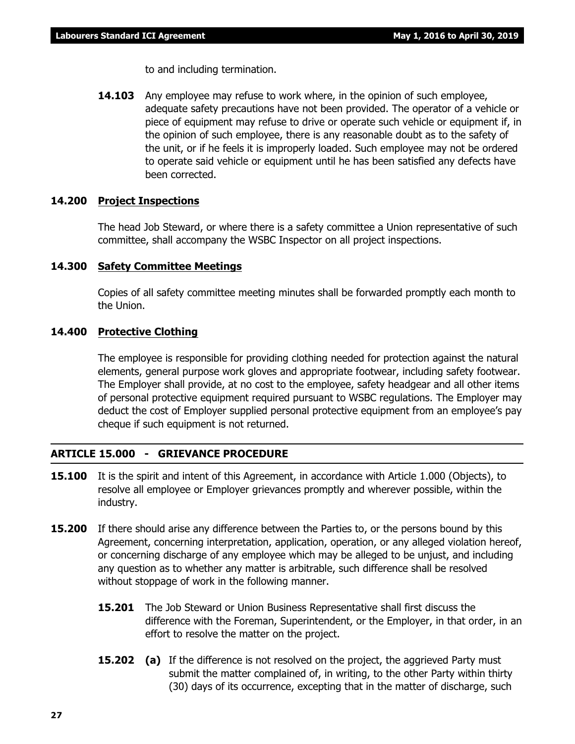to and including termination.

**14.103** Any employee may refuse to work where, in the opinion of such employee, adequate safety precautions have not been provided. The operator of a vehicle or piece of equipment may refuse to drive or operate such vehicle or equipment if, in the opinion of such employee, there is any reasonable doubt as to the safety of the unit, or if he feels it is improperly loaded. Such employee may not be ordered to operate said vehicle or equipment until he has been satisfied any defects have been corrected.

# **14.200 Project Inspections**

The head Job Steward, or where there is a safety committee a Union representative of such committee, shall accompany the WSBC Inspector on all project inspections.

# **14.300 Safety Committee Meetings**

Copies of all safety committee meeting minutes shall be forwarded promptly each month to the Union.

# **14.400 Protective Clothing**

The employee is responsible for providing clothing needed for protection against the natural elements, general purpose work gloves and appropriate footwear, including safety footwear. The Employer shall provide, at no cost to the employee, safety headgear and all other items of personal protective equipment required pursuant to WSBC regulations. The Employer may deduct the cost of Employer supplied personal protective equipment from an employee's pay cheque if such equipment is not returned.

# **ARTICLE 15.000 - GRIEVANCE PROCEDURE**

- **15.100** It is the spirit and intent of this Agreement, in accordance with Article 1.000 (Objects), to resolve all employee or Employer grievances promptly and wherever possible, within the industry.
- **15.200** If there should arise any difference between the Parties to, or the persons bound by this Agreement, concerning interpretation, application, operation, or any alleged violation hereof, or concerning discharge of any employee which may be alleged to be unjust, and including any question as to whether any matter is arbitrable, such difference shall be resolved without stoppage of work in the following manner.
	- **15.201** The Job Steward or Union Business Representative shall first discuss the difference with the Foreman, Superintendent, or the Employer, in that order, in an effort to resolve the matter on the project.
	- **15.202** (a) If the difference is not resolved on the project, the aggrieved Party must submit the matter complained of, in writing, to the other Party within thirty (30) days of its occurrence, excepting that in the matter of discharge, such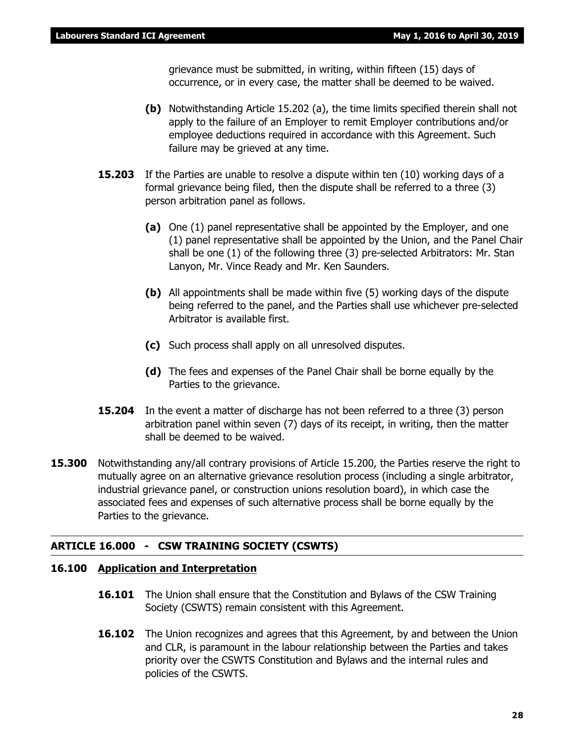grievance must be submitted, in writing, within fifteen (15) days of occurrence, or in every case, the matter shall be deemed to be waived.

- **(b)** Notwithstanding Article 15.202 (a), the time limits specified therein shall not apply to the failure of an Employer to remit Employer contributions and/or employee deductions required in accordance with this Agreement. Such failure may be grieved at any time.
- **15.203** If the Parties are unable to resolve a dispute within ten (10) working days of a formal grievance being filed, then the dispute shall be referred to a three (3) person arbitration panel as follows.
	- **(a)** One (1) panel representative shall be appointed by the Employer, and one (1) panel representative shall be appointed by the Union, and the Panel Chair shall be one (1) of the following three (3) pre-selected Arbitrators: Mr. Stan Lanyon, Mr. Vince Ready and Mr. Ken Saunders.
	- **(b)** All appointments shall be made within five (5) working days of the dispute being referred to the panel, and the Parties shall use whichever pre-selected Arbitrator is available first.
	- **(c)** Such process shall apply on all unresolved disputes.
	- **(d)** The fees and expenses of the Panel Chair shall be borne equally by the Parties to the grievance.
- **15.204** In the event a matter of discharge has not been referred to a three (3) person arbitration panel within seven (7) days of its receipt, in writing, then the matter shall be deemed to be waived.
- **15.300** Notwithstanding any/all contrary provisions of Article 15.200, the Parties reserve the right to mutually agree on an alternative grievance resolution process (including a single arbitrator, industrial grievance panel, or construction unions resolution board), in which case the associated fees and expenses of such alternative process shall be borne equally by the Parties to the grievance.

# **ARTICLE 16.000 - CSW TRAINING SOCIETY (CSWTS)**

# **16.100 Application and Interpretation**

- **16.101** The Union shall ensure that the Constitution and Bylaws of the CSW Training Society (CSWTS) remain consistent with this Agreement.
- **16.102** The Union recognizes and agrees that this Agreement, by and between the Union and CLR, is paramount in the labour relationship between the Parties and takes priority over the CSWTS Constitution and Bylaws and the internal rules and policies of the CSWTS.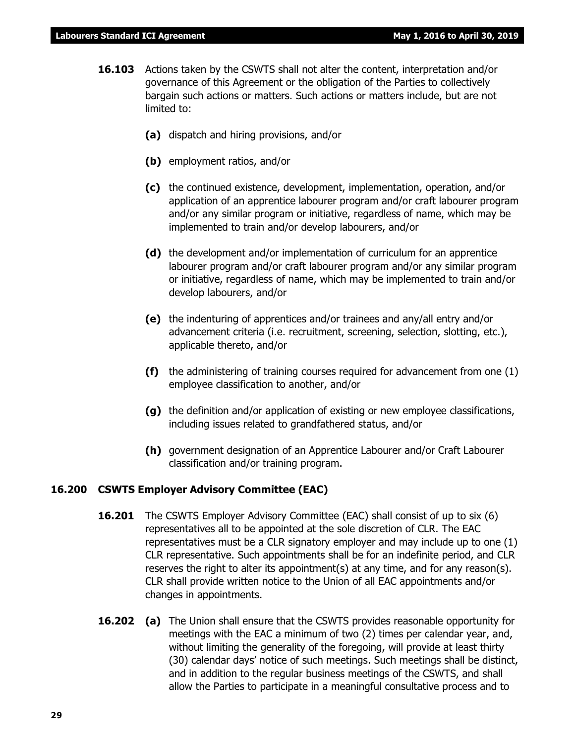- **16.103** Actions taken by the CSWTS shall not alter the content, interpretation and/or governance of this Agreement or the obligation of the Parties to collectively bargain such actions or matters. Such actions or matters include, but are not limited to:
	- **(a)** dispatch and hiring provisions, and/or
	- **(b)** employment ratios, and/or
	- **(c)** the continued existence, development, implementation, operation, and/or application of an apprentice labourer program and/or craft labourer program and/or any similar program or initiative, regardless of name, which may be implemented to train and/or develop labourers, and/or
	- **(d)** the development and/or implementation of curriculum for an apprentice labourer program and/or craft labourer program and/or any similar program or initiative, regardless of name, which may be implemented to train and/or develop labourers, and/or
	- **(e)** the indenturing of apprentices and/or trainees and any/all entry and/or advancement criteria (i.e. recruitment, screening, selection, slotting, etc.), applicable thereto, and/or
	- **(f)** the administering of training courses required for advancement from one (1) employee classification to another, and/or
	- **(g)** the definition and/or application of existing or new employee classifications, including issues related to grandfathered status, and/or
	- **(h)** government designation of an Apprentice Labourer and/or Craft Labourer classification and/or training program.

# **16.200 CSWTS Employer Advisory Committee (EAC)**

- **16.201** The CSWTS Employer Advisory Committee (EAC) shall consist of up to six (6) representatives all to be appointed at the sole discretion of CLR. The EAC representatives must be a CLR signatory employer and may include up to one (1) CLR representative. Such appointments shall be for an indefinite period, and CLR reserves the right to alter its appointment(s) at any time, and for any reason(s). CLR shall provide written notice to the Union of all EAC appointments and/or changes in appointments.
- **16.202 (a)** The Union shall ensure that the CSWTS provides reasonable opportunity for meetings with the EAC a minimum of two (2) times per calendar year, and, without limiting the generality of the foregoing, will provide at least thirty (30) calendar days' notice of such meetings. Such meetings shall be distinct, and in addition to the regular business meetings of the CSWTS, and shall allow the Parties to participate in a meaningful consultative process and to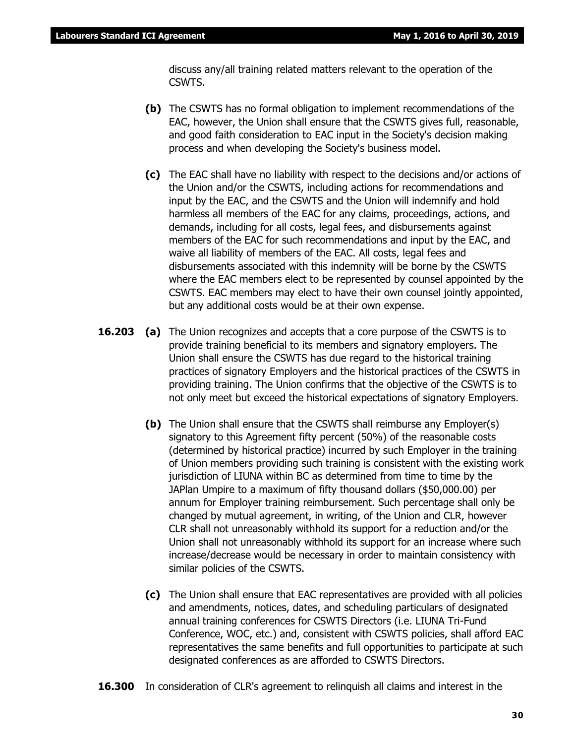discuss any/all training related matters relevant to the operation of the CSWTS.

- **(b)** The CSWTS has no formal obligation to implement recommendations of the EAC, however, the Union shall ensure that the CSWTS gives full, reasonable, and good faith consideration to EAC input in the Society's decision making process and when developing the Society's business model.
- **(c)** The EAC shall have no liability with respect to the decisions and/or actions of the Union and/or the CSWTS, including actions for recommendations and input by the EAC, and the CSWTS and the Union will indemnify and hold harmless all members of the EAC for any claims, proceedings, actions, and demands, including for all costs, legal fees, and disbursements against members of the EAC for such recommendations and input by the EAC, and waive all liability of members of the EAC. All costs, legal fees and disbursements associated with this indemnity will be borne by the CSWTS where the EAC members elect to be represented by counsel appointed by the CSWTS. EAC members may elect to have their own counsel jointly appointed, but any additional costs would be at their own expense.
- **16.203 (a)** The Union recognizes and accepts that a core purpose of the CSWTS is to provide training beneficial to its members and signatory employers. The Union shall ensure the CSWTS has due regard to the historical training practices of signatory Employers and the historical practices of the CSWTS in providing training. The Union confirms that the objective of the CSWTS is to not only meet but exceed the historical expectations of signatory Employers.
	- **(b)** The Union shall ensure that the CSWTS shall reimburse any Employer(s) signatory to this Agreement fifty percent (50%) of the reasonable costs (determined by historical practice) incurred by such Employer in the training of Union members providing such training is consistent with the existing work jurisdiction of LIUNA within BC as determined from time to time by the JAPlan Umpire to a maximum of fifty thousand dollars (\$50,000.00) per annum for Employer training reimbursement. Such percentage shall only be changed by mutual agreement, in writing, of the Union and CLR, however CLR shall not unreasonably withhold its support for a reduction and/or the Union shall not unreasonably withhold its support for an increase where such increase/decrease would be necessary in order to maintain consistency with similar policies of the CSWTS.
	- **(c)** The Union shall ensure that EAC representatives are provided with all policies and amendments, notices, dates, and scheduling particulars of designated annual training conferences for CSWTS Directors (i.e. LIUNA Tri-Fund Conference, WOC, etc.) and, consistent with CSWTS policies, shall afford EAC representatives the same benefits and full opportunities to participate at such designated conferences as are afforded to CSWTS Directors.
- **16.300** In consideration of CLR's agreement to relinquish all claims and interest in the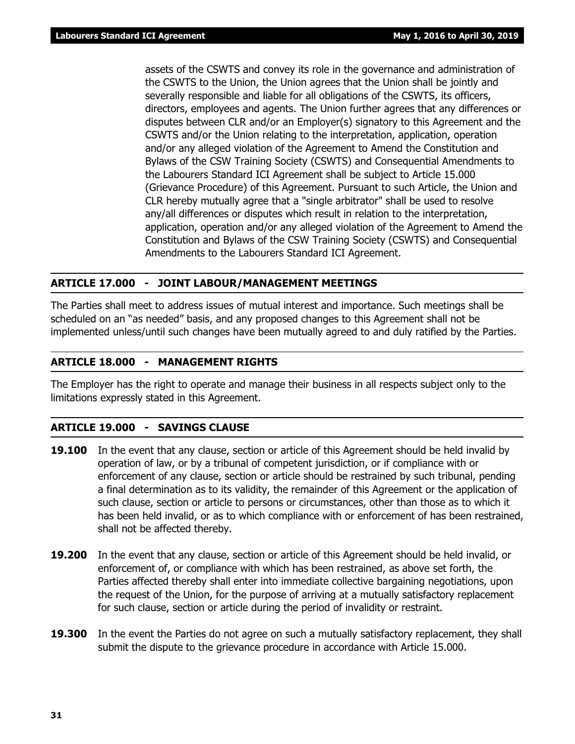assets of the CSWTS and convey its role in the governance and administration of the CSWTS to the Union, the Union agrees that the Union shall be jointly and severally responsible and liable for all obligations of the CSWTS, its officers, directors, employees and agents. The Union further agrees that any differences or disputes between CLR and/or an Employer(s) signatory to this Agreement and the CSWTS and/or the Union relating to the interpretation, application, operation and/or any alleged violation of the Agreement to Amend the Constitution and Bylaws of the CSW Training Society (CSWTS) and Consequential Amendments to the Labourers Standard ICI Agreement shall be subject to Article 15.000 (Grievance Procedure) of this Agreement. Pursuant to such Article, the Union and CLR hereby mutually agree that a "single arbitrator" shall be used to resolve any/all differences or disputes which result in relation to the interpretation, application, operation and/or any alleged violation of the Agreement to Amend the Constitution and Bylaws of the CSW Training Society (CSWTS) and Consequential Amendments to the Labourers Standard ICI Agreement.

# **ARTICLE 17.000 - JOINT LABOUR/MANAGEMENT MEETINGS**

The Parties shall meet to address issues of mutual interest and importance. Such meetings shall be scheduled on an "as needed" basis, and any proposed changes to this Agreement shall not be implemented unless/until such changes have been mutually agreed to and duly ratified by the Parties.

# **ARTICLE 18.000 - MANAGEMENT RIGHTS**

The Employer has the right to operate and manage their business in all respects subject only to the limitations expressly stated in this Agreement.

# **ARTICLE 19.000 - SAVINGS CLAUSE**

- **19.100** In the event that any clause, section or article of this Agreement should be held invalid by operation of law, or by a tribunal of competent jurisdiction, or if compliance with or enforcement of any clause, section or article should be restrained by such tribunal, pending a final determination as to its validity, the remainder of this Agreement or the application of such clause, section or article to persons or circumstances, other than those as to which it has been held invalid, or as to which compliance with or enforcement of has been restrained, shall not be affected thereby.
- **19.200** In the event that any clause, section or article of this Agreement should be held invalid, or enforcement of, or compliance with which has been restrained, as above set forth, the Parties affected thereby shall enter into immediate collective bargaining negotiations, upon the request of the Union, for the purpose of arriving at a mutually satisfactory replacement for such clause, section or article during the period of invalidity or restraint.
- **19.300** In the event the Parties do not agree on such a mutually satisfactory replacement, they shall submit the dispute to the grievance procedure in accordance with Article 15.000.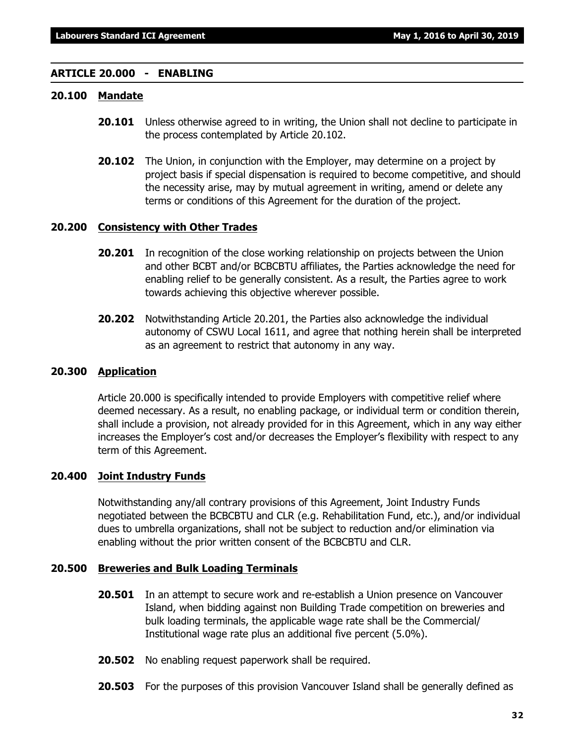# **ARTICLE 20.000 - ENABLING**

# **20.100 Mandate**

- **20.101** Unless otherwise agreed to in writing, the Union shall not decline to participate in the process contemplated by Article 20.102.
- **20.102** The Union, in conjunction with the Employer, may determine on a project by project basis if special dispensation is required to become competitive, and should the necessity arise, may by mutual agreement in writing, amend or delete any terms or conditions of this Agreement for the duration of the project.

# **20.200 Consistency with Other Trades**

- **20.201** In recognition of the close working relationship on projects between the Union and other BCBT and/or BCBCBTU affiliates, the Parties acknowledge the need for enabling relief to be generally consistent. As a result, the Parties agree to work towards achieving this objective wherever possible.
- **20.202** Notwithstanding Article 20.201, the Parties also acknowledge the individual autonomy of CSWU Local 1611, and agree that nothing herein shall be interpreted as an agreement to restrict that autonomy in any way.

# **20.300 Application**

Article 20.000 is specifically intended to provide Employers with competitive relief where deemed necessary. As a result, no enabling package, or individual term or condition therein, shall include a provision, not already provided for in this Agreement, which in any way either increases the Employer's cost and/or decreases the Employer's flexibility with respect to any term of this Agreement.

# **20.400 Joint Industry Funds**

Notwithstanding any/all contrary provisions of this Agreement, Joint Industry Funds negotiated between the BCBCBTU and CLR (e.g. Rehabilitation Fund, etc.), and/or individual dues to umbrella organizations, shall not be subject to reduction and/or elimination via enabling without the prior written consent of the BCBCBTU and CLR.

# **20.500 Breweries and Bulk Loading Terminals**

- **20.501** In an attempt to secure work and re-establish a Union presence on Vancouver Island, when bidding against non Building Trade competition on breweries and bulk loading terminals, the applicable wage rate shall be the Commercial/ Institutional wage rate plus an additional five percent (5.0%).
- **20.502** No enabling request paperwork shall be required.
- **20.503** For the purposes of this provision Vancouver Island shall be generally defined as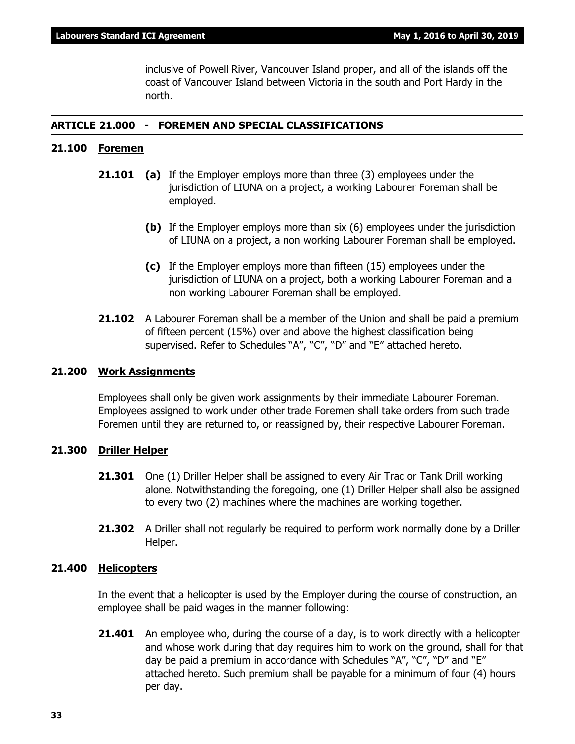inclusive of Powell River, Vancouver Island proper, and all of the islands off the coast of Vancouver Island between Victoria in the south and Port Hardy in the north.

# **ARTICLE 21.000 - FOREMEN AND SPECIAL CLASSIFICATIONS**

# **21.100 Foremen**

- **21.101 (a)** If the Employer employs more than three (3) employees under the jurisdiction of LIUNA on a project, a working Labourer Foreman shall be employed.
	- **(b)** If the Employer employs more than six (6) employees under the jurisdiction of LIUNA on a project, a non working Labourer Foreman shall be employed.
	- **(c)** If the Employer employs more than fifteen (15) employees under the jurisdiction of LIUNA on a project, both a working Labourer Foreman and a non working Labourer Foreman shall be employed.
- **21.102** A Labourer Foreman shall be a member of the Union and shall be paid a premium of fifteen percent (15%) over and above the highest classification being supervised. Refer to Schedules "A", "C", "D" and "E" attached hereto.

# **21.200 Work Assignments**

Employees shall only be given work assignments by their immediate Labourer Foreman. Employees assigned to work under other trade Foremen shall take orders from such trade Foremen until they are returned to, or reassigned by, their respective Labourer Foreman.

# **21.300 Driller Helper**

- **21.301** One (1) Driller Helper shall be assigned to every Air Trac or Tank Drill working alone. Notwithstanding the foregoing, one (1) Driller Helper shall also be assigned to every two (2) machines where the machines are working together.
- **21.302** A Driller shall not regularly be required to perform work normally done by a Driller Helper.

# **21.400 Helicopters**

In the event that a helicopter is used by the Employer during the course of construction, an employee shall be paid wages in the manner following:

**21.401** An employee who, during the course of a day, is to work directly with a helicopter and whose work during that day requires him to work on the ground, shall for that day be paid a premium in accordance with Schedules "A", "C", "D" and "E" attached hereto. Such premium shall be payable for a minimum of four (4) hours per day.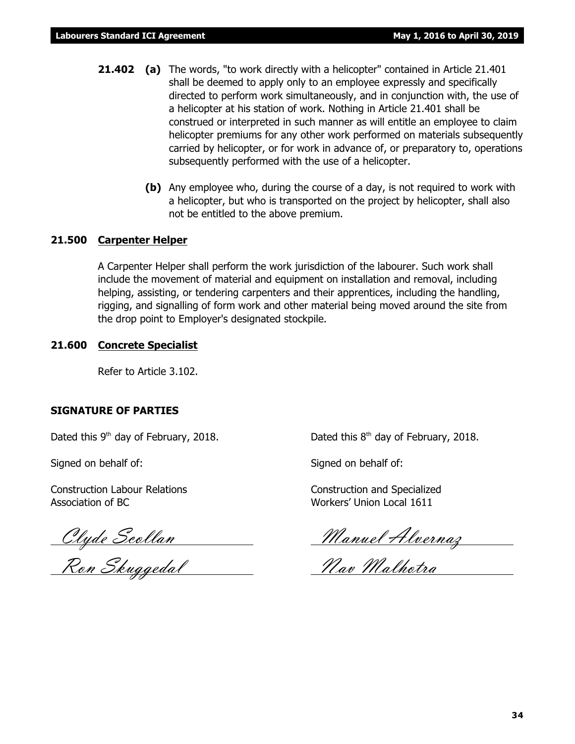- **21.402 (a)** The words, "to work directly with a helicopter" contained in Article 21.401 shall be deemed to apply only to an employee expressly and specifically directed to perform work simultaneously, and in conjunction with, the use of a helicopter at his station of work. Nothing in Article 21.401 shall be construed or interpreted in such manner as will entitle an employee to claim helicopter premiums for any other work performed on materials subsequently carried by helicopter, or for work in advance of, or preparatory to, operations subsequently performed with the use of a helicopter.
	- **(b)** Any employee who, during the course of a day, is not required to work with a helicopter, but who is transported on the project by helicopter, shall also not be entitled to the above premium.

### **21.500 Carpenter Helper**

A Carpenter Helper shall perform the work jurisdiction of the labourer. Such work shall include the movement of material and equipment on installation and removal, including helping, assisting, or tendering carpenters and their apprentices, including the handling, rigging, and signalling of form work and other material being moved around the site from the drop point to Employer's designated stockpile.

### **21.600 Concrete Specialist**

Refer to Article 3.102.

### **SIGNATURE OF PARTIES**

Dated this  $9<sup>th</sup>$  day of February, 2018. Dated this  $8<sup>th</sup>$  day of February, 2018.

Signed on behalf of: Signed on behalf of:

Construction Labour Relations Construction and Specialized Association of BC Workers' Union Local 1611

<u>Clyde Scollan Manuel Alvernaz</u>

Ron Skuggedal Nav Malhotra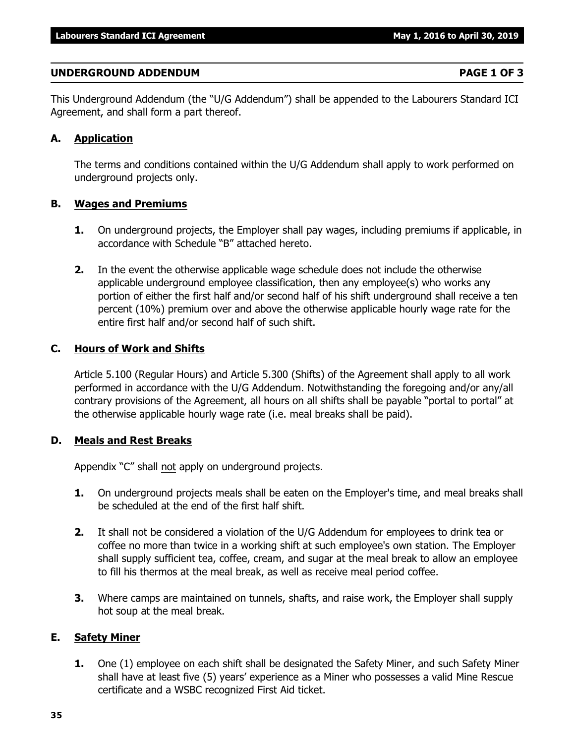## **UNDERGROUND ADDENDUM PAGE 1 OF 3**

This Underground Addendum (the "U/G Addendum") shall be appended to the Labourers Standard ICI Agreement, and shall form a part thereof.

## **A. Application**

The terms and conditions contained within the U/G Addendum shall apply to work performed on underground projects only.

## **B. Wages and Premiums**

- **1.** On underground projects, the Employer shall pay wages, including premiums if applicable, in accordance with Schedule "B" attached hereto.
- **2.** In the event the otherwise applicable wage schedule does not include the otherwise applicable underground employee classification, then any employee(s) who works any portion of either the first half and/or second half of his shift underground shall receive a ten percent (10%) premium over and above the otherwise applicable hourly wage rate for the entire first half and/or second half of such shift.

## **C. Hours of Work and Shifts**

Article 5.100 (Regular Hours) and Article 5.300 (Shifts) of the Agreement shall apply to all work performed in accordance with the U/G Addendum. Notwithstanding the foregoing and/or any/all contrary provisions of the Agreement, all hours on all shifts shall be payable "portal to portal" at the otherwise applicable hourly wage rate (i.e. meal breaks shall be paid).

## **D. Meals and Rest Breaks**

Appendix "C" shall not apply on underground projects.

- **1.** On underground projects meals shall be eaten on the Employer's time, and meal breaks shall be scheduled at the end of the first half shift.
- **2.** It shall not be considered a violation of the U/G Addendum for employees to drink tea or coffee no more than twice in a working shift at such employee's own station. The Employer shall supply sufficient tea, coffee, cream, and sugar at the meal break to allow an employee to fill his thermos at the meal break, as well as receive meal period coffee.
- **3.** Where camps are maintained on tunnels, shafts, and raise work, the Employer shall supply hot soup at the meal break.

## **E. Safety Miner**

**1.** One (1) employee on each shift shall be designated the Safety Miner, and such Safety Miner shall have at least five (5) years' experience as a Miner who possesses a valid Mine Rescue certificate and a WSBC recognized First Aid ticket.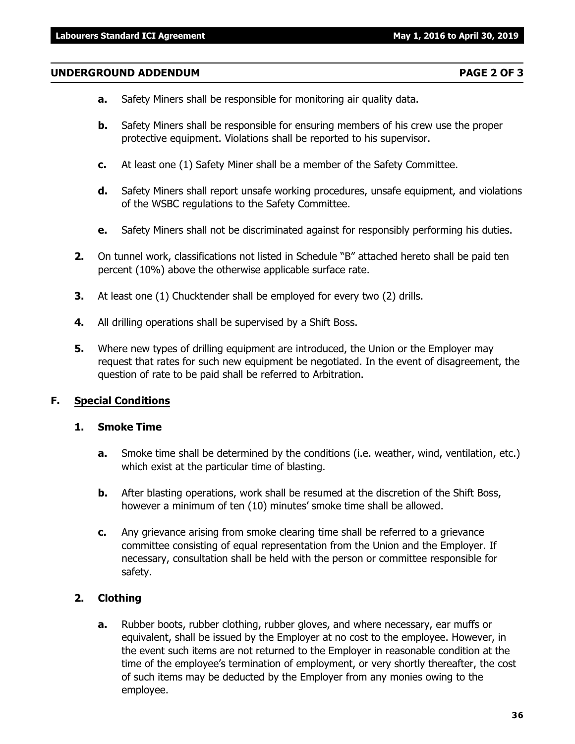### **UNDERGROUND ADDENDUM PAGE 2 OF 3**

- **a.** Safety Miners shall be responsible for monitoring air quality data.
- **b.** Safety Miners shall be responsible for ensuring members of his crew use the proper protective equipment. Violations shall be reported to his supervisor.
- **c.** At least one (1) Safety Miner shall be a member of the Safety Committee.
- **d.** Safety Miners shall report unsafe working procedures, unsafe equipment, and violations of the WSBC regulations to the Safety Committee.
- **e.** Safety Miners shall not be discriminated against for responsibly performing his duties.
- **2.** On tunnel work, classifications not listed in Schedule "B" attached hereto shall be paid ten percent (10%) above the otherwise applicable surface rate.
- **3.** At least one (1) Chucktender shall be employed for every two (2) drills.
- **4.** All drilling operations shall be supervised by a Shift Boss.
- **5.** Where new types of drilling equipment are introduced, the Union or the Employer may request that rates for such new equipment be negotiated. In the event of disagreement, the question of rate to be paid shall be referred to Arbitration.

### **F. Special Conditions**

### **1. Smoke Time**

- **a.** Smoke time shall be determined by the conditions (i.e. weather, wind, ventilation, etc.) which exist at the particular time of blasting.
- **b.** After blasting operations, work shall be resumed at the discretion of the Shift Boss, however a minimum of ten (10) minutes' smoke time shall be allowed.
- **c.** Any grievance arising from smoke clearing time shall be referred to a grievance committee consisting of equal representation from the Union and the Employer. If necessary, consultation shall be held with the person or committee responsible for safety.

### **2. Clothing**

**a.** Rubber boots, rubber clothing, rubber gloves, and where necessary, ear muffs or equivalent, shall be issued by the Employer at no cost to the employee. However, in the event such items are not returned to the Employer in reasonable condition at the time of the employee's termination of employment, or very shortly thereafter, the cost of such items may be deducted by the Employer from any monies owing to the employee.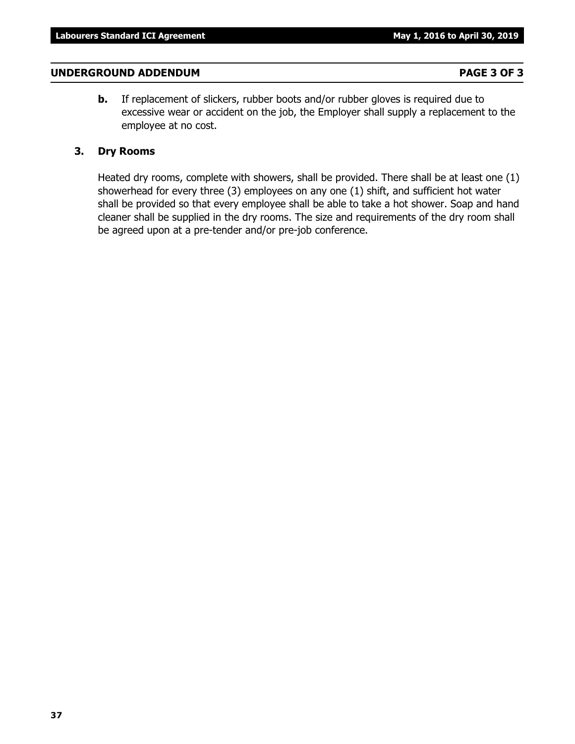### **UNDERGROUND ADDENDUM PAGE 3 OF 3**

**b.** If replacement of slickers, rubber boots and/or rubber gloves is required due to excessive wear or accident on the job, the Employer shall supply a replacement to the employee at no cost.

### **3. Dry Rooms**

Heated dry rooms, complete with showers, shall be provided. There shall be at least one (1) showerhead for every three (3) employees on any one (1) shift, and sufficient hot water shall be provided so that every employee shall be able to take a hot shower. Soap and hand cleaner shall be supplied in the dry rooms. The size and requirements of the dry room shall be agreed upon at a pre-tender and/or pre-job conference.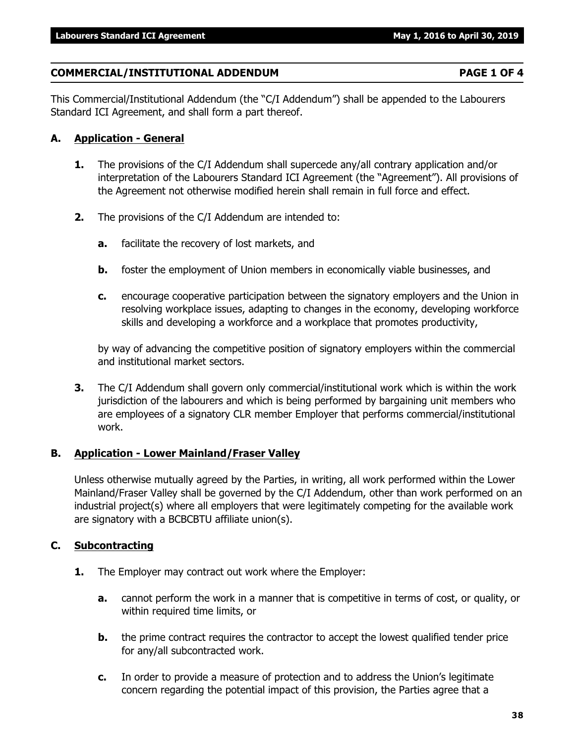## **COMMERCIAL/INSTITUTIONAL ADDENDUM PAGE 1 OF 4**

This Commercial/Institutional Addendum (the "C/I Addendum") shall be appended to the Labourers Standard ICI Agreement, and shall form a part thereof.

# **A. Application - General**

- **1.** The provisions of the C/I Addendum shall supercede any/all contrary application and/or interpretation of the Labourers Standard ICI Agreement (the "Agreement"). All provisions of the Agreement not otherwise modified herein shall remain in full force and effect.
- **2.** The provisions of the C/I Addendum are intended to:
	- **a.** facilitate the recovery of lost markets, and
	- **b.** foster the employment of Union members in economically viable businesses, and
	- **c.** encourage cooperative participation between the signatory employers and the Union in resolving workplace issues, adapting to changes in the economy, developing workforce skills and developing a workforce and a workplace that promotes productivity,

by way of advancing the competitive position of signatory employers within the commercial and institutional market sectors.

**3.** The C/I Addendum shall govern only commercial/institutional work which is within the work jurisdiction of the labourers and which is being performed by bargaining unit members who are employees of a signatory CLR member Employer that performs commercial/institutional work.

# **B. Application - Lower Mainland/Fraser Valley**

Unless otherwise mutually agreed by the Parties, in writing, all work performed within the Lower Mainland/Fraser Valley shall be governed by the C/I Addendum, other than work performed on an industrial project(s) where all employers that were legitimately competing for the available work are signatory with a BCBCBTU affiliate union(s).

# **C. Subcontracting**

- **1.** The Employer may contract out work where the Employer:
	- **a.** cannot perform the work in a manner that is competitive in terms of cost, or quality, or within required time limits, or
	- **b.** the prime contract requires the contractor to accept the lowest qualified tender price for any/all subcontracted work.
	- **c.** In order to provide a measure of protection and to address the Union's legitimate concern regarding the potential impact of this provision, the Parties agree that a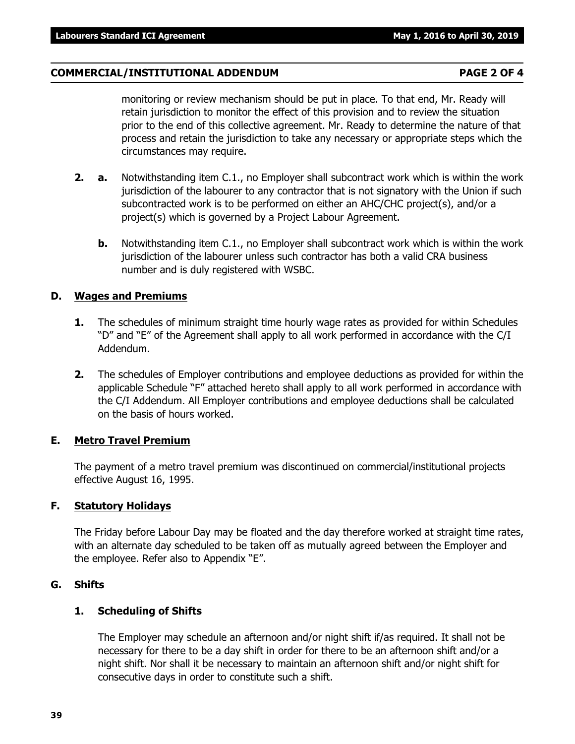## **COMMERCIAL/INSTITUTIONAL ADDENDUM PAGE 2 OF 4**

monitoring or review mechanism should be put in place. To that end, Mr. Ready will retain jurisdiction to monitor the effect of this provision and to review the situation prior to the end of this collective agreement. Mr. Ready to determine the nature of that process and retain the jurisdiction to take any necessary or appropriate steps which the circumstances may require.

- **2. a.** Notwithstanding item C.1., no Employer shall subcontract work which is within the work jurisdiction of the labourer to any contractor that is not signatory with the Union if such subcontracted work is to be performed on either an AHC/CHC project(s), and/or a project(s) which is governed by a Project Labour Agreement.
	- **b.** Notwithstanding item C.1., no Employer shall subcontract work which is within the work jurisdiction of the labourer unless such contractor has both a valid CRA business number and is duly registered with WSBC.

## **D. Wages and Premiums**

- **1.** The schedules of minimum straight time hourly wage rates as provided for within Schedules "D" and "E" of the Agreement shall apply to all work performed in accordance with the C/I Addendum.
- **2.** The schedules of Employer contributions and employee deductions as provided for within the applicable Schedule "F" attached hereto shall apply to all work performed in accordance with the C/I Addendum. All Employer contributions and employee deductions shall be calculated on the basis of hours worked.

## **E. Metro Travel Premium**

The payment of a metro travel premium was discontinued on commercial/institutional projects effective August 16, 1995.

# **F. Statutory Holidays**

The Friday before Labour Day may be floated and the day therefore worked at straight time rates, with an alternate day scheduled to be taken off as mutually agreed between the Employer and the employee. Refer also to Appendix "E".

# **G. Shifts**

# **1. Scheduling of Shifts**

The Employer may schedule an afternoon and/or night shift if/as required. It shall not be necessary for there to be a day shift in order for there to be an afternoon shift and/or a night shift. Nor shall it be necessary to maintain an afternoon shift and/or night shift for consecutive days in order to constitute such a shift.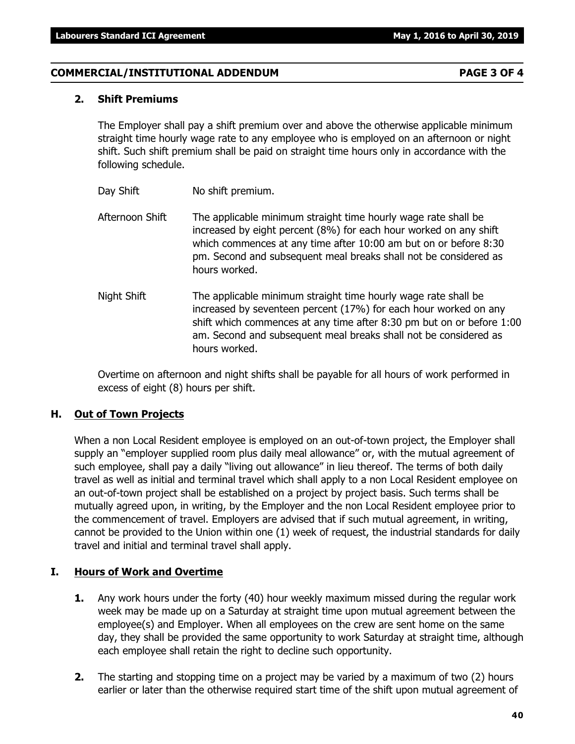## **COMMERCIAL/INSTITUTIONAL ADDENDUM PAGE 3 OF 4**

### **2. Shift Premiums**

The Employer shall pay a shift premium over and above the otherwise applicable minimum straight time hourly wage rate to any employee who is employed on an afternoon or night shift. Such shift premium shall be paid on straight time hours only in accordance with the following schedule.

- Day Shift No shift premium.
- Afternoon Shift The applicable minimum straight time hourly wage rate shall be increased by eight percent (8%) for each hour worked on any shift which commences at any time after 10:00 am but on or before 8:30 pm. Second and subsequent meal breaks shall not be considered as hours worked.
- Night Shift The applicable minimum straight time hourly wage rate shall be increased by seventeen percent (17%) for each hour worked on any shift which commences at any time after 8:30 pm but on or before 1:00 am. Second and subsequent meal breaks shall not be considered as hours worked.

Overtime on afternoon and night shifts shall be payable for all hours of work performed in excess of eight (8) hours per shift.

### **H. Out of Town Projects**

When a non Local Resident employee is employed on an out-of-town project, the Employer shall supply an "employer supplied room plus daily meal allowance" or, with the mutual agreement of such employee, shall pay a daily "living out allowance" in lieu thereof. The terms of both daily travel as well as initial and terminal travel which shall apply to a non Local Resident employee on an out-of-town project shall be established on a project by project basis. Such terms shall be mutually agreed upon, in writing, by the Employer and the non Local Resident employee prior to the commencement of travel. Employers are advised that if such mutual agreement, in writing, cannot be provided to the Union within one (1) week of request, the industrial standards for daily travel and initial and terminal travel shall apply.

### **I. Hours of Work and Overtime**

- **1.** Any work hours under the forty (40) hour weekly maximum missed during the regular work week may be made up on a Saturday at straight time upon mutual agreement between the employee(s) and Employer. When all employees on the crew are sent home on the same day, they shall be provided the same opportunity to work Saturday at straight time, although each employee shall retain the right to decline such opportunity.
- **2.** The starting and stopping time on a project may be varied by a maximum of two (2) hours earlier or later than the otherwise required start time of the shift upon mutual agreement of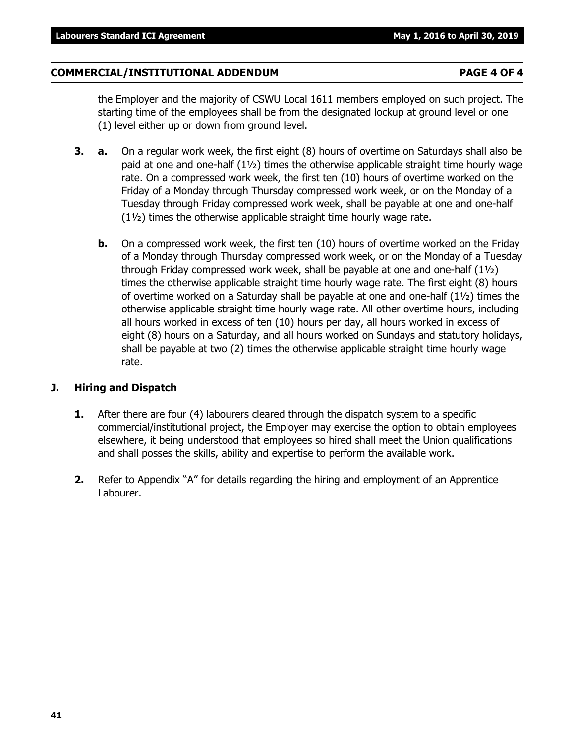## **COMMERCIAL/INSTITUTIONAL ADDENDUM PAGE 4 OF 4**

the Employer and the majority of CSWU Local 1611 members employed on such project. The starting time of the employees shall be from the designated lockup at ground level or one (1) level either up or down from ground level.

- **3. a.** On a regular work week, the first eight (8) hours of overtime on Saturdays shall also be paid at one and one-half (1½) times the otherwise applicable straight time hourly wage rate. On a compressed work week, the first ten (10) hours of overtime worked on the Friday of a Monday through Thursday compressed work week, or on the Monday of a Tuesday through Friday compressed work week, shall be payable at one and one-half (1½) times the otherwise applicable straight time hourly wage rate.
	- **b.** On a compressed work week, the first ten (10) hours of overtime worked on the Friday of a Monday through Thursday compressed work week, or on the Monday of a Tuesday through Friday compressed work week, shall be payable at one and one-half (1½) times the otherwise applicable straight time hourly wage rate. The first eight (8) hours of overtime worked on a Saturday shall be payable at one and one-half (1½) times the otherwise applicable straight time hourly wage rate. All other overtime hours, including all hours worked in excess of ten (10) hours per day, all hours worked in excess of eight (8) hours on a Saturday, and all hours worked on Sundays and statutory holidays, shall be payable at two (2) times the otherwise applicable straight time hourly wage rate.

## **J. Hiring and Dispatch**

- **1.** After there are four (4) labourers cleared through the dispatch system to a specific commercial/institutional project, the Employer may exercise the option to obtain employees elsewhere, it being understood that employees so hired shall meet the Union qualifications and shall posses the skills, ability and expertise to perform the available work.
- **2.** Refer to Appendix "A" for details regarding the hiring and employment of an Apprentice Labourer.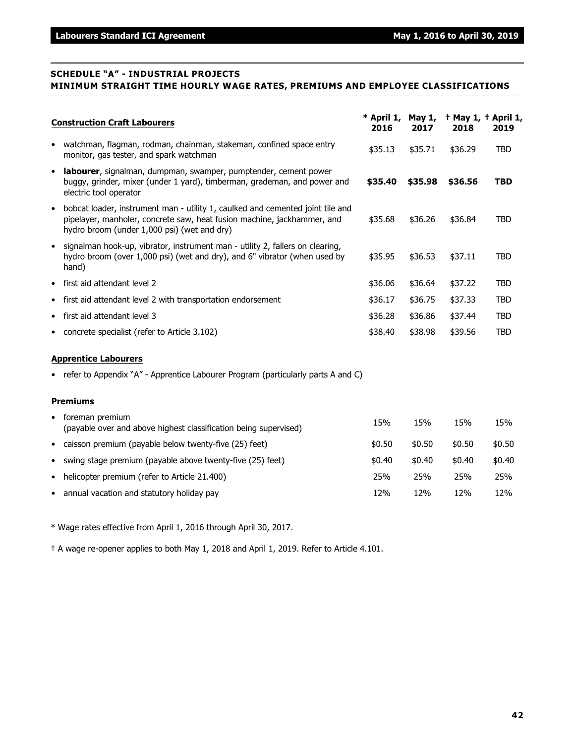### **SCHEDULE "A" - INDUSTRIAL PROJECTS MINIMUM STRAIGHT TIME HOURLY WAGE RATES, PREMIUMS AND EMPLOYEE CLASSIFICATIONS**

|           | <b>Construction Craft Labourers</b>                                                                                                                                                                      |         | * April 1,<br>2017 | May $1$ , $+$ May $1$ , $+$ April $1$ ,<br>2018 | 2019       |
|-----------|----------------------------------------------------------------------------------------------------------------------------------------------------------------------------------------------------------|---------|--------------------|-------------------------------------------------|------------|
| $\bullet$ | watchman, flagman, rodman, chainman, stakeman, confined space entry<br>monitor, gas tester, and spark watchman                                                                                           | \$35.13 | \$35.71            | \$36.29                                         | <b>TBD</b> |
| $\bullet$ | labourer, signalman, dumpman, swamper, pumptender, cement power<br>buggy, grinder, mixer (under 1 yard), timberman, grademan, and power and<br>electric tool operator                                    | \$35.40 | \$35.98            | \$36.56                                         | <b>TBD</b> |
| $\bullet$ | bobcat loader, instrument man - utility 1, caulked and cemented joint tile and<br>pipelayer, manholer, concrete saw, heat fusion machine, jackhammer, and<br>hydro broom (under 1,000 psi) (wet and dry) | \$35.68 | \$36.26            | \$36.84                                         | <b>TBD</b> |
| $\bullet$ | signalman hook-up, vibrator, instrument man - utility 2, fallers on clearing,<br>hydro broom (over 1,000 psi) (wet and dry), and 6" vibrator (when used by<br>hand)                                      | \$35.95 | \$36.53            | \$37.11                                         | <b>TBD</b> |
| $\bullet$ | first aid attendant level 2                                                                                                                                                                              | \$36.06 | \$36.64            | \$37.22                                         | <b>TBD</b> |
| $\bullet$ | first aid attendant level 2 with transportation endorsement                                                                                                                                              | \$36.17 | \$36.75            | \$37.33                                         | <b>TBD</b> |
| $\bullet$ | first aid attendant level 3                                                                                                                                                                              | \$36.28 | \$36.86            | \$37.44                                         | <b>TBD</b> |
| ٠         | concrete specialist (refer to Article 3.102)                                                                                                                                                             | \$38.40 | \$38.98            | \$39.56                                         | <b>TBD</b> |
|           | <b>Apprentice Labourers</b>                                                                                                                                                                              |         |                    |                                                 |            |
|           | • refer to Appendix "A" - Apprentice Labourer Program (particularly parts A and C)                                                                                                                       |         |                    |                                                 |            |
|           | <b>Premiums</b>                                                                                                                                                                                          |         |                    |                                                 |            |
| ٠         | foreman premium<br>(payable over and above highest classification being supervised)                                                                                                                      | 15%     | 15%                | 15%                                             | 15%        |

- caisson premium (payable below twenty-five (25) feet)  $$0.50$  \$0.50 \$0.50 \$0.50 \$0.50 • swing stage premium (payable above twenty-five  $(25)$  feet)  $\qquad \qquad$  \$0.40  $\qquad$  \$0.40  $\qquad$  \$0.40  $\qquad$  \$0.40 • helicopter premium (refer to Article 21.400) 25% 25% 25% 25%
- annual vacation and statutory holiday pay 12% 12% 12% 12%

\* Wage rates effective from April 1, 2016 through April 30, 2017.

† A wage re-opener applies to both May 1, 2018 and April 1, 2019. Refer to Article 4.101.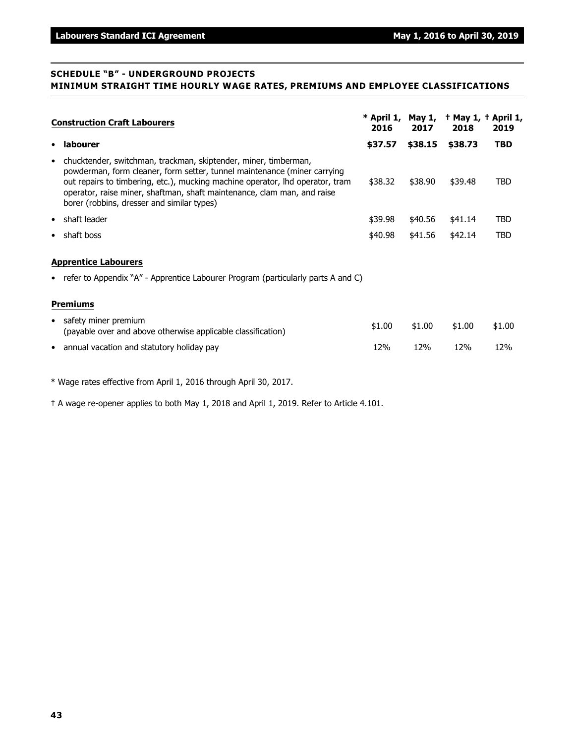### **SCHEDULE "B" - UNDERGROUND PROJECTS MINIMUM STRAIGHT TIME HOURLY WAGE RATES, PREMIUMS AND EMPLOYEE CLASSIFICATIONS**

|           | <b>Construction Craft Labourers</b>                                                                                                                                                                                                                                                                                                                   | * April 1,<br>2016 | 2017    | May $1, +$ May $1, +$ April $1,$<br>2018 | 2019       |
|-----------|-------------------------------------------------------------------------------------------------------------------------------------------------------------------------------------------------------------------------------------------------------------------------------------------------------------------------------------------------------|--------------------|---------|------------------------------------------|------------|
| $\bullet$ | labourer                                                                                                                                                                                                                                                                                                                                              | \$37.57            | \$38.15 | \$38.73                                  | <b>TBD</b> |
| $\bullet$ | chucktender, switchman, trackman, skiptender, miner, timberman,<br>powderman, form cleaner, form setter, tunnel maintenance (miner carrying<br>out repairs to timbering, etc.), mucking machine operator, lhd operator, tram<br>operator, raise miner, shaftman, shaft maintenance, clam man, and raise<br>borer (robbins, dresser and similar types) | \$38.32            | \$38.90 | \$39.48                                  | <b>TBD</b> |
| $\bullet$ | shaft leader                                                                                                                                                                                                                                                                                                                                          | \$39.98            | \$40.56 | \$41.14                                  | TBD        |
| ٠         | shaft boss                                                                                                                                                                                                                                                                                                                                            | \$40.98            | \$41.56 | \$42.14                                  | <b>TBD</b> |
|           | <b>Apprentice Labourers</b><br>• refer to Appendix "A" - Apprentice Labourer Program (particularly parts A and C)                                                                                                                                                                                                                                     |                    |         |                                          |            |
|           |                                                                                                                                                                                                                                                                                                                                                       |                    |         |                                          |            |
|           | <b>Premiums</b>                                                                                                                                                                                                                                                                                                                                       |                    |         |                                          |            |
| $\bullet$ | safety miner premium<br>(payable over and above otherwise applicable classification)                                                                                                                                                                                                                                                                  | \$1.00             | \$1.00  | \$1.00                                   | \$1.00     |
| $\bullet$ | annual vacation and statutory holiday pay                                                                                                                                                                                                                                                                                                             | 12%                | 12%     | 12%                                      | 12%        |

\* Wage rates effective from April 1, 2016 through April 30, 2017.

† A wage re-opener applies to both May 1, 2018 and April 1, 2019. Refer to Article 4.101.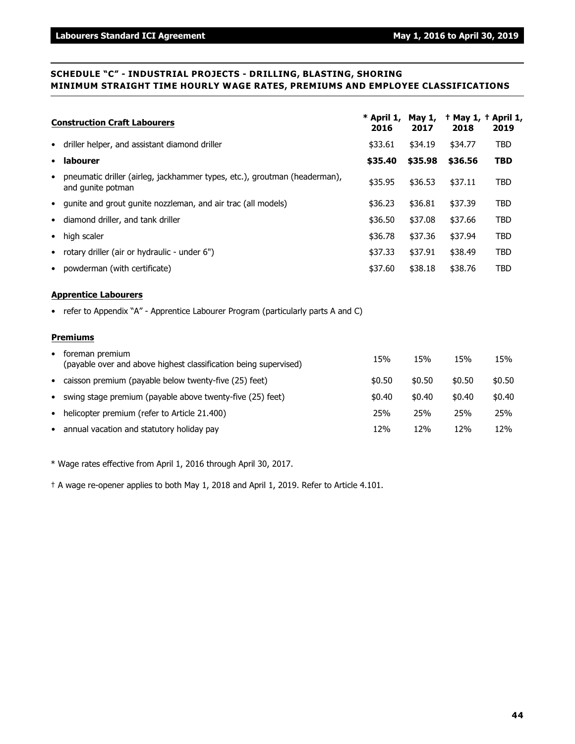### **SCHEDULE "C" - INDUSTRIAL PROJECTS - DRILLING, BLASTING, SHORING MINIMUM STRAIGHT TIME HOURLY WAGE RATES, PREMIUMS AND EMPLOYEE CLASSIFICATIONS**

| <b>Construction Craft Labourers</b>                                                                         |              | * April 1,<br>May $1$ ,<br>2017 | 2018         | + May 1, + April 1,<br>2019 |
|-------------------------------------------------------------------------------------------------------------|--------------|---------------------------------|--------------|-----------------------------|
| driller helper, and assistant diamond driller<br>$\bullet$                                                  | \$33.61      | \$34.19                         | \$34.77      | <b>TBD</b>                  |
| labourer<br>$\bullet$                                                                                       | \$35.40      | \$35.98                         | \$36.56      | <b>TBD</b>                  |
| pneumatic driller (airleg, jackhammer types, etc.), groutman (headerman),<br>$\bullet$<br>and gunite potman | \$35.95      | \$36.53                         | \$37.11      | TBD                         |
| gunite and grout gunite nozzleman, and air trac (all models)<br>$\bullet$                                   | \$36.23      | \$36.81                         | \$37.39      | <b>TBD</b>                  |
| diamond driller, and tank driller<br>$\bullet$                                                              | \$36.50      | \$37.08                         | \$37.66      | <b>TBD</b>                  |
| high scaler<br>$\bullet$                                                                                    | \$36.78      | \$37.36                         | \$37.94      | TBD                         |
| rotary driller (air or hydraulic - under 6")<br>$\bullet$                                                   | \$37.33      | \$37.91                         | \$38.49      | TBD                         |
| powderman (with certificate)<br>$\bullet$                                                                   | \$37.60      | \$38.18                         | \$38.76      | TBD                         |
| <b>Apprentice Labourers</b>                                                                                 |              |                                 |              |                             |
| • refer to Appendix "A" - Apprentice Labourer Program (particularly parts A and C)                          |              |                                 |              |                             |
| <b>Premiums</b>                                                                                             |              |                                 |              |                             |
| foreman premium<br>٠<br>(payable over and above highest classification being supervised)                    | 15%          | 15%                             | 15%          | 15%                         |
| • caisson premium (payable below twenty-five (25) feet)                                                     | \$0.50       | \$0.50                          | \$0.50       | \$0.50                      |
| $\bullet$ swing stage premium (payable above twenty-five (25) feet)                                         | <b>40.40</b> | <b>¢∩ ⊿∩</b>                    | <b>ቲበ 4በ</b> | <b>¢∩ ⊿∩</b>                |

swing stage premium (payable above twenty-five (25) feet)  $$0.40$   $$0.40$   $$0.40$   $$0.40$ • helicopter premium (refer to Article 21.400) 25% 25% 25% 25% • annual vacation and statutory holiday pay 12% 12% 12% 12% 12% 12% 12% 12% 12%

\* Wage rates effective from April 1, 2016 through April 30, 2017.

† A wage re-opener applies to both May 1, 2018 and April 1, 2019. Refer to Article 4.101.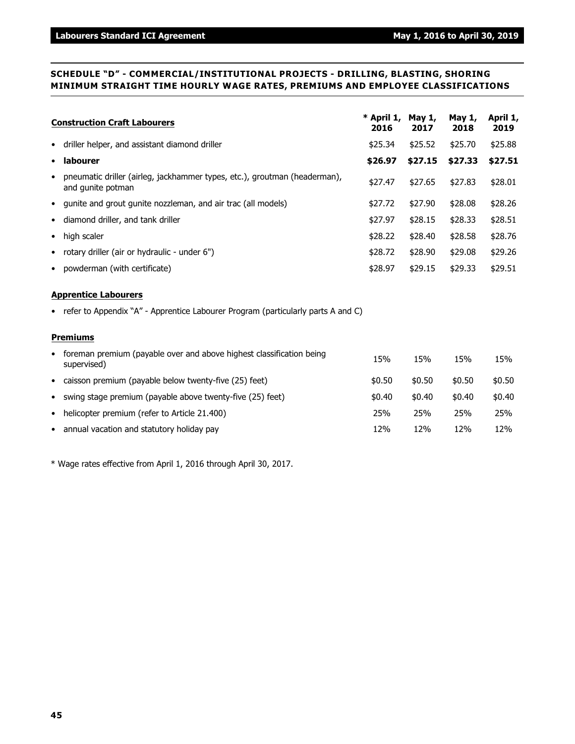### **SCHEDULE "D" - COMMERCIAL/INSTITUTIONAL PROJECTS - DRILLING, BLASTING, SHORING MINIMUM STRAIGHT TIME HOURLY WAGE RATES, PREMIUMS AND EMPLOYEE CLASSIFICATIONS**

| <b>Construction Craft Labourers</b>                                                              | * April 1,<br>2016 | May 1,<br>2017 | May 1,<br>2018 | April 1,<br>2019 |
|--------------------------------------------------------------------------------------------------|--------------------|----------------|----------------|------------------|
| • driller helper, and assistant diamond driller                                                  | \$25.34            | \$25.52        | \$25.70        | \$25.88          |
| • labourer                                                                                       | \$26.97            | \$27.15        | \$27.33        | \$27.51          |
| • pneumatic driller (airleg, jackhammer types, etc.), groutman (headerman),<br>and gunite potman | \$27.47            | \$27.65        | \$27.83        | \$28.01          |
| • gunite and grout gunite nozzleman, and air trac (all models)                                   | \$27.72            | \$27.90        | \$28.08        | \$28.26          |
| • diamond driller, and tank driller                                                              | \$27.97            | \$28.15        | \$28.33        | \$28.51          |
| $\bullet$ high scaler                                                                            | \$28.22            | \$28.40        | \$28.58        | \$28.76          |
| • rotary driller (air or hydraulic - under 6")                                                   | \$28.72            | \$28.90        | \$29.08        | \$29.26          |
| • powderman (with certificate)                                                                   | \$28.97            | \$29.15        | \$29.33        | \$29.51          |
| <b>Apprentice Labourers</b>                                                                      |                    |                |                |                  |

### • refer to Appendix "A" - Apprentice Labourer Program (particularly parts A and C)

### **Premiums**

| • foreman premium (payable over and above highest classification being<br>supervised) | 15%    | 15%    | 15%    | 15%    |
|---------------------------------------------------------------------------------------|--------|--------|--------|--------|
| • caisson premium (payable below twenty-five (25) feet)                               | \$0.50 | \$0.50 | \$0.50 | \$0.50 |
| • swing stage premium (payable above twenty-five (25) feet)                           | \$0.40 | \$0.40 | \$0.40 | \$0.40 |
| • helicopter premium (refer to Article 21.400)                                        | 25%    | 25%    | 25%    | 25%    |
| • annual vacation and statutory holiday pay                                           | 12%    | 12%    | 12%    | 12%    |

\* Wage rates effective from April 1, 2016 through April 30, 2017.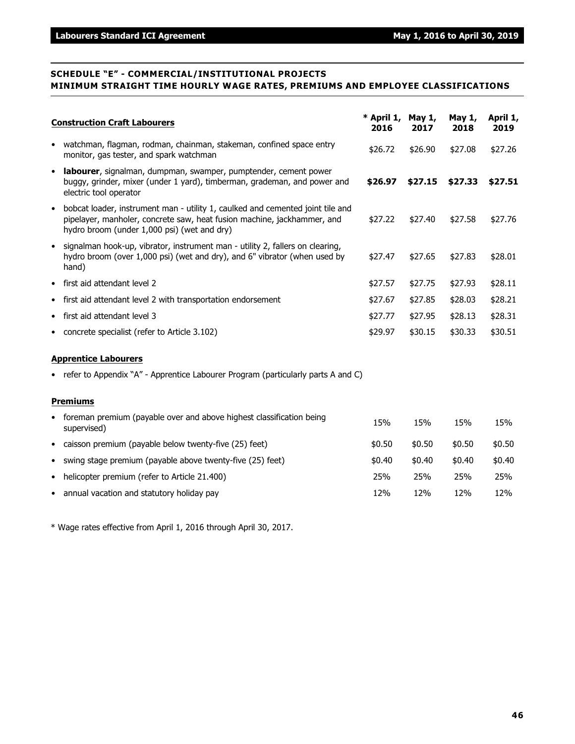### **SCHEDULE "E" - COMMERCIAL/INSTITUTIONAL PROJECTS MINIMUM STRAIGHT TIME HOURLY WAGE RATES, PREMIUMS AND EMPLOYEE CLASSIFICATIONS**

|           | <b>Construction Craft Labourers</b>                                                                                                                                                                      |         | $*$ April 1, May 1,<br>2017 | May 1,<br>2018 | April 1,<br>2019 |
|-----------|----------------------------------------------------------------------------------------------------------------------------------------------------------------------------------------------------------|---------|-----------------------------|----------------|------------------|
| $\bullet$ | watchman, flagman, rodman, chainman, stakeman, confined space entry<br>monitor, gas tester, and spark watchman                                                                                           | \$26.72 | \$26.90                     | \$27.08        | \$27.26          |
| $\bullet$ | labourer, signalman, dumpman, swamper, pumptender, cement power<br>buggy, grinder, mixer (under 1 yard), timberman, grademan, and power and<br>electric tool operator                                    | \$26.97 | \$27.15                     | \$27.33        | \$27.51          |
| $\bullet$ | bobcat loader, instrument man - utility 1, caulked and cemented joint tile and<br>pipelayer, manholer, concrete saw, heat fusion machine, jackhammer, and<br>hydro broom (under 1,000 psi) (wet and dry) | \$27.22 | \$27.40                     | \$27.58        | \$27.76          |
| $\bullet$ | signalman hook-up, vibrator, instrument man - utility 2, fallers on clearing,<br>hydro broom (over 1,000 psi) (wet and dry), and 6" vibrator (when used by<br>hand)                                      | \$27.47 | \$27.65                     | \$27.83        | \$28.01          |
| $\bullet$ | first aid attendant level 2                                                                                                                                                                              | \$27.57 | \$27.75                     | \$27.93        | \$28.11          |
| $\bullet$ | first aid attendant level 2 with transportation endorsement                                                                                                                                              | \$27.67 | \$27.85                     | \$28.03        | \$28.21          |
|           | • first aid attendant level 3                                                                                                                                                                            | \$27.77 | \$27.95                     | \$28.13        | \$28.31          |
|           | • concrete specialist (refer to Article 3.102)                                                                                                                                                           | \$29.97 | \$30.15                     | \$30.33        | \$30.51          |
|           | <b>Apprentice Labourers</b>                                                                                                                                                                              |         |                             |                |                  |
|           | • refer to Appendix "A" - Apprentice Labourer Program (particularly parts A and C)                                                                                                                       |         |                             |                |                  |
|           | <b>Premiums</b>                                                                                                                                                                                          |         |                             |                |                  |
|           | foreman premium (payable over and above highest classification being<br>supervised)                                                                                                                      | 15%     | 15%                         | 15%            | 15%              |
|           | • caisson premium (payable below twenty-five (25) feet)                                                                                                                                                  | \$0.50  | \$0.50                      | \$0.50         | \$0.50           |

- swing stage premium (payable above twenty-five  $(25)$  feet)  $\qquad \qquad$  \$0.40  $\qquad$  \$0.40  $\qquad$  \$0.40  $\qquad$  \$0.40 • helicopter premium (refer to Article 21.400) 25% 25% 25% 25%
- annual vacation and statutory holiday pay 12% 12% 12% 12% 12% 12% 12% 12% 12%

\* Wage rates effective from April 1, 2016 through April 30, 2017.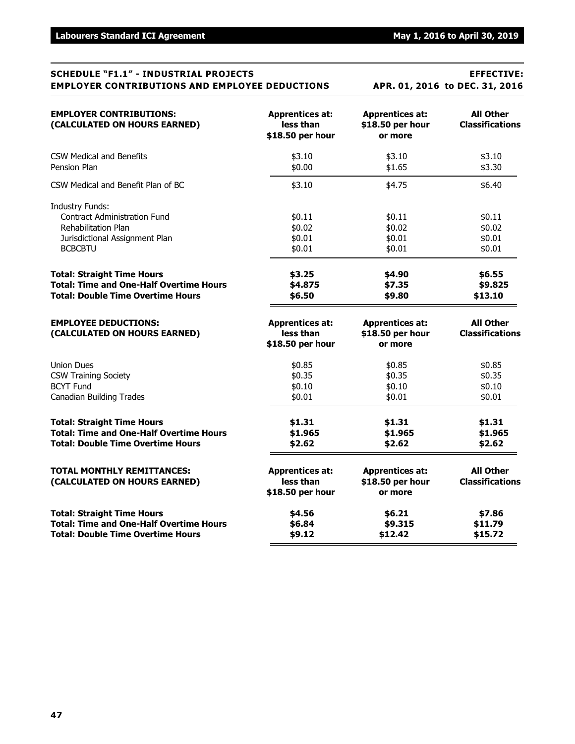|  | l. 01, 2016 to DEC. 31, 2016 |  |  |
|--|------------------------------|--|--|
|  |                              |  |  |

| <b>EMPLOYER CONTRIBUTIONS:</b><br>(CALCULATED ON HOURS EARNED)                                                                                  | <b>Apprentices at:</b><br>less than<br>\$18.50 per hour | <b>Apprentices at:</b><br>\$18.50 per hour<br>or more | <b>All Other</b><br><b>Classifications</b> |
|-------------------------------------------------------------------------------------------------------------------------------------------------|---------------------------------------------------------|-------------------------------------------------------|--------------------------------------------|
| <b>CSW Medical and Benefits</b>                                                                                                                 | \$3.10                                                  | \$3.10                                                | \$3.10                                     |
| Pension Plan                                                                                                                                    | \$0.00                                                  | \$1.65                                                | \$3.30                                     |
| CSW Medical and Benefit Plan of BC                                                                                                              | \$3.10                                                  | \$4.75                                                | \$6.40                                     |
| <b>Industry Funds:</b><br><b>Contract Administration Fund</b><br><b>Rehabilitation Plan</b><br>Jurisdictional Assignment Plan<br><b>BCBCBTU</b> | \$0.11<br>\$0.02<br>\$0.01<br>\$0.01                    | \$0.11<br>\$0.02<br>\$0.01<br>\$0.01                  | \$0.11<br>\$0.02<br>\$0.01<br>\$0.01       |
| <b>Total: Straight Time Hours</b>                                                                                                               | \$3.25                                                  | \$4.90                                                | \$6.55                                     |
| <b>Total: Time and One-Half Overtime Hours</b>                                                                                                  | \$4.875                                                 | \$7.35                                                | \$9.825                                    |
| <b>Total: Double Time Overtime Hours</b>                                                                                                        | \$6.50                                                  | \$9.80                                                | \$13.10                                    |
| <b>EMPLOYEE DEDUCTIONS:</b><br>(CALCULATED ON HOURS EARNED)                                                                                     | <b>Apprentices at:</b><br>less than<br>\$18.50 per hour | <b>Apprentices at:</b><br>\$18.50 per hour<br>or more | <b>All Other</b><br><b>Classifications</b> |
| <b>Union Dues</b>                                                                                                                               | \$0.85                                                  | \$0.85                                                | \$0.85                                     |
| <b>CSW Training Society</b>                                                                                                                     | \$0.35                                                  | \$0.35                                                | \$0.35                                     |
| <b>BCYT Fund</b>                                                                                                                                | \$0.10                                                  | \$0.10                                                | \$0.10                                     |
| <b>Canadian Building Trades</b>                                                                                                                 | \$0.01                                                  | \$0.01                                                | \$0.01                                     |
| <b>Total: Straight Time Hours</b>                                                                                                               | \$1.31                                                  | \$1.31                                                | \$1.31                                     |
| <b>Total: Time and One-Half Overtime Hours</b>                                                                                                  | \$1.965                                                 | \$1.965                                               | \$1.965                                    |
| <b>Total: Double Time Overtime Hours</b>                                                                                                        | \$2.62                                                  | \$2.62                                                | \$2.62                                     |
| <b>TOTAL MONTHLY REMITTANCES:</b><br>(CALCULATED ON HOURS EARNED)                                                                               | <b>Apprentices at:</b><br>less than<br>\$18.50 per hour | <b>Apprentices at:</b><br>\$18.50 per hour<br>or more | <b>All Other</b><br><b>Classifications</b> |
| <b>Total: Straight Time Hours</b>                                                                                                               | \$4.56                                                  | \$6.21                                                | \$7.86                                     |
| <b>Total: Time and One-Half Overtime Hours</b>                                                                                                  | \$6.84                                                  | \$9.315                                               | \$11.79                                    |
| <b>Total: Double Time Overtime Hours</b>                                                                                                        | \$9.12                                                  | \$12.42                                               | \$15.72                                    |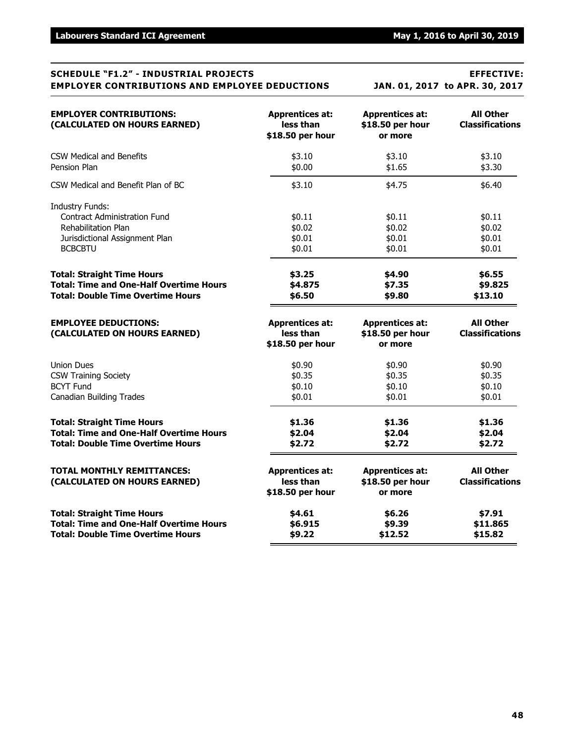# **SCHEDULE "F1.2" - INDUSTRIAL PROJECTS EFFECTIVE: EMPLOYER CONTRIBUTIONS AND EMPLOYEE DEDUCTIONS JAN. 01, 2017 to APR. 30, 2017 EMPLOYER CONTRIBUTIONS: Apprentices at: Apprentices at: All Other (CALCULATED ON HOURS EARNED)** less than \$18.50 per hour<br>\$18.50 per hour **business \$18.50 per hour** or more **\$18.50 per hour or more**

| <b>Total: Straight Time Hours</b>                                                                                                        | \$4.61                                                  | \$6.26                                                | \$7.91                                     |
|------------------------------------------------------------------------------------------------------------------------------------------|---------------------------------------------------------|-------------------------------------------------------|--------------------------------------------|
| <b>Total: Time and One-Half Overtime Hours</b>                                                                                           | \$6.915                                                 | \$9.39                                                | \$11.865                                   |
| <b>Total: Double Time Overtime Hours</b>                                                                                                 | \$9.22                                                  | \$12.52                                               | \$15.82                                    |
| <b>TOTAL MONTHLY REMITTANCES:</b><br>(CALCULATED ON HOURS EARNED)                                                                        | <b>Apprentices at:</b><br>less than<br>\$18.50 per hour | <b>Apprentices at:</b><br>\$18.50 per hour<br>or more | <b>All Other</b><br><b>Classifications</b> |
| <b>Total: Straight Time Hours</b>                                                                                                        | \$1.36                                                  | \$1.36                                                | \$1.36                                     |
| <b>Total: Time and One-Half Overtime Hours</b>                                                                                           | \$2.04                                                  | \$2.04                                                | \$2.04                                     |
| <b>Total: Double Time Overtime Hours</b>                                                                                                 | \$2.72                                                  | \$2.72                                                | \$2.72                                     |
| <b>Union Dues</b>                                                                                                                        | \$0.90                                                  | \$0.90                                                | \$0.90                                     |
| <b>CSW Training Society</b>                                                                                                              | \$0.35                                                  | \$0.35                                                | \$0.35                                     |
| <b>BCYT Fund</b>                                                                                                                         | \$0.10                                                  | \$0.10                                                | \$0.10                                     |
| <b>Canadian Building Trades</b>                                                                                                          | \$0.01                                                  | \$0.01                                                | \$0.01                                     |
| <b>EMPLOYEE DEDUCTIONS:</b><br>(CALCULATED ON HOURS EARNED)                                                                              | <b>Apprentices at:</b><br>less than<br>\$18.50 per hour | <b>Apprentices at:</b><br>\$18.50 per hour<br>or more | <b>All Other</b><br><b>Classifications</b> |
| <b>Total: Straight Time Hours</b>                                                                                                        | \$3.25                                                  | \$4.90                                                | \$6.55                                     |
| <b>Total: Time and One-Half Overtime Hours</b>                                                                                           | \$4.875                                                 | \$7.35                                                | \$9.825                                    |
| <b>Total: Double Time Overtime Hours</b>                                                                                                 | \$6.50                                                  | \$9.80                                                | \$13.10                                    |
| <b>Industry Funds:</b><br><b>Contract Administration Fund</b><br>Rehabilitation Plan<br>Jurisdictional Assignment Plan<br><b>BCBCBTU</b> | \$0.11<br>\$0.02<br>\$0.01<br>\$0.01                    | \$0.11<br>\$0.02<br>\$0.01<br>\$0.01                  | \$0.11<br>\$0.02<br>\$0.01<br>\$0.01       |
| CSW Medical and Benefit Plan of BC                                                                                                       | \$3.10                                                  | \$4.75                                                | \$6.40                                     |
| CSW Medical and Benefits                                                                                                                 | \$3.10                                                  | \$3.10                                                | \$3.10                                     |
| Pension Plan                                                                                                                             | \$0.00                                                  | \$1.65                                                | \$3.30                                     |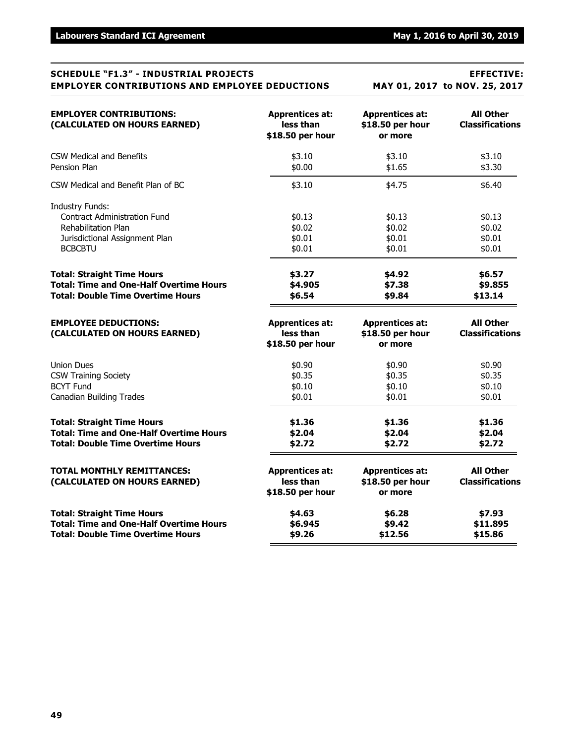| SCHEDOLE F1.3 -INDUSIKIAL FKUJECIS                                                                                                              |                                                         | EFFECI1VE;                                            |                                            |  |  |
|-------------------------------------------------------------------------------------------------------------------------------------------------|---------------------------------------------------------|-------------------------------------------------------|--------------------------------------------|--|--|
| <b>EMPLOYER CONTRIBUTIONS AND EMPLOYEE DEDUCTIONS</b>                                                                                           |                                                         | MAY 01, 2017 to NOV. 25, 2017                         |                                            |  |  |
| <b>EMPLOYER CONTRIBUTIONS:</b><br>(CALCULATED ON HOURS EARNED)                                                                                  | <b>Apprentices at:</b><br>less than<br>\$18.50 per hour | <b>Apprentices at:</b><br>\$18.50 per hour<br>or more | <b>All Other</b><br><b>Classifications</b> |  |  |
| <b>CSW Medical and Benefits</b>                                                                                                                 | \$3.10                                                  | \$3.10                                                | \$3.10                                     |  |  |
| Pension Plan                                                                                                                                    | \$0.00                                                  | \$1.65                                                | \$3.30                                     |  |  |
| CSW Medical and Benefit Plan of BC                                                                                                              | \$3.10                                                  | \$4.75                                                | \$6.40                                     |  |  |
| <b>Industry Funds:</b><br><b>Contract Administration Fund</b><br><b>Rehabilitation Plan</b><br>Jurisdictional Assignment Plan<br><b>BCBCBTU</b> | \$0.13<br>\$0.02<br>\$0.01<br>\$0.01                    | \$0.13<br>\$0.02<br>\$0.01<br>\$0.01                  | \$0.13<br>\$0.02<br>\$0.01<br>\$0.01       |  |  |
| <b>Total: Straight Time Hours</b>                                                                                                               | \$3.27                                                  | \$4.92                                                | \$6.57                                     |  |  |
| <b>Total: Time and One-Half Overtime Hours</b>                                                                                                  | \$4.905                                                 | \$7.38                                                | \$9.855                                    |  |  |
| <b>Total: Double Time Overtime Hours</b>                                                                                                        | \$6.54                                                  | \$9.84                                                | \$13.14                                    |  |  |
| <b>EMPLOYEE DEDUCTIONS:</b><br>(CALCULATED ON HOURS EARNED)                                                                                     | <b>Apprentices at:</b><br>less than<br>\$18.50 per hour | <b>Apprentices at:</b><br>\$18.50 per hour<br>or more | <b>All Other</b><br><b>Classifications</b> |  |  |
| <b>Union Dues</b>                                                                                                                               | \$0.90                                                  | \$0.90                                                | \$0.90                                     |  |  |
| <b>CSW Training Society</b>                                                                                                                     | \$0.35                                                  | \$0.35                                                | \$0.35                                     |  |  |
| <b>BCYT Fund</b>                                                                                                                                | \$0.10                                                  | \$0.10                                                | \$0.10                                     |  |  |
| <b>Canadian Building Trades</b>                                                                                                                 | \$0.01                                                  | \$0.01                                                | \$0.01                                     |  |  |
| <b>Total: Straight Time Hours</b>                                                                                                               | \$1.36                                                  | \$1.36                                                | \$1.36                                     |  |  |
| <b>Total: Time and One-Half Overtime Hours</b>                                                                                                  | \$2.04                                                  | \$2.04                                                | \$2.04                                     |  |  |
| <b>Total: Double Time Overtime Hours</b>                                                                                                        | \$2.72                                                  | \$2.72                                                | \$2.72                                     |  |  |
| <b>TOTAL MONTHLY REMITTANCES:</b><br>(CALCULATED ON HOURS EARNED)                                                                               | <b>Apprentices at:</b><br>less than<br>\$18.50 per hour | <b>Apprentices at:</b><br>\$18.50 per hour<br>or more | <b>All Other</b><br><b>Classifications</b> |  |  |
| <b>Total: Straight Time Hours</b>                                                                                                               | \$4.63                                                  | \$6.28                                                | \$7.93                                     |  |  |
| <b>Total: Time and One-Half Overtime Hours</b>                                                                                                  | \$6.945                                                 | \$9.42                                                | \$11.895                                   |  |  |
| <b>Total: Double Time Overtime Hours</b>                                                                                                        | \$9.26                                                  | \$12.56                                               | \$15.86                                    |  |  |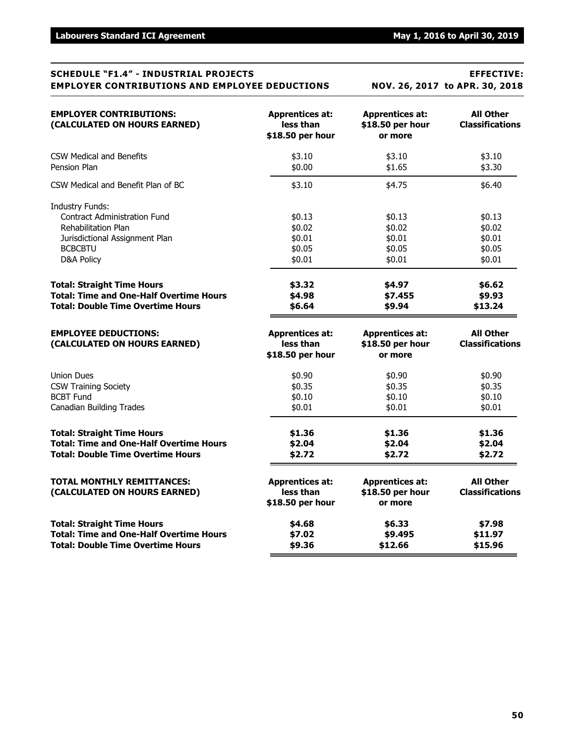# **SCHEDULE "F1.4" - INDUSTRIAL PROJECTS EFFECTIVE: EMPLOYER CONTRIBUTIONS AND EMPLOYEE DEDUCTIONS NOV. 26, 2017 to APR. 30, 2018 EMPLOYER CONTRIBUTIONS: Apprentices at: Apprentices at: All Other (CALCULATED ON HOURS EARNED) less than \$18.50 per hour Classifications**

| (CALCULATED ON HOURS EARNED)                                | iess tnan<br>\$18.50 per hour       | <b>PIQ.SU DEL HOUL</b><br>or more          | Classifications                            |
|-------------------------------------------------------------|-------------------------------------|--------------------------------------------|--------------------------------------------|
| <b>CSW Medical and Benefits</b><br>Pension Plan             | \$3.10<br>\$0.00                    | \$3.10<br>\$1.65                           | \$3.10<br>\$3.30                           |
|                                                             |                                     |                                            |                                            |
| CSW Medical and Benefit Plan of BC                          | \$3.10                              | \$4.75                                     | \$6.40                                     |
| <b>Industry Funds:</b>                                      |                                     |                                            |                                            |
| <b>Contract Administration Fund</b>                         | \$0.13                              | \$0.13                                     | \$0.13                                     |
| Rehabilitation Plan                                         | \$0.02                              | \$0.02                                     | \$0.02                                     |
| Jurisdictional Assignment Plan                              | \$0.01                              | \$0.01                                     | \$0.01                                     |
| <b>BCBCBTU</b>                                              | \$0.05                              | \$0.05                                     | \$0.05                                     |
| D&A Policy                                                  | \$0.01                              | \$0.01                                     | \$0.01                                     |
| <b>Total: Straight Time Hours</b>                           | \$3.32                              | \$4.97                                     | \$6.62                                     |
| <b>Total: Time and One-Half Overtime Hours</b>              | \$4.98                              | \$7.455                                    | \$9.93                                     |
| <b>Total: Double Time Overtime Hours</b>                    | \$6.64                              | \$9.94                                     | \$13.24                                    |
| <b>EMPLOYEE DEDUCTIONS:</b><br>(CALCULATED ON HOURS EARNED) | <b>Apprentices at:</b><br>less than | <b>Apprentices at:</b><br>\$18.50 per hour | <b>All Other</b><br><b>Classifications</b> |
|                                                             | \$18.50 per hour                    | or more                                    |                                            |
| <b>Union Dues</b>                                           | \$0.90                              | \$0.90                                     | \$0.90                                     |
| <b>CSW Training Society</b>                                 | \$0.35                              | \$0.35                                     | \$0.35                                     |
| <b>BCBT Fund</b>                                            | \$0.10                              | \$0.10                                     | \$0.10                                     |
| <b>Canadian Building Trades</b>                             | \$0.01                              | \$0.01                                     | \$0.01                                     |
| <b>Total: Straight Time Hours</b>                           | \$1.36                              | \$1.36                                     | \$1.36                                     |
| <b>Total: Time and One-Half Overtime Hours</b>              | \$2.04                              | \$2.04                                     | \$2.04                                     |
| <b>Total: Double Time Overtime Hours</b>                    | \$2.72                              | \$2.72                                     | \$2.72                                     |
| <b>TOTAL MONTHLY REMITTANCES:</b>                           | <b>Apprentices at:</b>              | <b>Apprentices at:</b>                     | <b>All Other</b>                           |
| (CALCULATED ON HOURS EARNED)                                | less than                           | \$18.50 per hour                           | <b>Classifications</b>                     |
|                                                             | \$18.50 per hour                    | or more                                    |                                            |
| <b>Total: Straight Time Hours</b>                           | \$4.68                              | \$6.33                                     | \$7.98                                     |
| <b>Total: Time and One-Half Overtime Hours</b>              | \$7.02                              | \$9.495                                    | \$11.97                                    |
| <b>Total: Double Time Overtime Hours</b>                    | \$9.36                              | \$12.66                                    | \$15.96                                    |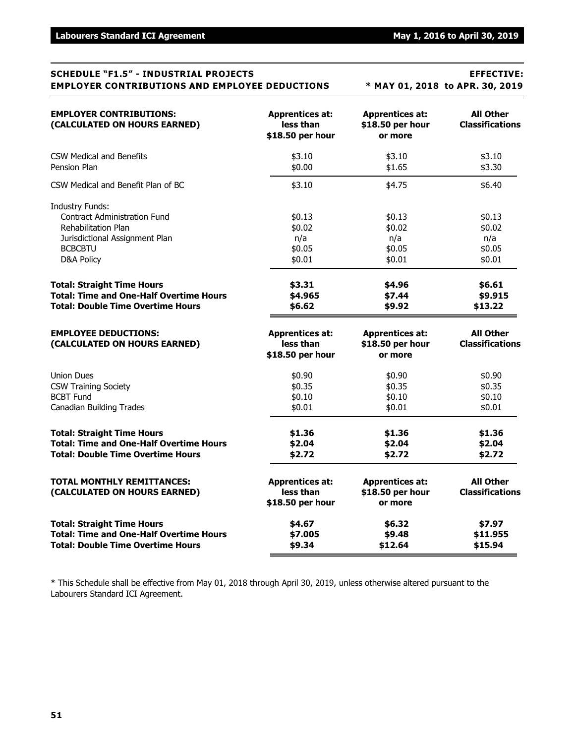# **SCHEDULE "F1.5" - INDUSTRIAL PROJECTS EFFECTIVE: EMPLOYER CONTRIBUTIONS AND EMPLOYEE DEDUCTIONS \* MAY 01, 2018 to APR. 30, 2019 EMPLOYER CONTRIBUTIONS: Apprentices at: Apprentices at: All Other (CALCULATED ON HOURS EARNED) less than \$18.50 per hour Classifications \$18.50 per hour or more** CSW Medical and Benefits **63.10** \$3.10 \$3.10 \$3.10 Pension Plan \$3.30 \$3.30 \$0.00 \$0.00 \$1.65 \$3.30 CSW Medical and Benefit Plan of BC  $$3.10$  \$4.75  $$4.75$  \$6.40 Industry Funds: Contract Administration Fund **\$0.13** \$0.13 \$0.13 \$0.13 \$0.13 Rehabilitation Plan \$0.02 \$0.02 \$0.02 \$0.02 \$0.02 \$0.02 Jurisdictional Assignment Plan n/a n/a n/a BCBCBTU \$0.05 \$0.05 \$0.05  $D8A$  Policy  $$0.01$   $$0.01$   $$0.01$   $$0.01$ **Total: Straight Time Hours \$3.31 \$4.96 \$6.61 Total: Time and One-Half Overtime Hours \$4.965 \$7.44 \$9.915 Total: Double Time Overtime Hours \$6.62 \$9.92 \$13.22 EMPLOYEE DEDUCTIONS: Apprentices at: Apprentices at: All Other (CALCULATED ON HOURS EARNED) less than \$18.50 per hour Classifications \$18.50 per hour or more** Union Dues \$0.90 \$0.90 \$0.90 CSW Training Society 60.35 \$0.35 \$0.35 \$0.35 \$0.35 \$0.35 \$0.35 \$0.35  $\text{BCBT Fund} \quad \text{$0.10} \quad \text{$0.10} \quad \text{$0.10} \quad \text{$0.10}$ Canadian Building Trades  $$0.01$  \$0.01  $$0.01$  \$0.01  $$0.01$ **Total: Straight Time Hours \$1.36 \$1.36 \$1.36 Total: Time and One-Half Overtime Hours \$2.04 \$2.04 \$2.04 Total: Double Time Overtime Hours \$2.72 \$2.72 \$2.72 TOTAL MONTHLY REMITTANCES: Apprentices at: Apprentices at: All Other (CALCULATED ON HOURS EARNED) less than \$18.50 per hour Classifications \$18.50 per hour or more Total: Straight Time Hours \$4.67 \$6.32 \$7.97 Total: Time and One-Half Overtime Hours \$7.005 \$9.48 \$11.955 Total: Double Time Overtime Hours \$9.34 \$12.64 \$15.94**

\* This Schedule shall be effective from May 01, 2018 through April 30, 2019, unless otherwise altered pursuant to the Labourers Standard ICI Agreement.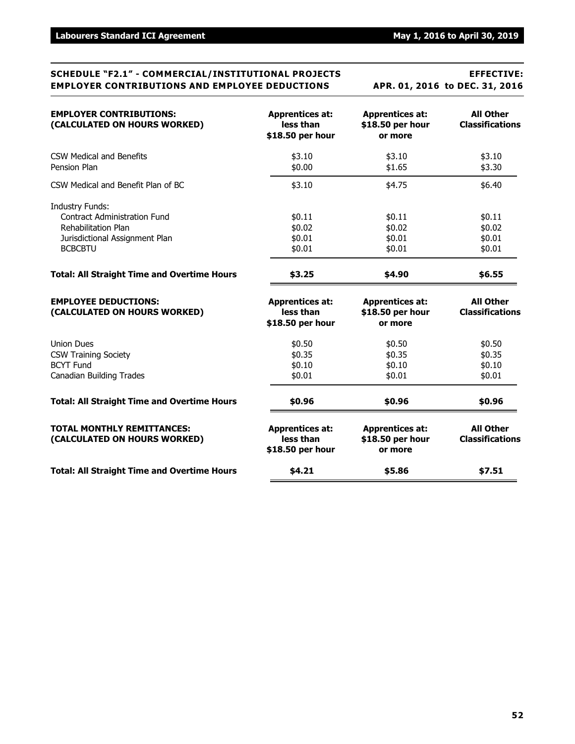### **SCHEDULE "F2.1" - COMMERCIAL/INSTITUTIONAL PROJECTS EFFECTIVE: EMPLOYER CONTRIBUTIONS AND EMPLOYEE DEDUCTIONS APR. 01, 2016 to DEC. 31, 2016**

| <b>EMPLOYER CONTRIBUTIONS:</b><br>(CALCULATED ON HOURS WORKED)                                                                           | <b>Apprentices at:</b><br>less than<br>\$18.50 per hour | <b>Apprentices at:</b><br>\$18.50 per hour<br>or more | <b>All Other</b><br><b>Classifications</b> |
|------------------------------------------------------------------------------------------------------------------------------------------|---------------------------------------------------------|-------------------------------------------------------|--------------------------------------------|
| CSW Medical and Benefits<br>Pension Plan                                                                                                 | \$3.10<br>\$0.00                                        | \$3.10<br>\$1.65                                      | \$3.10<br>\$3.30                           |
| CSW Medical and Benefit Plan of BC                                                                                                       | \$3.10                                                  | \$4.75                                                | \$6.40                                     |
| <b>Industry Funds:</b><br><b>Contract Administration Fund</b><br>Rehabilitation Plan<br>Jurisdictional Assignment Plan<br><b>BCBCBTU</b> | \$0.11<br>\$0.02<br>\$0.01<br>\$0.01                    | \$0.11<br>\$0.02<br>\$0.01<br>\$0.01                  | \$0.11<br>\$0.02<br>\$0.01<br>\$0.01       |
| <b>Total: All Straight Time and Overtime Hours</b>                                                                                       | \$3.25                                                  | \$4.90                                                | \$6.55                                     |
| <b>EMPLOYEE DEDUCTIONS:</b><br>(CALCULATED ON HOURS WORKED)                                                                              | <b>Apprentices at:</b><br>less than<br>\$18.50 per hour | <b>Apprentices at:</b><br>\$18.50 per hour<br>or more | <b>All Other</b><br><b>Classifications</b> |
| <b>Union Dues</b><br><b>CSW Training Society</b><br><b>BCYT Fund</b><br><b>Canadian Building Trades</b>                                  | \$0.50<br>\$0.35<br>\$0.10<br>\$0.01                    | \$0.50<br>\$0.35<br>\$0.10<br>\$0.01                  | \$0.50<br>\$0.35<br>\$0.10<br>\$0.01       |
| <b>Total: All Straight Time and Overtime Hours</b>                                                                                       | \$0.96                                                  | \$0.96                                                | \$0.96                                     |
| <b>TOTAL MONTHLY REMITTANCES:</b><br>(CALCULATED ON HOURS WORKED)                                                                        | <b>Apprentices at:</b><br>less than<br>\$18.50 per hour | <b>Apprentices at:</b><br>\$18.50 per hour<br>or more | <b>All Other</b><br><b>Classifications</b> |
| <b>Total: All Straight Time and Overtime Hours</b>                                                                                       | \$4.21                                                  | \$5.86                                                | \$7.51                                     |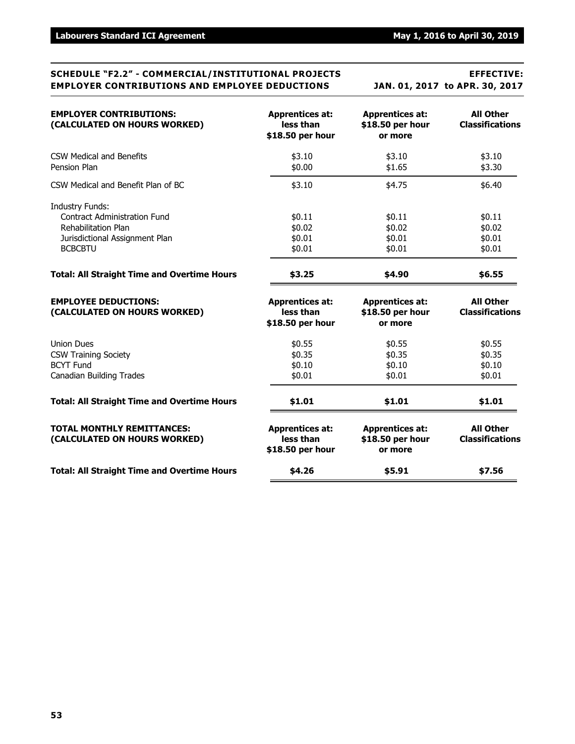### **SCHEDULE "F2.2" - COMMERCIAL/INSTITUTIONAL PROJECTS EFFECTIVE: EMPLOYER CONTRIBUTIONS AND EMPLOYEE DEDUCTIONS JAN. 01, 2017 to APR. 30, 2017**

| <b>EMPLOYER CONTRIBUTIONS:</b><br>(CALCULATED ON HOURS WORKED)                                                                                  | <b>Apprentices at:</b><br>less than<br>\$18.50 per hour | <b>Apprentices at:</b><br>\$18.50 per hour<br>or more | <b>All Other</b><br><b>Classifications</b> |
|-------------------------------------------------------------------------------------------------------------------------------------------------|---------------------------------------------------------|-------------------------------------------------------|--------------------------------------------|
| <b>CSW Medical and Benefits</b><br>Pension Plan                                                                                                 | \$3.10<br>\$0.00                                        | \$3.10<br>\$1.65                                      | \$3.10<br>\$3.30                           |
| CSW Medical and Benefit Plan of BC                                                                                                              | \$3.10                                                  | \$4.75                                                | \$6.40                                     |
| <b>Industry Funds:</b><br><b>Contract Administration Fund</b><br><b>Rehabilitation Plan</b><br>Jurisdictional Assignment Plan<br><b>BCBCBTU</b> | \$0.11<br>\$0.02<br>\$0.01<br>\$0.01                    | \$0.11<br>\$0.02<br>\$0.01<br>\$0.01                  | \$0.11<br>\$0.02<br>\$0.01<br>\$0.01       |
| <b>Total: All Straight Time and Overtime Hours</b>                                                                                              | \$3.25                                                  | \$4.90                                                | \$6.55                                     |
| <b>EMPLOYEE DEDUCTIONS:</b><br>(CALCULATED ON HOURS WORKED)                                                                                     | <b>Apprentices at:</b><br>less than<br>\$18.50 per hour | <b>Apprentices at:</b><br>\$18.50 per hour<br>or more | <b>All Other</b><br><b>Classifications</b> |
| <b>Union Dues</b><br><b>CSW Training Society</b><br><b>BCYT Fund</b><br><b>Canadian Building Trades</b>                                         | \$0.55<br>\$0.35<br>\$0.10<br>\$0.01                    | \$0.55<br>\$0.35<br>\$0.10<br>\$0.01                  | \$0.55<br>\$0.35<br>\$0.10<br>\$0.01       |
| <b>Total: All Straight Time and Overtime Hours</b>                                                                                              | \$1.01                                                  | \$1.01                                                | \$1.01                                     |
| <b>TOTAL MONTHLY REMITTANCES:</b><br>(CALCULATED ON HOURS WORKED)                                                                               | <b>Apprentices at:</b><br>less than<br>\$18.50 per hour | <b>Apprentices at:</b><br>\$18.50 per hour<br>or more | <b>All Other</b><br><b>Classifications</b> |
| <b>Total: All Straight Time and Overtime Hours</b>                                                                                              | \$4.26                                                  | \$5.91                                                | \$7.56                                     |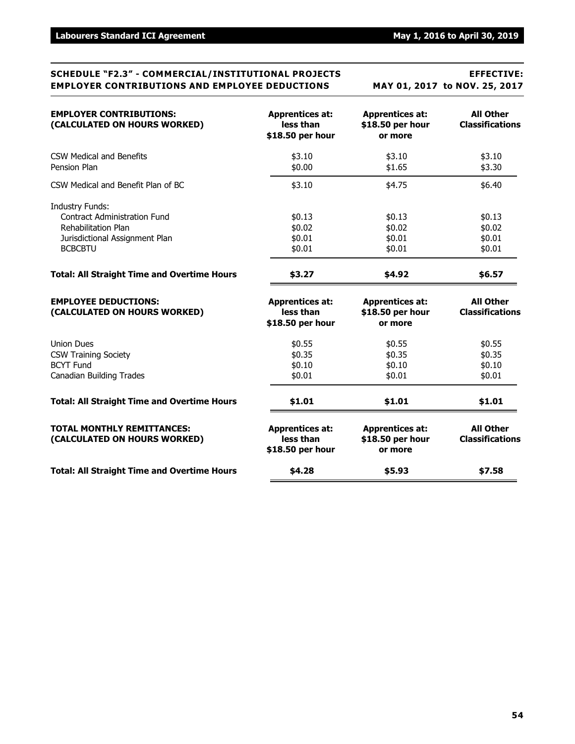### **SCHEDULE "F2.3" - COMMERCIAL/INSTITUTIONAL PROJECTS EFFECTIVE: EMPLOYER CONTRIBUTIONS AND EMPLOYEE DEDUCTIONS MAY 01, 2017 to NOV. 25, 2017**

| <b>EMPLOYER CONTRIBUTIONS:</b><br>(CALCULATED ON HOURS WORKED)                                                                                  | <b>Apprentices at:</b><br>less than<br>\$18.50 per hour | <b>Apprentices at:</b><br>\$18.50 per hour<br>or more | <b>All Other</b><br><b>Classifications</b> |
|-------------------------------------------------------------------------------------------------------------------------------------------------|---------------------------------------------------------|-------------------------------------------------------|--------------------------------------------|
| <b>CSW Medical and Benefits</b><br>Pension Plan                                                                                                 | \$3.10<br>\$0.00                                        | \$3.10<br>\$1.65                                      | \$3.10<br>\$3.30                           |
| CSW Medical and Benefit Plan of BC                                                                                                              | \$3.10                                                  | \$4.75                                                | \$6.40                                     |
| <b>Industry Funds:</b><br><b>Contract Administration Fund</b><br><b>Rehabilitation Plan</b><br>Jurisdictional Assignment Plan<br><b>BCBCBTU</b> | \$0.13<br>\$0.02<br>\$0.01<br>\$0.01                    | \$0.13<br>\$0.02<br>\$0.01<br>\$0.01                  | \$0.13<br>\$0.02<br>\$0.01<br>\$0.01       |
| <b>Total: All Straight Time and Overtime Hours</b>                                                                                              | \$3.27                                                  | \$4.92                                                | \$6.57                                     |
| <b>EMPLOYEE DEDUCTIONS:</b><br>(CALCULATED ON HOURS WORKED)                                                                                     | <b>Apprentices at:</b><br>less than<br>\$18.50 per hour | <b>Apprentices at:</b><br>\$18.50 per hour<br>or more | <b>All Other</b><br><b>Classifications</b> |
| <b>Union Dues</b><br><b>CSW Training Society</b><br><b>BCYT Fund</b><br><b>Canadian Building Trades</b>                                         | \$0.55<br>\$0.35<br>\$0.10<br>\$0.01                    | \$0.55<br>\$0.35<br>\$0.10<br>\$0.01                  | \$0.55<br>\$0.35<br>\$0.10<br>\$0.01       |
| <b>Total: All Straight Time and Overtime Hours</b>                                                                                              | \$1.01                                                  | \$1.01                                                | \$1.01                                     |
| <b>TOTAL MONTHLY REMITTANCES:</b><br>(CALCULATED ON HOURS WORKED)                                                                               | <b>Apprentices at:</b><br>less than<br>\$18.50 per hour | <b>Apprentices at:</b><br>\$18.50 per hour<br>or more | <b>All Other</b><br><b>Classifications</b> |
| <b>Total: All Straight Time and Overtime Hours</b>                                                                                              | \$4.28                                                  | \$5.93                                                | \$7.58                                     |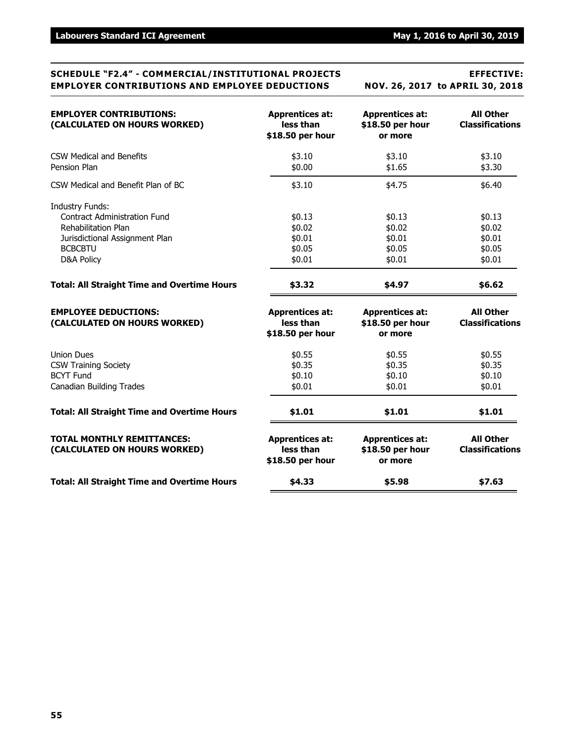### **SCHEDULE "F2.4" - COMMERCIAL/INSTITUTIONAL PROJECTS EFFECTIVE: EMPLOYER CONTRIBUTIONS AND EMPLOYEE DEDUCTIONS NOV. 26, 2017 to APRIL 30, 2018**

| <b>EMPLOYER CONTRIBUTIONS:</b><br>(CALCULATED ON HOURS WORKED)                                          | <b>Apprentices at:</b><br>less than<br>\$18.50 per hour | <b>Apprentices at:</b><br>\$18.50 per hour<br>or more | <b>All Other</b><br><b>Classifications</b> |
|---------------------------------------------------------------------------------------------------------|---------------------------------------------------------|-------------------------------------------------------|--------------------------------------------|
| CSW Medical and Benefits<br>Pension Plan                                                                | \$3.10<br>\$0.00                                        | \$3.10<br>\$1.65                                      | \$3.10<br>\$3.30                           |
| CSW Medical and Benefit Plan of BC                                                                      | \$3.10                                                  | \$4.75                                                | \$6.40                                     |
| <b>Industry Funds:</b><br><b>Contract Administration Fund</b><br><b>Rehabilitation Plan</b>             | \$0.13<br>\$0.02                                        | \$0.13<br>\$0.02                                      | \$0.13<br>\$0.02                           |
| Jurisdictional Assignment Plan<br><b>BCBCBTU</b><br><b>D&amp;A Policy</b>                               | \$0.01<br>\$0.05<br>\$0.01                              | \$0.01<br>\$0.05<br>\$0.01                            | \$0.01<br>\$0.05<br>\$0.01                 |
| <b>Total: All Straight Time and Overtime Hours</b>                                                      | \$3.32                                                  | \$4.97                                                | \$6.62                                     |
| <b>EMPLOYEE DEDUCTIONS:</b><br>(CALCULATED ON HOURS WORKED)                                             | <b>Apprentices at:</b><br>less than<br>\$18.50 per hour | <b>Apprentices at:</b><br>\$18.50 per hour<br>or more | <b>All Other</b><br><b>Classifications</b> |
| <b>Union Dues</b><br><b>CSW Training Society</b><br><b>BCYT Fund</b><br><b>Canadian Building Trades</b> | \$0.55<br>\$0.35<br>\$0.10<br>\$0.01                    | \$0.55<br>\$0.35<br>\$0.10<br>\$0.01                  | \$0.55<br>\$0.35<br>\$0.10<br>\$0.01       |
| <b>Total: All Straight Time and Overtime Hours</b>                                                      | \$1.01                                                  | \$1.01                                                | \$1.01                                     |
| <b>TOTAL MONTHLY REMITTANCES:</b><br>(CALCULATED ON HOURS WORKED)                                       | <b>Apprentices at:</b><br>less than<br>\$18.50 per hour | <b>Apprentices at:</b><br>\$18.50 per hour<br>or more | <b>All Other</b><br><b>Classifications</b> |
| <b>Total: All Straight Time and Overtime Hours</b>                                                      | \$4.33                                                  | \$5.98                                                | \$7.63                                     |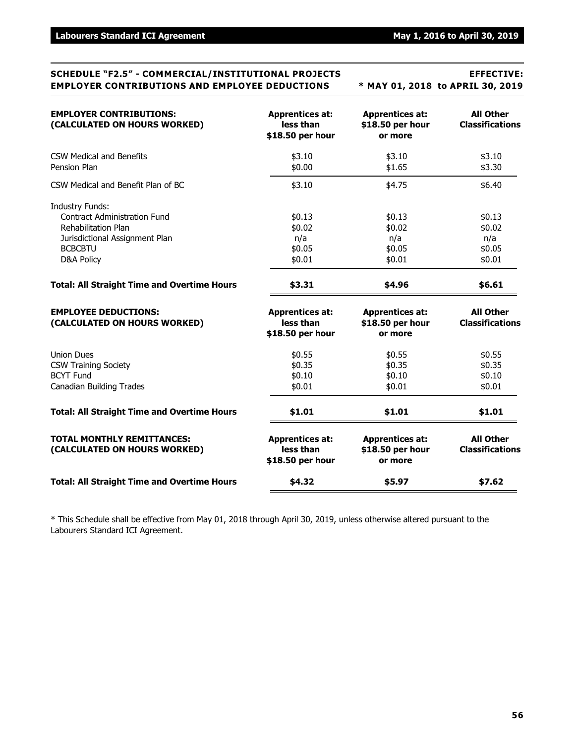### **SCHEDULE "F2.5" - COMMERCIAL/INSTITUTIONAL PROJECTS EFFECTIVE: EMPLOYER CONTRIBUTIONS AND EMPLOYEE DEDUCTIONS \* MAY 01, 2018 to APRIL 30, 2019**

| <b>EMPLOYER CONTRIBUTIONS:</b><br>(CALCULATED ON HOURS WORKED)    | <b>Apprentices at:</b><br>less than<br>\$18.50 per hour | <b>Apprentices at:</b><br>\$18.50 per hour<br>or more | <b>All Other</b><br><b>Classifications</b> |
|-------------------------------------------------------------------|---------------------------------------------------------|-------------------------------------------------------|--------------------------------------------|
| CSW Medical and Benefits<br>Pension Plan                          | \$3.10<br>\$0.00                                        | \$3.10<br>\$1.65                                      | \$3.10<br>\$3.30                           |
| CSW Medical and Benefit Plan of BC                                | \$3.10                                                  | \$4.75                                                | \$6.40                                     |
| <b>Industry Funds:</b><br><b>Contract Administration Fund</b>     | \$0.13                                                  | \$0.13                                                | \$0.13                                     |
| <b>Rehabilitation Plan</b>                                        | \$0.02                                                  | \$0.02                                                | \$0.02                                     |
| Jurisdictional Assignment Plan                                    | n/a                                                     | n/a                                                   | n/a                                        |
| <b>BCBCBTU</b>                                                    | \$0.05                                                  | \$0.05                                                | \$0.05                                     |
| <b>D&amp;A Policy</b>                                             | \$0.01                                                  | \$0.01                                                | \$0.01                                     |
| <b>Total: All Straight Time and Overtime Hours</b>                | \$3.31                                                  | \$4.96                                                | \$6.61                                     |
| <b>EMPLOYEE DEDUCTIONS:</b><br>(CALCULATED ON HOURS WORKED)       | <b>Apprentices at:</b><br>less than<br>\$18.50 per hour | <b>Apprentices at:</b><br>\$18.50 per hour<br>or more | <b>All Other</b><br><b>Classifications</b> |
| <b>Union Dues</b>                                                 | \$0.55                                                  | \$0.55                                                | \$0.55                                     |
| <b>CSW Training Society</b>                                       | \$0.35                                                  | \$0.35                                                | \$0.35                                     |
| <b>BCYT Fund</b>                                                  | \$0.10                                                  | \$0.10                                                | \$0.10                                     |
| <b>Canadian Building Trades</b>                                   | \$0.01                                                  | \$0.01                                                | \$0.01                                     |
| <b>Total: All Straight Time and Overtime Hours</b>                | \$1.01                                                  | \$1.01                                                | \$1.01                                     |
| <b>TOTAL MONTHLY REMITTANCES:</b><br>(CALCULATED ON HOURS WORKED) | <b>Apprentices at:</b><br>less than<br>\$18.50 per hour | <b>Apprentices at:</b><br>\$18.50 per hour<br>or more | <b>All Other</b><br><b>Classifications</b> |
| <b>Total: All Straight Time and Overtime Hours</b>                | \$4.32                                                  | \$5.97                                                | \$7.62                                     |

\* This Schedule shall be effective from May 01, 2018 through April 30, 2019, unless otherwise altered pursuant to the Labourers Standard ICI Agreement.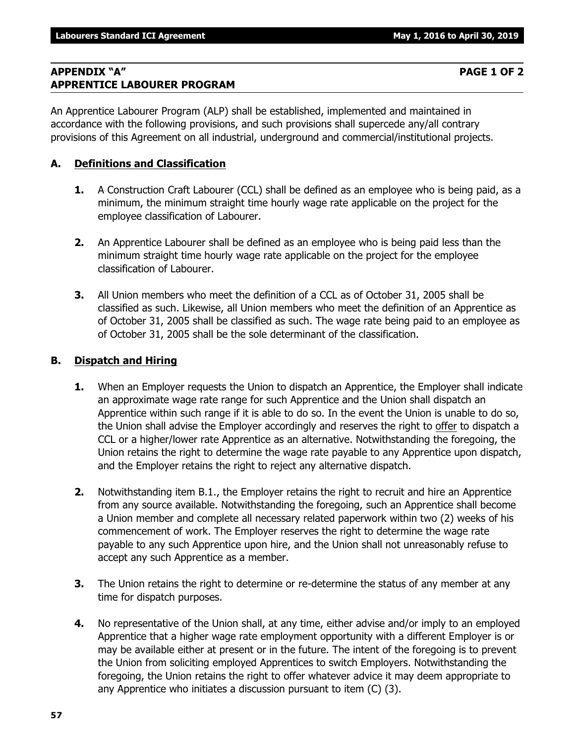### **APPENDIX "A" PAGE 1 OF 2 APPRENTICE LABOURER PROGRAM**

An Apprentice Labourer Program (ALP) shall be established, implemented and maintained in accordance with the following provisions, and such provisions shall supercede any/all contrary provisions of this Agreement on all industrial, underground and commercial/institutional projects.

## **A. Definitions and Classification**

- **1.** A Construction Craft Labourer (CCL) shall be defined as an employee who is being paid, as a minimum, the minimum straight time hourly wage rate applicable on the project for the employee classification of Labourer.
- **2.** An Apprentice Labourer shall be defined as an employee who is being paid less than the minimum straight time hourly wage rate applicable on the project for the employee classification of Labourer.
- **3.** All Union members who meet the definition of a CCL as of October 31, 2005 shall be classified as such. Likewise, all Union members who meet the definition of an Apprentice as of October 31, 2005 shall be classified as such. The wage rate being paid to an employee as of October 31, 2005 shall be the sole determinant of the classification.

### **B. Dispatch and Hiring**

- **1.** When an Employer requests the Union to dispatch an Apprentice, the Employer shall indicate an approximate wage rate range for such Apprentice and the Union shall dispatch an Apprentice within such range if it is able to do so. In the event the Union is unable to do so, the Union shall advise the Employer accordingly and reserves the right to offer to dispatch a CCL or a higher/lower rate Apprentice as an alternative. Notwithstanding the foregoing, the Union retains the right to determine the wage rate payable to any Apprentice upon dispatch, and the Employer retains the right to reject any alternative dispatch.
- **2.** Notwithstanding item B.1., the Employer retains the right to recruit and hire an Apprentice from any source available. Notwithstanding the foregoing, such an Apprentice shall become a Union member and complete all necessary related paperwork within two (2) weeks of his commencement of work. The Employer reserves the right to determine the wage rate payable to any such Apprentice upon hire, and the Union shall not unreasonably refuse to accept any such Apprentice as a member.
- **3.** The Union retains the right to determine or re-determine the status of any member at any time for dispatch purposes.
- **4.** No representative of the Union shall, at any time, either advise and/or imply to an employed Apprentice that a higher wage rate employment opportunity with a different Employer is or may be available either at present or in the future. The intent of the foregoing is to prevent the Union from soliciting employed Apprentices to switch Employers. Notwithstanding the foregoing, the Union retains the right to offer whatever advice it may deem appropriate to any Apprentice who initiates a discussion pursuant to item (C) (3).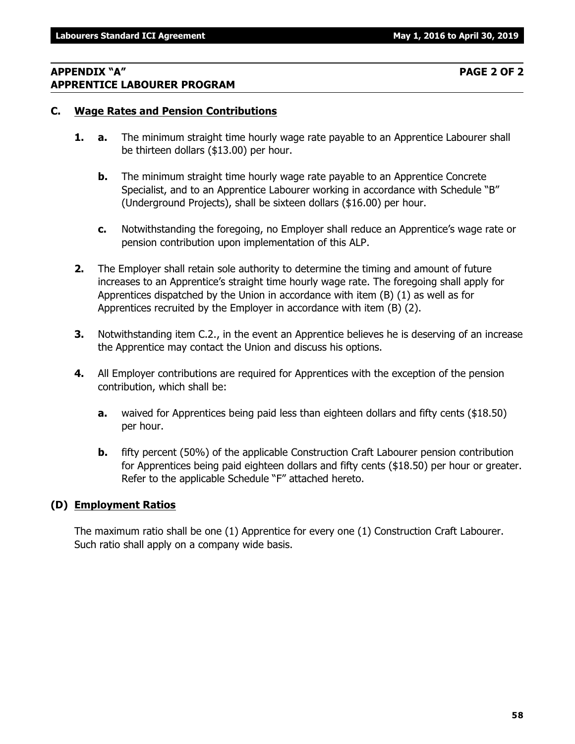### **APPENDIX "A" PAGE 2 OF 2 APPRENTICE LABOURER PROGRAM**

### **C. Wage Rates and Pension Contributions**

- **1. a.** The minimum straight time hourly wage rate payable to an Apprentice Labourer shall be thirteen dollars (\$13.00) per hour.
	- **b.** The minimum straight time hourly wage rate payable to an Apprentice Concrete Specialist, and to an Apprentice Labourer working in accordance with Schedule "B" (Underground Projects), shall be sixteen dollars (\$16.00) per hour.
	- **c.** Notwithstanding the foregoing, no Employer shall reduce an Apprentice's wage rate or pension contribution upon implementation of this ALP.
- **2.** The Employer shall retain sole authority to determine the timing and amount of future increases to an Apprentice's straight time hourly wage rate. The foregoing shall apply for Apprentices dispatched by the Union in accordance with item (B) (1) as well as for Apprentices recruited by the Employer in accordance with item (B) (2).
- **3.** Notwithstanding item C.2., in the event an Apprentice believes he is deserving of an increase the Apprentice may contact the Union and discuss his options.
- **4.** All Employer contributions are required for Apprentices with the exception of the pension contribution, which shall be:
	- **a.** waived for Apprentices being paid less than eighteen dollars and fifty cents (\$18.50) per hour.
	- **b.** fifty percent (50%) of the applicable Construction Craft Labourer pension contribution for Apprentices being paid eighteen dollars and fifty cents (\$18.50) per hour or greater. Refer to the applicable Schedule "F" attached hereto.

### **(D) Employment Ratios**

The maximum ratio shall be one (1) Apprentice for every one (1) Construction Craft Labourer. Such ratio shall apply on a company wide basis.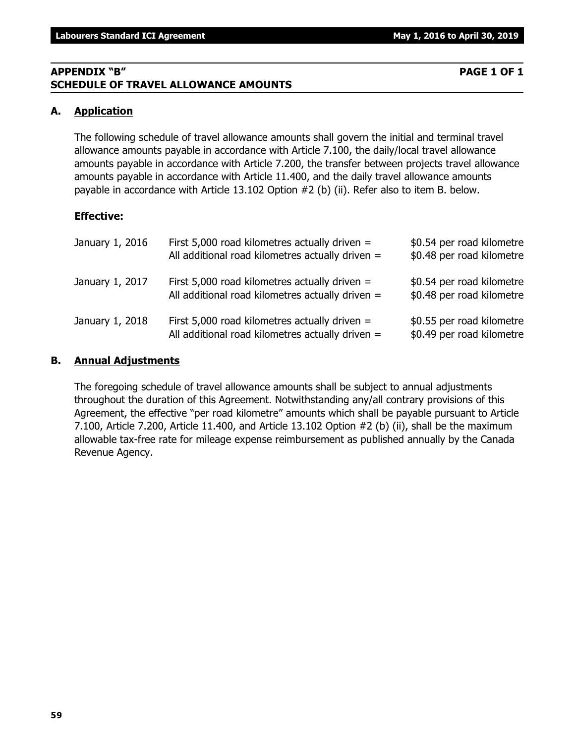**59**

## **APPENDIX "B" PAGE 1 OF 1 SCHEDULE OF TRAVEL ALLOWANCE AMOUNTS**

## **A. Application**

The following schedule of travel allowance amounts shall govern the initial and terminal travel allowance amounts payable in accordance with Article 7.100, the daily/local travel allowance amounts payable in accordance with Article 7.200, the transfer between projects travel allowance amounts payable in accordance with Article 11.400, and the daily travel allowance amounts payable in accordance with Article 13.102 Option #2 (b) (ii). Refer also to item B. below.

## **Effective:**

| January 1, 2016 | First 5,000 road kilometres actually driven $=$<br>All additional road kilometres actually driven = | \$0.54 per road kilometre<br>\$0.48 per road kilometre |
|-----------------|-----------------------------------------------------------------------------------------------------|--------------------------------------------------------|
| January 1, 2017 | First 5,000 road kilometres actually driven $=$<br>All additional road kilometres actually driven = | \$0.54 per road kilometre<br>\$0.48 per road kilometre |
| January 1, 2018 | First 5,000 road kilometres actually driven $=$<br>All additional road kilometres actually driven = | \$0.55 per road kilometre<br>\$0.49 per road kilometre |

### **B. Annual Adjustments**

The foregoing schedule of travel allowance amounts shall be subject to annual adjustments throughout the duration of this Agreement. Notwithstanding any/all contrary provisions of this Agreement, the effective "per road kilometre" amounts which shall be payable pursuant to Article 7.100, Article 7.200, Article 11.400, and Article 13.102 Option #2 (b) (ii), shall be the maximum allowable tax-free rate for mileage expense reimbursement as published annually by the Canada Revenue Agency.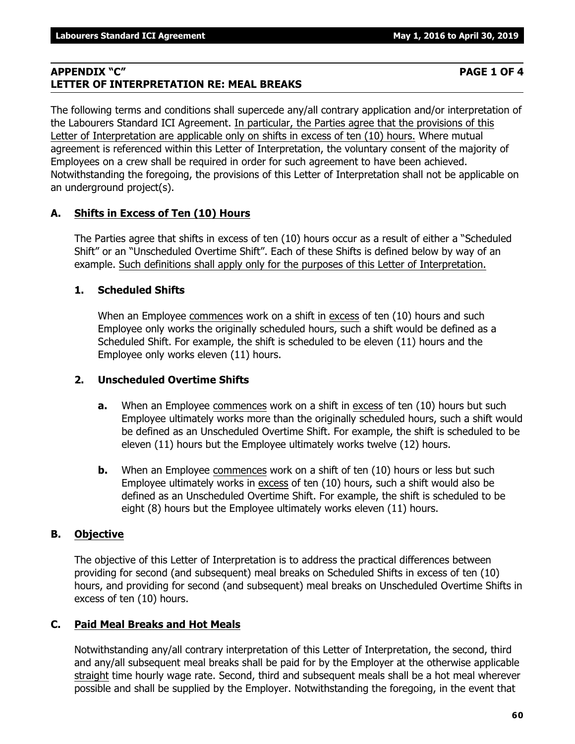### **APPENDIX "C" PAGE 1 OF 4 LETTER OF INTERPRETATION RE: MEAL BREAKS**

The following terms and conditions shall supercede any/all contrary application and/or interpretation of the Labourers Standard ICI Agreement. In particular, the Parties agree that the provisions of this Letter of Interpretation are applicable only on shifts in excess of ten (10) hours. Where mutual agreement is referenced within this Letter of Interpretation, the voluntary consent of the majority of Employees on a crew shall be required in order for such agreement to have been achieved. Notwithstanding the foregoing, the provisions of this Letter of Interpretation shall not be applicable on an underground project(s).

## **A. Shifts in Excess of Ten (10) Hours**

The Parties agree that shifts in excess of ten (10) hours occur as a result of either a "Scheduled Shift" or an "Unscheduled Overtime Shift". Each of these Shifts is defined below by way of an example. Such definitions shall apply only for the purposes of this Letter of Interpretation.

## **1. Scheduled Shifts**

When an Employee commences work on a shift in excess of ten (10) hours and such Employee only works the originally scheduled hours, such a shift would be defined as a Scheduled Shift. For example, the shift is scheduled to be eleven (11) hours and the Employee only works eleven (11) hours.

## **2. Unscheduled Overtime Shifts**

- **a.** When an Employee commences work on a shift in excess of ten (10) hours but such Employee ultimately works more than the originally scheduled hours, such a shift would be defined as an Unscheduled Overtime Shift. For example, the shift is scheduled to be eleven (11) hours but the Employee ultimately works twelve (12) hours.
- **b.** When an Employee commences work on a shift of ten (10) hours or less but such Employee ultimately works in excess of ten (10) hours, such a shift would also be defined as an Unscheduled Overtime Shift. For example, the shift is scheduled to be eight (8) hours but the Employee ultimately works eleven (11) hours.

## **B. Objective**

The objective of this Letter of Interpretation is to address the practical differences between providing for second (and subsequent) meal breaks on Scheduled Shifts in excess of ten (10) hours, and providing for second (and subsequent) meal breaks on Unscheduled Overtime Shifts in excess of ten (10) hours.

## **C. Paid Meal Breaks and Hot Meals**

Notwithstanding any/all contrary interpretation of this Letter of Interpretation, the second, third and any/all subsequent meal breaks shall be paid for by the Employer at the otherwise applicable straight time hourly wage rate. Second, third and subsequent meals shall be a hot meal wherever possible and shall be supplied by the Employer. Notwithstanding the foregoing, in the event that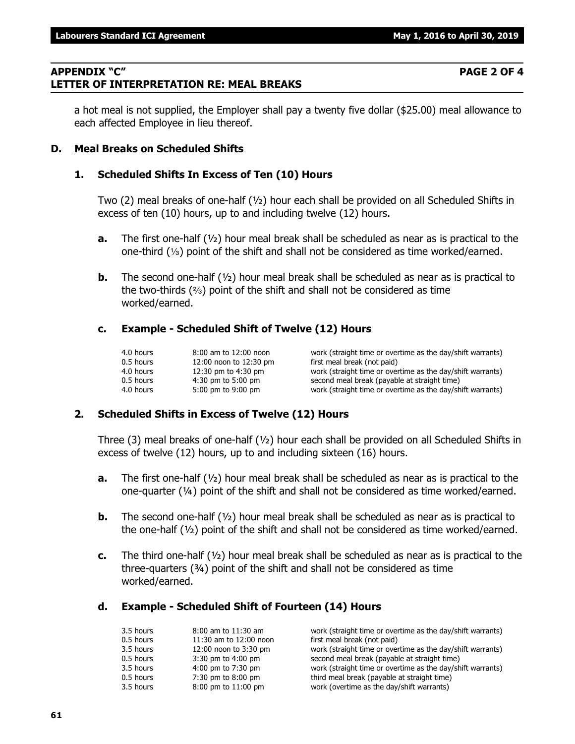### **APPENDIX "C" PAGE 2 OF 4 LETTER OF INTERPRETATION RE: MEAL BREAKS**

a hot meal is not supplied, the Employer shall pay a twenty five dollar (\$25.00) meal allowance to each affected Employee in lieu thereof.

### **D. Meal Breaks on Scheduled Shifts**

### **1. Scheduled Shifts In Excess of Ten (10) Hours**

Two (2) meal breaks of one-half (½) hour each shall be provided on all Scheduled Shifts in excess of ten (10) hours, up to and including twelve (12) hours.

- **a.** The first one-half (½) hour meal break shall be scheduled as near as is practical to the one-third  $(1/3)$  point of the shift and shall not be considered as time worked/earned.
- **b.** The second one-half (½) hour meal break shall be scheduled as near as is practical to the two-thirds  $(2)$  point of the shift and shall not be considered as time worked/earned.

### **c. Example - Scheduled Shift of Twelve (12) Hours**

| 4.0 hours | 8:00 am to 12:00 noon  | work (straight time or overtime as the day/shift warrants) |
|-----------|------------------------|------------------------------------------------------------|
| 0.5 hours | 12:00 noon to 12:30 pm | first meal break (not paid)                                |
| 4.0 hours | 12:30 pm to 4:30 pm    | work (straight time or overtime as the day/shift warrants) |
| 0.5 hours | $4:30$ pm to 5:00 pm   | second meal break (payable at straight time)               |
| 4.0 hours | 5:00 pm to 9:00 pm     | work (straight time or overtime as the day/shift warrants) |

### **2. Scheduled Shifts in Excess of Twelve (12) Hours**

Three (3) meal breaks of one-half  $(y_2)$  hour each shall be provided on all Scheduled Shifts in excess of twelve (12) hours, up to and including sixteen (16) hours.

- **a.** The first one-half (½) hour meal break shall be scheduled as near as is practical to the one-quarter (¼) point of the shift and shall not be considered as time worked/earned.
- **b.** The second one-half ( $\frac{1}{2}$ ) hour meal break shall be scheduled as near as is practical to the one-half (½) point of the shift and shall not be considered as time worked/earned.
- **c.** The third one-half (½) hour meal break shall be scheduled as near as is practical to the three-quarters (¾) point of the shift and shall not be considered as time worked/earned.

### **d. Example - Scheduled Shift of Fourteen (14) Hours**

| 3.5 hours | $8:00$ am to $11:30$ am | work (straight time or overtime as the day/shift warrants) |
|-----------|-------------------------|------------------------------------------------------------|
| 0.5 hours | 11:30 am to 12:00 noon  | first meal break (not paid)                                |
| 3.5 hours | 12:00 noon to 3:30 pm   | work (straight time or overtime as the day/shift warrants) |
| 0.5 hours | $3:30$ pm to $4:00$ pm  | second meal break (payable at straight time)               |
| 3.5 hours | 4:00 pm to 7:30 pm      | work (straight time or overtime as the day/shift warrants) |
| 0.5 hours | 7:30 pm to 8:00 pm      | third meal break (payable at straight time)                |
| 3.5 hours | 8:00 pm to 11:00 pm     | work (overtime as the day/shift warrants)                  |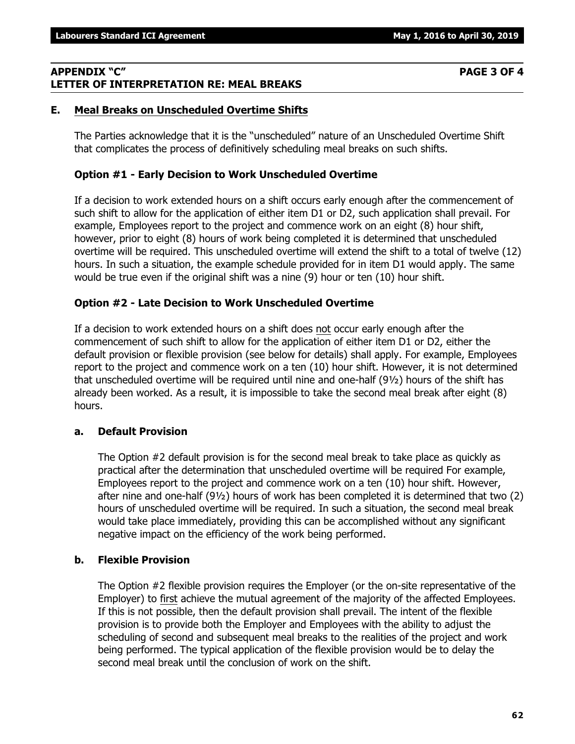### **APPENDIX "C" PAGE 3 OF 4 LETTER OF INTERPRETATION RE: MEAL BREAKS**

### **E. Meal Breaks on Unscheduled Overtime Shifts**

The Parties acknowledge that it is the "unscheduled" nature of an Unscheduled Overtime Shift that complicates the process of definitively scheduling meal breaks on such shifts.

### **Option #1 - Early Decision to Work Unscheduled Overtime**

If a decision to work extended hours on a shift occurs early enough after the commencement of such shift to allow for the application of either item D1 or D2, such application shall prevail. For example, Employees report to the project and commence work on an eight (8) hour shift, however, prior to eight (8) hours of work being completed it is determined that unscheduled overtime will be required. This unscheduled overtime will extend the shift to a total of twelve (12) hours. In such a situation, the example schedule provided for in item D1 would apply. The same would be true even if the original shift was a nine (9) hour or ten (10) hour shift.

### **Option #2 - Late Decision to Work Unscheduled Overtime**

If a decision to work extended hours on a shift does not occur early enough after the commencement of such shift to allow for the application of either item D1 or D2, either the default provision or flexible provision (see below for details) shall apply. For example, Employees report to the project and commence work on a ten (10) hour shift. However, it is not determined that unscheduled overtime will be required until nine and one-half (9½) hours of the shift has already been worked. As a result, it is impossible to take the second meal break after eight (8) hours.

### **a. Default Provision**

The Option #2 default provision is for the second meal break to take place as quickly as practical after the determination that unscheduled overtime will be required For example, Employees report to the project and commence work on a ten (10) hour shift. However, after nine and one-half (9½) hours of work has been completed it is determined that two (2) hours of unscheduled overtime will be required. In such a situation, the second meal break would take place immediately, providing this can be accomplished without any significant negative impact on the efficiency of the work being performed.

### **b. Flexible Provision**

The Option #2 flexible provision requires the Employer (or the on-site representative of the Employer) to first achieve the mutual agreement of the majority of the affected Employees. If this is not possible, then the default provision shall prevail. The intent of the flexible provision is to provide both the Employer and Employees with the ability to adjust the scheduling of second and subsequent meal breaks to the realities of the project and work being performed. The typical application of the flexible provision would be to delay the second meal break until the conclusion of work on the shift.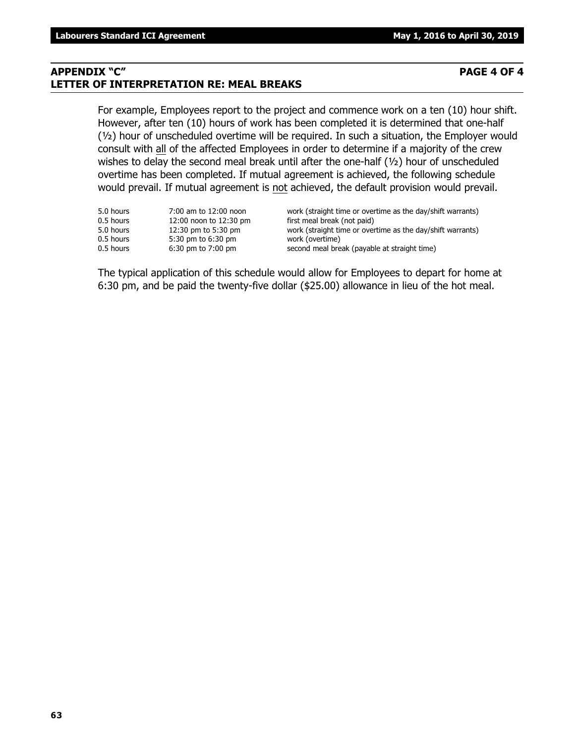### **APPENDIX "C" PAGE 4 OF 4 LETTER OF INTERPRETATION RE: MEAL BREAKS**

For example, Employees report to the project and commence work on a ten (10) hour shift. However, after ten (10) hours of work has been completed it is determined that one-half (½) hour of unscheduled overtime will be required. In such a situation, the Employer would consult with all of the affected Employees in order to determine if a majority of the crew wishes to delay the second meal break until after the one-half (1/2) hour of unscheduled overtime has been completed. If mutual agreement is achieved, the following schedule would prevail. If mutual agreement is not achieved, the default provision would prevail.

| 5.0 hours | 7:00 am to 12:00 noon  | work (straight time or overtime as the day/shift warrants) |
|-----------|------------------------|------------------------------------------------------------|
| 0.5 hours | 12:00 noon to 12:30 pm | first meal break (not paid)                                |
| 5.0 hours | 12:30 pm to 5:30 pm    | work (straight time or overtime as the day/shift warrants) |
| 0.5 hours | 5:30 pm to 6:30 pm     | work (overtime)                                            |
| 0.5 hours | $6:30$ pm to $7:00$ pm | second meal break (payable at straight time)               |

The typical application of this schedule would allow for Employees to depart for home at 6:30 pm, and be paid the twenty-five dollar (\$25.00) allowance in lieu of the hot meal.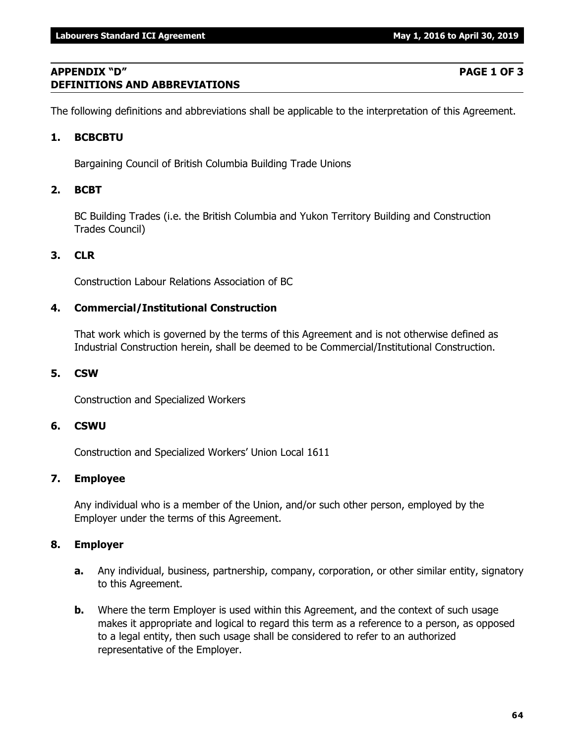### **APPENDIX "D" PAGE 1 OF 3 DEFINITIONS AND ABBREVIATIONS**

The following definitions and abbreviations shall be applicable to the interpretation of this Agreement.

### **1. BCBCBTU**

Bargaining Council of British Columbia Building Trade Unions

### **2. BCBT**

BC Building Trades (i.e. the British Columbia and Yukon Territory Building and Construction Trades Council)

## **3. CLR**

Construction Labour Relations Association of BC

### **4. Commercial/Institutional Construction**

That work which is governed by the terms of this Agreement and is not otherwise defined as Industrial Construction herein, shall be deemed to be Commercial/Institutional Construction.

### **5. CSW**

Construction and Specialized Workers

### **6. CSWU**

Construction and Specialized Workers' Union Local 1611

### **7. Employee**

Any individual who is a member of the Union, and/or such other person, employed by the Employer under the terms of this Agreement.

### **8. Employer**

- **a.** Any individual, business, partnership, company, corporation, or other similar entity, signatory to this Agreement.
- **b.** Where the term Employer is used within this Agreement, and the context of such usage makes it appropriate and logical to regard this term as a reference to a person, as opposed to a legal entity, then such usage shall be considered to refer to an authorized representative of the Employer.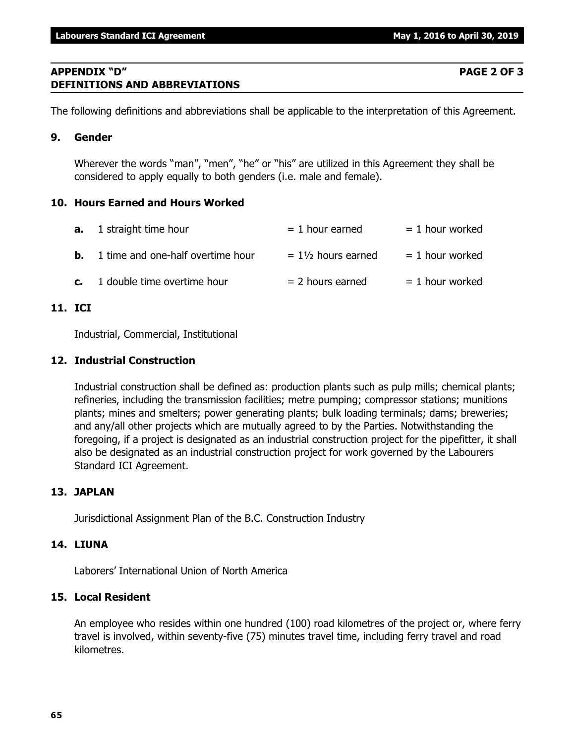### **APPENDIX "D" PAGE 2 OF 3 DEFINITIONS AND ABBREVIATIONS**

The following definitions and abbreviations shall be applicable to the interpretation of this Agreement.

### **9. Gender**

Wherever the words "man", "men", "he" or "his" are utilized in this Agreement they shall be considered to apply equally to both genders (i.e. male and female).

### **10. Hours Earned and Hours Worked**

| <b>a.</b> 1 straight time hour              | $= 1$ hour earned             | $= 1$ hour worked |
|---------------------------------------------|-------------------------------|-------------------|
| <b>b.</b> 1 time and one-half overtime hour | $= 1\frac{1}{2}$ hours earned | $= 1$ hour worked |
| $c.$ 1 double time overtime hour            | $= 2$ hours earned            | $= 1$ hour worked |

## **11. ICI**

Industrial, Commercial, Institutional

### **12. Industrial Construction**

Industrial construction shall be defined as: production plants such as pulp mills; chemical plants; refineries, including the transmission facilities; metre pumping; compressor stations; munitions plants; mines and smelters; power generating plants; bulk loading terminals; dams; breweries; and any/all other projects which are mutually agreed to by the Parties. Notwithstanding the foregoing, if a project is designated as an industrial construction project for the pipefitter, it shall also be designated as an industrial construction project for work governed by the Labourers Standard ICI Agreement.

### **13. JAPLAN**

Jurisdictional Assignment Plan of the B.C. Construction Industry

### **14. LIUNA**

Laborers' International Union of North America

### **15. Local Resident**

An employee who resides within one hundred (100) road kilometres of the project or, where ferry travel is involved, within seventy-five (75) minutes travel time, including ferry travel and road kilometres.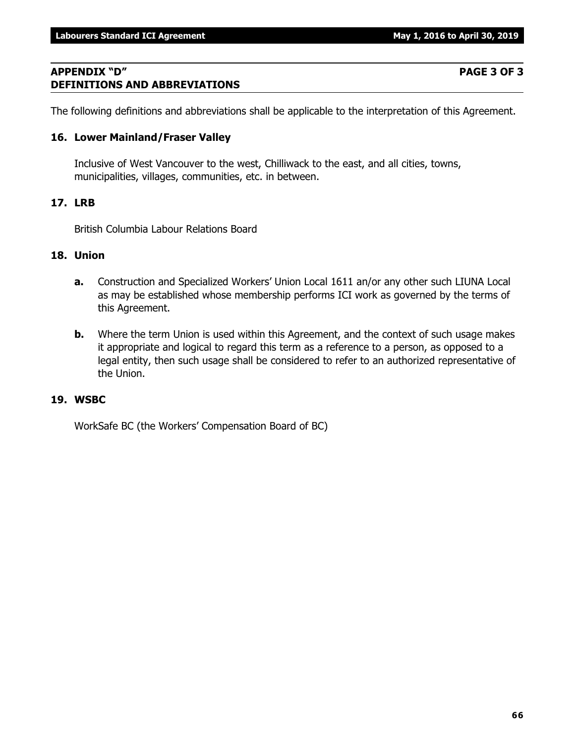### **APPENDIX "D" PAGE 3 OF 3 DEFINITIONS AND ABBREVIATIONS**

The following definitions and abbreviations shall be applicable to the interpretation of this Agreement.

### **16. Lower Mainland/Fraser Valley**

Inclusive of West Vancouver to the west, Chilliwack to the east, and all cities, towns, municipalities, villages, communities, etc. in between.

### **17. LRB**

British Columbia Labour Relations Board

### **18. Union**

- **a.** Construction and Specialized Workers' Union Local 1611 an/or any other such LIUNA Local as may be established whose membership performs ICI work as governed by the terms of this Agreement.
- **b.** Where the term Union is used within this Agreement, and the context of such usage makes it appropriate and logical to regard this term as a reference to a person, as opposed to a legal entity, then such usage shall be considered to refer to an authorized representative of the Union.

### **19. WSBC**

WorkSafe BC (the Workers' Compensation Board of BC)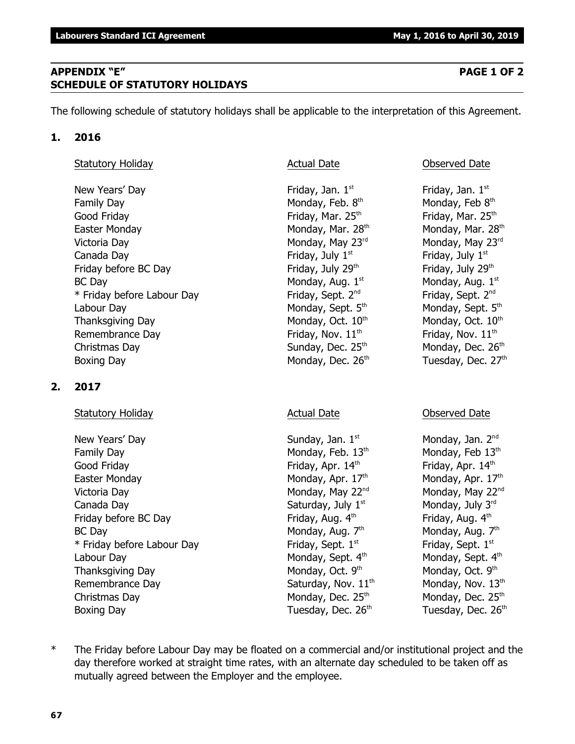### **APPENDIX "E" PAGE 1 OF 2 SCHEDULE OF STATUTORY HOLIDAYS**

The following schedule of statutory holidays shall be applicable to the interpretation of this Agreement.

### **1. 2016**

| Statutory Holiday |
|-------------------|
|-------------------|

New Years' Day **Friday**, Jan. 1<sup>st</sup> Family Day **Monday, Feb. 8th** Monday, Feb. 8th Good Friday **Friday** Friday, Mar. 25<sup>th</sup> Friday, Mar. 25<sup>th</sup> Friday, Mar. 25<sup>th</sup> Easter Monday Monday, Mar. 28<sup>th</sup> Monday, Mar. 28<sup>th</sup> Monday, Mar. 28<sup>th</sup> Victoria Day **Monday, May 23<sup>rd</sup>** Monday, May 23<sup>rd</sup> Monday, May 23<sup>rd</sup> Canada Day **Friday, July 1<sup>st</sup>** Friday, July 1<sup>st</sup> Friday, July 1<sup>st</sup> Friday before BC Day  $Friday$ , July 29<sup>th</sup> Friday, July 29<sup>th</sup>  $BC$  Day Monday, Aug.  $1<sup>st</sup>$ \* Friday before Labour Day Friday, Sept. 2<sup>nd</sup> Labour Day Monday, Sept. 5<sup>th</sup> Monday, Sept. 5<sup>th</sup> Monday, Sept. 5<sup>th</sup> Thanksgiving Day Monday, Oct.  $10<sup>th</sup>$  Monday, Oct.  $10<sup>th</sup>$  Monday, Oct.  $10<sup>th</sup>$ Remembrance Day  $\qquad \qquad$  Friday, Nov.  $11^{th}$  Friday, Nov.  $11^{th}$ Christmas Day  $S$ unday, Dec. 25<sup>th</sup> Monday, Dec. 26<sup>th</sup> Boxing Day Monday, Dec. 26<sup>th</sup> Tuesday, Dec. 27<sup>th</sup>

### **2. 2017**

Statutory Holiday **Actual Date** Actual Date **Conserved Date** Observed Date

New Years' Day North Sunday, Jan. 1<sup>st</sup> Monday, Jan. 2<sup>nd</sup> Monday, Jan. 2<sup>nd</sup> Family Day Monday, Feb.  $13<sup>th</sup>$  Monday, Feb  $13<sup>th</sup>$  Monday, Feb  $13<sup>th</sup>$ Good Friday **Friday**, Apr. 14<sup>th</sup> Friday, Apr. 14<sup>th</sup> Friday, Apr. 14<sup>th</sup> Easter Monday Monday, Apr.  $17<sup>th</sup>$  Monday, Apr.  $17<sup>th</sup>$  Monday, Apr.  $17<sup>th</sup>$ Victoria Day **Monday, May 22<sup>nd</sup> Monday, May 22<sup>nd</sup> Monday, May 22<sup>nd</sup> Monday, May 22<sup>nd</sup>** Canada Day  $\begin{array}{ccc} \text{Canada Day} & \text{Saturday, July } 1^\text{st} & \text{Monday, July } 3^\text{rd} \end{array}$ Friday before BC Day Friday, Aug.  $4<sup>th</sup>$  Friday, Aug.  $4<sup>th</sup>$  Friday, Aug.  $4<sup>th</sup>$ BC Day Monday, Aug. 7<sup>th</sup>  $*$  Friday before Labour Day Friday, Sept.  $1<sup>st</sup>$ Labour Day Monday, Sept. 4<sup>th</sup> Monday, Sept. 4<sup>th</sup> Monday, Sept. 4<sup>th</sup> Thanksgiving Day Monday, Oct. 9th Remembrance Day  $Saturday$ , Nov.  $11<sup>th</sup>$  Monday, Nov.  $13<sup>th</sup>$ Christmas Day  $M$ onday, Dec. 25<sup>th</sup> Monday, Dec. 25<sup>th</sup> Monday, Dec. 25<sup>th</sup> Boxing Day Tuesday, Dec. 26<sup>th</sup> Tuesday, Dec. 26<sup>th</sup> Tuesday, Dec. 26<sup>th</sup>

### Actual Date **Contactual Date** Observed Date

Friday, Jan.  $1<sup>st</sup>$ Monday, Feb 8th Monday, Aug.  $1<sup>st</sup>$ Friday, Sept. 2<sup>nd</sup>

Monday, Aug.  $7<sup>th</sup>$ Friday, Sept. 1st Monday, Oct. 9<sup>th</sup>

\* The Friday before Labour Day may be floated on a commercial and/or institutional project and the day therefore worked at straight time rates, with an alternate day scheduled to be taken off as mutually agreed between the Employer and the employee.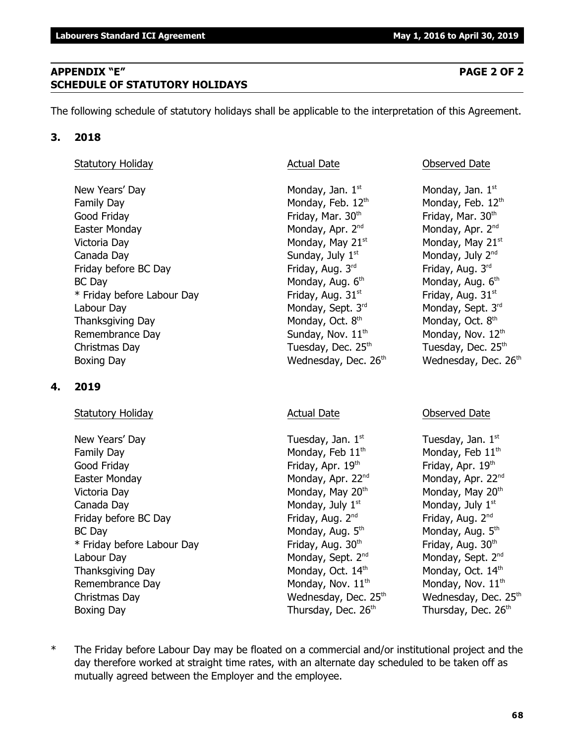**68**

## **APPENDIX "E" PAGE 2 OF 2 SCHEDULE OF STATUTORY HOLIDAYS**

The following schedule of statutory holidays shall be applicable to the interpretation of this Agreement.

# **3. 2018**

# Statutory Holiday **Actual Date Actual Date Observed Date Observed Date**

New Years' Day  $\blacksquare$  Monday, Jan. 1st  $\blacksquare$  Monday, Jan. 1st structure  $\blacksquare$  Monday, Jan. 1st Family Day Monday, Feb. 12<sup>th</sup> Monday, Feb. 12<sup>th</sup> Monday, Feb. 12<sup>th</sup> Good Friday **Friday**, Mar. 30<sup>th</sup> Friday, Mar. 30<sup>th</sup> Friday, Mar. 30<sup>th</sup> Easter Monday **Monday, Apr. 2<sup>nd</sup> Monday, Apr. 2<sup>nd</sup> Monday, Apr. 2<sup>nd</sup> Monday, Apr. 2<sup>nd</sup>** Victoria Day **Monday, May 21**<sup>st</sup> Monday, May 21<sup>st</sup> Monday, May 21<sup>st</sup> Canada Day  $Sunday, July 1<sup>st</sup>$  Monday, July  $2<sup>nd</sup>$ Friday before BC Day Friday, Aug. 3<sup>rd</sup> Friday, Aug. 3<sup>rd</sup> Friday, Aug. 3<sup>rd</sup> Friday, Aug. 3<sup>rd</sup> BC Day Monday, Aug. 6<sup>th</sup> \* Friday before Labour Day Friday, Aug. 31st striday, Aug. 31st striday, Aug. 31st Labour Day Monday, Sept. 3<sup>rd</sup> Monday, Sept. 3<sup>rd</sup> Monday, Sept. 3<sup>rd</sup> Rept. 3<sup>rd</sup> Rept. 3<sup>rd</sup> Thanksgiving Day Monday, Oct. 8<sup>th</sup> Remembrance Day  $Sunday, Nov. 11<sup>th</sup>$  Monday, Nov.  $12<sup>th</sup>$ Christmas Day  $\qquad \qquad$  Tuesday, Dec. 25<sup>th</sup>  $\qquad \qquad$  Tuesday, Dec. 25<sup>th</sup> Boxing Day **Bridge Community Community** Wednesday, Dec. 26<sup>th</sup> Wednesday, Dec. 26<sup>th</sup>

# **4. 2019**

# Statutory Holiday **Actual Date** Actual Date **Conserved Date** Observed Date

New Years' Day  $\qquad \qquad$  Tuesday, Jan.  $1^{st}$  Tuesday, Jan.  $1^{st}$ Family Day **Monday, Feb 11<sup>th</sup>** Monday, Feb 11<sup>th</sup> Monday, Feb 11<sup>th</sup> Good Friday **Friday, Apr. 19** the Friday, Apr. 19<sup>th</sup> Friday, Apr. 19<sup>th</sup> Easter Monday **Monday, Apr. 22<sup>nd</sup> Monday, Apr. 22**<sup>nd</sup> Monday, Apr. 22<sup>nd</sup> Victoria Day **Monday, May 20<sup>th</sup> Monday, May 20<sup>th</sup> Monday, May 20<sup>th</sup> Monday, May 20<sup>th</sup>** Canada Day  $\qquad \qquad \qquad \qquad$  Monday, July 1st structure  $\qquad$  Monday, July 1st structure  $\qquad$ Friday before BC Day Friday, Aug. 2<sup>nd</sup> Friday, Aug. 2<sup>nd</sup> Friday, Aug. 2<sup>nd</sup> Friday, Aug. 2<sup>nd</sup> BC Day Monday, Aug. 5<sup>th</sup>  $*$  Friday before Labour Day Friday, Aug. 30<sup>th</sup> Friday, Aug. 30<sup>th</sup> Friday, Aug. 30<sup>th</sup> Labour Day Monday, Sept. 2<sup>nd</sup> Monday, Sept. 2<sup>nd</sup> Monday, Sept. 2<sup>nd</sup> Thanksgiving Day Monday, Oct.  $14<sup>th</sup>$  Monday, Oct.  $14<sup>th</sup>$  Monday, Oct.  $14<sup>th</sup>$ Remembrance Day  $M$ onday, Nov.  $11<sup>th</sup>$  Monday, Nov.  $11<sup>th</sup>$ Christmas Day **Mathem Christmas Day Christmas Day Christmas Day Albert Christmas Day Albert Christmas Christmas M** Boxing Day Thursday, Dec. 26<sup>th</sup> Thursday, Dec. 26<sup>th</sup> Thursday, Dec. 26<sup>th</sup>

Monday, Aug. 6th Monday, Oct. 8th

Monday, Aug.  $5<sup>th</sup>$ 

\* The Friday before Labour Day may be floated on a commercial and/or institutional project and the day therefore worked at straight time rates, with an alternate day scheduled to be taken off as mutually agreed between the Employer and the employee.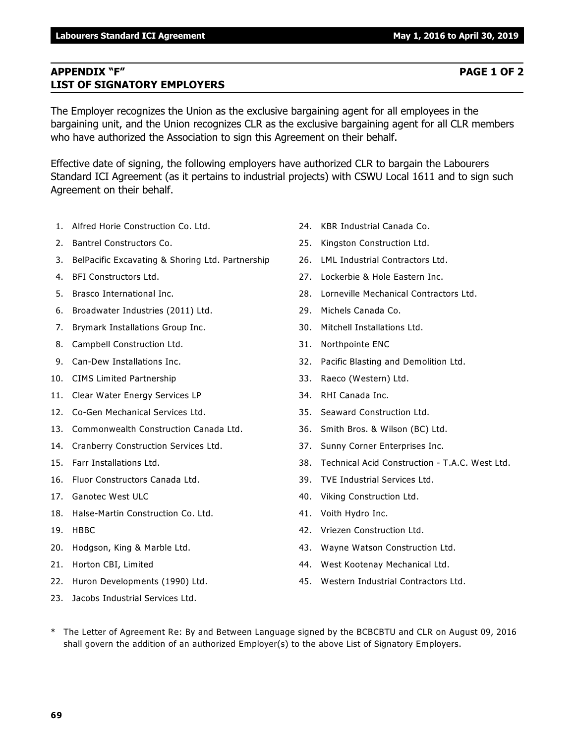### **APPENDIX "F" PAGE 1 OF 2 LIST OF SIGNATORY EMPLOYERS**

The Employer recognizes the Union as the exclusive bargaining agent for all employees in the bargaining unit, and the Union recognizes CLR as the exclusive bargaining agent for all CLR members who have authorized the Association to sign this Agreement on their behalf.

Effective date of signing, the following employers have authorized CLR to bargain the Labourers Standard ICI Agreement (as it pertains to industrial projects) with CSWU Local 1611 and to sign such Agreement on their behalf.

- 1. Alfred Horie Construction Co. Ltd.
- 2. Bantrel Constructors Co.
- 3. BelPacific Excavating & Shoring Ltd. Partnership
- 4. BFI Constructors Ltd.
- 5. Brasco International Inc.
- 6. Broadwater Industries (2011) Ltd.
- 7. Brymark Installations Group Inc.
- 8. Campbell Construction Ltd.
- 9. Can-Dew Installations Inc.
- 10. CIMS Limited Partnership
- 11. Clear Water Energy Services LP
- 12. Co-Gen Mechanical Services Ltd.
- 13. Commonwealth Construction Canada Ltd.
- 14. Cranberry Construction Services Ltd.
- 15. Farr Installations Ltd.
- 16. Fluor Constructors Canada Ltd.
- 17. Ganotec West ULC
- 18. Halse-Martin Construction Co. Ltd.
- 19. HBBC
- 20. Hodgson, King & Marble Ltd.
- 21. Horton CBI, Limited
- 22. Huron Developments (1990) Ltd.
- 23. Jacobs Industrial Services Ltd.
- 24. KBR Industrial Canada Co.
- 25. Kingston Construction Ltd.
- 26. LML Industrial Contractors Ltd.
- 27. Lockerbie & Hole Eastern Inc.
- 28. Lorneville Mechanical Contractors Ltd.
- 29. Michels Canada Co.
- 30. Mitchell Installations Ltd.
- 31. Northpointe ENC
- 32. Pacific Blasting and Demolition Ltd.
- 33. Raeco (Western) Ltd.
- 34. RHI Canada Inc.
- 35. Seaward Construction Ltd.
- 36. Smith Bros. & Wilson (BC) Ltd.
- 37. Sunny Corner Enterprises Inc.
- 38. Technical Acid Construction T.A.C. West Ltd.
- 39. TVE Industrial Services Ltd.
- 40. Viking Construction Ltd.
- 41. Voith Hydro Inc.
- 42. Vriezen Construction Ltd.
- 43. Wayne Watson Construction Ltd.
- 44. West Kootenay Mechanical Ltd.
- 45. Western Industrial Contractors Ltd.
- \* The Letter of Agreement Re: By and Between Language signed by the BCBCBTU and CLR on August 09, 2016 shall govern the addition of an authorized Employer(s) to the above List of Signatory Employers.